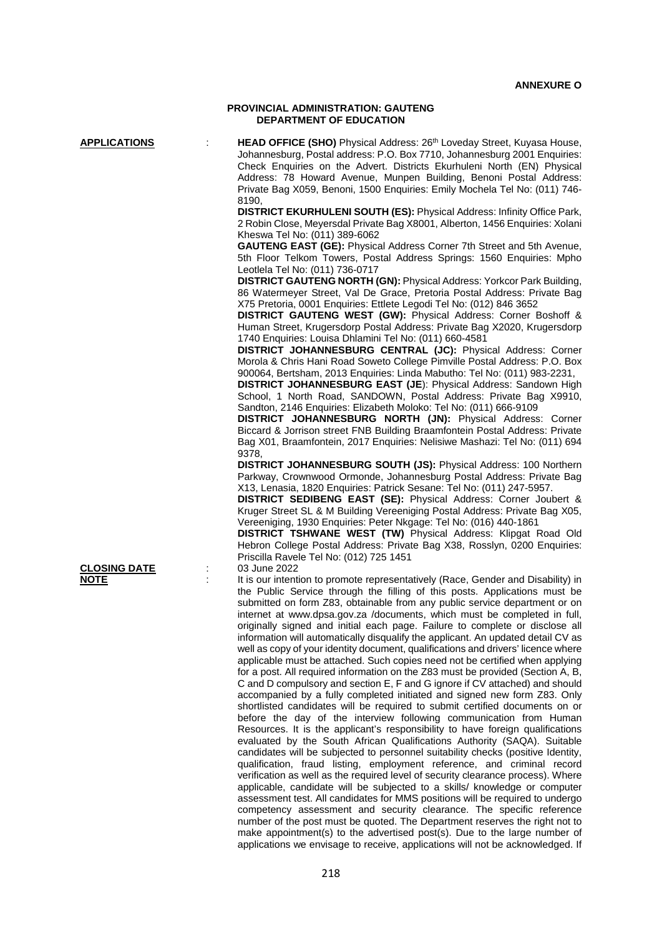#### **PROVINCIAL ADMINISTRATION: GAUTENG DEPARTMENT OF EDUCATION**

**CLOSING DATE**<br>NOTE

**APPLICATIONS** : **HEAD OFFICE (SHO)** Physical Address: 26th Loveday Street, Kuyasa House, Johannesburg, Postal address: P.O. Box 7710, Johannesburg 2001 Enquiries: Check Enquiries on the Advert. Districts Ekurhuleni North (EN) Physical Address: 78 Howard Avenue, Munpen Building, Benoni Postal Address: Private Bag X059, Benoni, 1500 Enquiries: Emily Mochela Tel No: (011) 746- 8190,

> **DISTRICT EKURHULENI SOUTH (ES):** Physical Address: Infinity Office Park, 2 Robin Close, Meyersdal Private Bag X8001, Alberton, 1456 Enquiries: Xolani Kheswa Tel No: (011) 389-6062

> **GAUTENG EAST (GE):** Physical Address Corner 7th Street and 5th Avenue, 5th Floor Telkom Towers, Postal Address Springs: 1560 Enquiries: Mpho Leotlela Tel No: (011) 736-0717

> **DISTRICT GAUTENG NORTH (GN):** Physical Address: Yorkcor Park Building, 86 Watermeyer Street, Val De Grace, Pretoria Postal Address: Private Bag X75 Pretoria, 0001 Enquiries: Ettlete Legodi Tel No: (012) 846 3652

> **DISTRICT GAUTENG WEST (GW):** Physical Address: Corner Boshoff & Human Street, Krugersdorp Postal Address: Private Bag X2020, Krugersdorp 1740 Enquiries: Louisa Dhlamini Tel No: (011) 660-4581

> **DISTRICT JOHANNESBURG CENTRAL (JC):** Physical Address: Corner Morola & Chris Hani Road Soweto College Pimville Postal Address: P.O. Box 900064, Bertsham, 2013 Enquiries: Linda Mabutho: Tel No: (011) 983-2231,

> **DISTRICT JOHANNESBURG EAST (JE**): Physical Address: Sandown High School, 1 North Road, SANDOWN, Postal Address: Private Bag X9910, Sandton, 2146 Enquiries: Elizabeth Moloko: Tel No: (011) 666-9109

> **DISTRICT JOHANNESBURG NORTH (JN):** Physical Address: Corner Biccard & Jorrison street FNB Building Braamfontein Postal Address: Private Bag X01, Braamfontein, 2017 Enquiries: Nelisiwe Mashazi: Tel No: (011) 694 9378,

> **DISTRICT JOHANNESBURG SOUTH (JS):** Physical Address: 100 Northern Parkway, Crownwood Ormonde, Johannesburg Postal Address: Private Bag X13, Lenasia, 1820 Enquiries: Patrick Sesane: Tel No: (011) 247-5957.

> **DISTRICT SEDIBENG EAST (SE):** Physical Address: Corner Joubert & Kruger Street SL & M Building Vereeniging Postal Address: Private Bag X05, Vereeniging, 1930 Enquiries: Peter Nkgage: Tel No: (016) 440-1861

> **DISTRICT TSHWANE WEST (TW)** Physical Address: Klipgat Road Old Hebron College Postal Address: Private Bag X38, Rosslyn, 0200 Enquiries: Priscilla Ravele Tel No: (012) 725 1451

It is our intention to promote representatively (Race, Gender and Disability) in the Public Service through the filling of this posts. Applications must be submitted on form Z83, obtainable from any public service department or on internet at www.dpsa.gov.za /documents, which must be completed in full, originally signed and initial each page. Failure to complete or disclose all information will automatically disqualify the applicant. An updated detail CV as well as copy of your identity document, qualifications and drivers' licence where applicable must be attached. Such copies need not be certified when applying for a post. All required information on the Z83 must be provided (Section A, B, C and D compulsory and section E, F and G ignore if CV attached) and should accompanied by a fully completed initiated and signed new form Z83. Only shortlisted candidates will be required to submit certified documents on or before the day of the interview following communication from Human Resources. It is the applicant's responsibility to have foreign qualifications evaluated by the South African Qualifications Authority (SAQA). Suitable candidates will be subjected to personnel suitability checks (positive Identity, qualification, fraud listing, employment reference, and criminal record verification as well as the required level of security clearance process). Where applicable, candidate will be subjected to a skills/ knowledge or computer assessment test. All candidates for MMS positions will be required to undergo competency assessment and security clearance. The specific reference number of the post must be quoted. The Department reserves the right not to make appointment(s) to the advertised post(s). Due to the large number of applications we envisage to receive, applications will not be acknowledged. If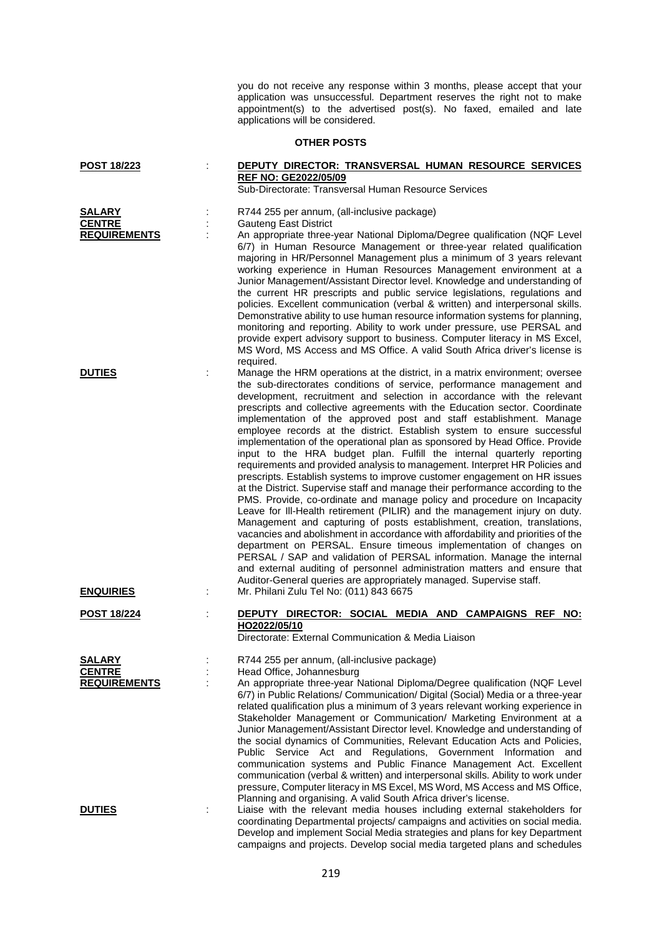you do not receive any response within 3 months, please accept that your application was unsuccessful. Department reserves the right not to make appointment(s) to the advertised post(s). No faxed, emailed and late applications will be considered.

## **OTHER POSTS**

| POST 18/223                                           | DEPUTY DIRECTOR: TRANSVERSAL HUMAN RESOURCE SERVICES<br><b>REF NO: GE2022/05/09</b><br>Sub-Directorate: Transversal Human Resource Services                                                                                                                                                                                                                                                                                                                                                                                                                                                                                                                                                                                                                                                                                                                                                                                                                                                                                                                                                                                                                                                                                                                                                                                                                                                                                              |
|-------------------------------------------------------|------------------------------------------------------------------------------------------------------------------------------------------------------------------------------------------------------------------------------------------------------------------------------------------------------------------------------------------------------------------------------------------------------------------------------------------------------------------------------------------------------------------------------------------------------------------------------------------------------------------------------------------------------------------------------------------------------------------------------------------------------------------------------------------------------------------------------------------------------------------------------------------------------------------------------------------------------------------------------------------------------------------------------------------------------------------------------------------------------------------------------------------------------------------------------------------------------------------------------------------------------------------------------------------------------------------------------------------------------------------------------------------------------------------------------------------|
| <b>SALARY</b><br><b>CENTRE</b><br><b>REQUIREMENTS</b> | R744 255 per annum, (all-inclusive package)<br><b>Gauteng East District</b><br>An appropriate three-year National Diploma/Degree qualification (NQF Level<br>6/7) in Human Resource Management or three-year related qualification<br>majoring in HR/Personnel Management plus a minimum of 3 years relevant<br>working experience in Human Resources Management environment at a<br>Junior Management/Assistant Director level. Knowledge and understanding of<br>the current HR prescripts and public service legislations, regulations and<br>policies. Excellent communication (verbal & written) and interpersonal skills.<br>Demonstrative ability to use human resource information systems for planning,<br>monitoring and reporting. Ability to work under pressure, use PERSAL and<br>provide expert advisory support to business. Computer literacy in MS Excel,<br>MS Word, MS Access and MS Office. A valid South Africa driver's license is                                                                                                                                                                                                                                                                                                                                                                                                                                                                                |
| <b>DUTIES</b>                                         | required.<br>Manage the HRM operations at the district, in a matrix environment; oversee<br>the sub-directorates conditions of service, performance management and<br>development, recruitment and selection in accordance with the relevant<br>prescripts and collective agreements with the Education sector. Coordinate<br>implementation of the approved post and staff establishment. Manage<br>employee records at the district. Establish system to ensure successful<br>implementation of the operational plan as sponsored by Head Office. Provide<br>input to the HRA budget plan. Fulfill the internal quarterly reporting<br>requirements and provided analysis to management. Interpret HR Policies and<br>prescripts. Establish systems to improve customer engagement on HR issues<br>at the District. Supervise staff and manage their performance according to the<br>PMS. Provide, co-ordinate and manage policy and procedure on Incapacity<br>Leave for III-Health retirement (PILIR) and the management injury on duty.<br>Management and capturing of posts establishment, creation, translations,<br>vacancies and abolishment in accordance with affordability and priorities of the<br>department on PERSAL. Ensure timeous implementation of changes on<br>PERSAL / SAP and validation of PERSAL information. Manage the internal<br>and external auditing of personnel administration matters and ensure that |
| <b>ENQUIRIES</b>                                      | Auditor-General queries are appropriately managed. Supervise staff.<br>Mr. Philani Zulu Tel No: (011) 843 6675                                                                                                                                                                                                                                                                                                                                                                                                                                                                                                                                                                                                                                                                                                                                                                                                                                                                                                                                                                                                                                                                                                                                                                                                                                                                                                                           |
| <b>POST 18/224</b>                                    | DEPUTY DIRECTOR: SOCIAL MEDIA AND CAMPAIGNS REF NO:<br>HO2022/05/10<br>Directorate: External Communication & Media Liaison                                                                                                                                                                                                                                                                                                                                                                                                                                                                                                                                                                                                                                                                                                                                                                                                                                                                                                                                                                                                                                                                                                                                                                                                                                                                                                               |
| <b>SALARY</b><br><b>CENTRE</b><br><b>REQUIREMENTS</b> | R744 255 per annum, (all-inclusive package)<br>Head Office, Johannesburg<br>An appropriate three-year National Diploma/Degree qualification (NQF Level<br>6/7) in Public Relations/ Communication/ Digital (Social) Media or a three-year<br>related qualification plus a minimum of 3 years relevant working experience in<br>Stakeholder Management or Communication/ Marketing Environment at a<br>Junior Management/Assistant Director level. Knowledge and understanding of<br>the social dynamics of Communities, Relevant Education Acts and Policies,<br>Public Service Act and Regulations, Government Information<br>and<br>communication systems and Public Finance Management Act. Excellent<br>communication (verbal & written) and interpersonal skills. Ability to work under<br>pressure, Computer literacy in MS Excel, MS Word, MS Access and MS Office,<br>Planning and organising. A valid South Africa driver's license.                                                                                                                                                                                                                                                                                                                                                                                                                                                                                            |
| <b>DUTIES</b>                                         | Liaise with the relevant media houses including external stakeholders for<br>coordinating Departmental projects/ campaigns and activities on social media.<br>Develop and implement Social Media strategies and plans for key Department                                                                                                                                                                                                                                                                                                                                                                                                                                                                                                                                                                                                                                                                                                                                                                                                                                                                                                                                                                                                                                                                                                                                                                                                 |

campaigns and projects. Develop social media targeted plans and schedules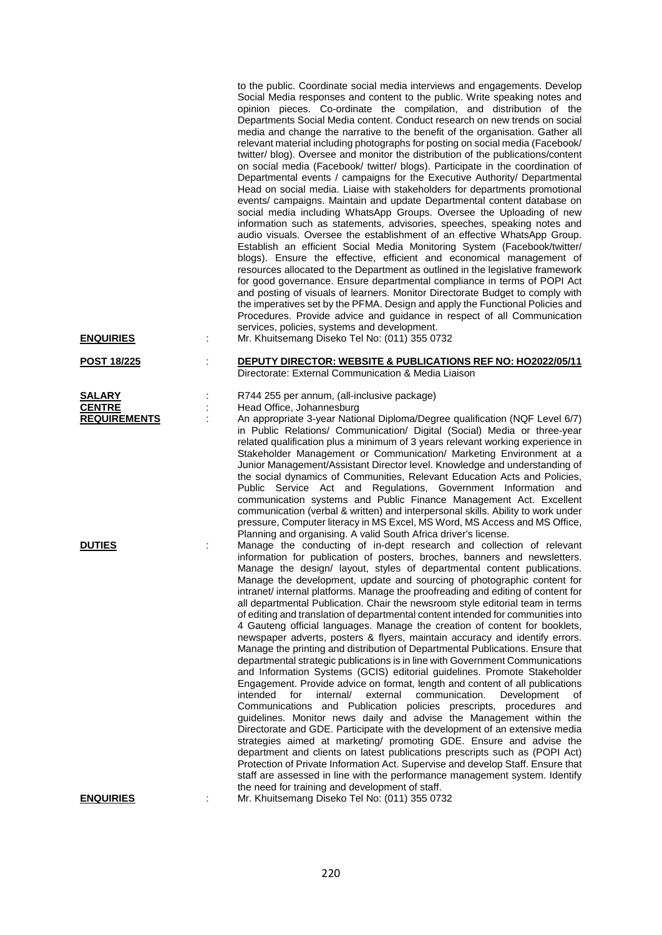|                                                | to the public. Coordinate social media interviews and engagements. Develop<br>Social Media responses and content to the public. Write speaking notes and<br>opinion pieces. Co-ordinate the compilation, and distribution of the<br>Departments Social Media content. Conduct research on new trends on social<br>media and change the narrative to the benefit of the organisation. Gather all<br>relevant material including photographs for posting on social media (Facebook/<br>twitter/ blog). Oversee and monitor the distribution of the publications/content<br>on social media (Facebook/ twitter/ blogs). Participate in the coordination of<br>Departmental events / campaigns for the Executive Authority/ Departmental<br>Head on social media. Liaise with stakeholders for departments promotional<br>events/ campaigns. Maintain and update Departmental content database on<br>social media including WhatsApp Groups. Oversee the Uploading of new<br>information such as statements, advisories, speeches, speaking notes and<br>audio visuals. Oversee the establishment of an effective WhatsApp Group.<br>Establish an efficient Social Media Monitoring System (Facebook/twitter/<br>blogs). Ensure the effective, efficient and economical management of<br>resources allocated to the Department as outlined in the legislative framework<br>for good governance. Ensure departmental compliance in terms of POPI Act<br>and posting of visuals of learners. Monitor Directorate Budget to comply with<br>the imperatives set by the PFMA. Design and apply the Functional Policies and<br>Procedures. Provide advice and guidance in respect of all Communication<br>services, policies, systems and development.                  |
|------------------------------------------------|---------------------------------------------------------------------------------------------------------------------------------------------------------------------------------------------------------------------------------------------------------------------------------------------------------------------------------------------------------------------------------------------------------------------------------------------------------------------------------------------------------------------------------------------------------------------------------------------------------------------------------------------------------------------------------------------------------------------------------------------------------------------------------------------------------------------------------------------------------------------------------------------------------------------------------------------------------------------------------------------------------------------------------------------------------------------------------------------------------------------------------------------------------------------------------------------------------------------------------------------------------------------------------------------------------------------------------------------------------------------------------------------------------------------------------------------------------------------------------------------------------------------------------------------------------------------------------------------------------------------------------------------------------------------------------------------------------------------------------------------------------------|
| <u>ENQUIRIES</u>                               | Mr. Khuitsemang Diseko Tel No: (011) 355 0732                                                                                                                                                                                                                                                                                                                                                                                                                                                                                                                                                                                                                                                                                                                                                                                                                                                                                                                                                                                                                                                                                                                                                                                                                                                                                                                                                                                                                                                                                                                                                                                                                                                                                                                 |
| <b>POST 18/225</b>                             | DEPUTY DIRECTOR: WEBSITE & PUBLICATIONS REF NO: HO2022/05/11<br>Directorate: External Communication & Media Liaison                                                                                                                                                                                                                                                                                                                                                                                                                                                                                                                                                                                                                                                                                                                                                                                                                                                                                                                                                                                                                                                                                                                                                                                                                                                                                                                                                                                                                                                                                                                                                                                                                                           |
| SALARY<br><b>CENTRE</b><br><b>REQUIREMENTS</b> | R744 255 per annum, (all-inclusive package)<br>Head Office, Johannesburg<br>An appropriate 3-year National Diploma/Degree qualification (NQF Level 6/7)<br>in Public Relations/ Communication/ Digital (Social) Media or three-year<br>related qualification plus a minimum of 3 years relevant working experience in<br>Stakeholder Management or Communication/ Marketing Environment at a<br>Junior Management/Assistant Director level. Knowledge and understanding of<br>the social dynamics of Communities, Relevant Education Acts and Policies,<br>Public Service Act and Regulations, Government Information and<br>communication systems and Public Finance Management Act. Excellent<br>communication (verbal & written) and interpersonal skills. Ability to work under<br>pressure, Computer literacy in MS Excel, MS Word, MS Access and MS Office,<br>Planning and organising. A valid South Africa driver's license.                                                                                                                                                                                                                                                                                                                                                                                                                                                                                                                                                                                                                                                                                                                                                                                                                          |
| <b>DUTIES</b>                                  | Manage the conducting of in-dept research and collection of relevant<br>information for publication of posters, broches, banners and newsletters.<br>Manage the design/ layout, styles of departmental content publications.<br>Manage the development, update and sourcing of photographic content for<br>intranet/ internal platforms. Manage the proofreading and editing of content for<br>all departmental Publication. Chair the newsroom style editorial team in terms<br>of editing and translation of departmental content intended for communities into<br>4 Gauteng official languages. Manage the creation of content for booklets,<br>newspaper adverts, posters & flyers, maintain accuracy and identify errors.<br>Manage the printing and distribution of Departmental Publications. Ensure that<br>departmental strategic publications is in line with Government Communications<br>and Information Systems (GCIS) editorial guidelines. Promote Stakeholder<br>Engagement. Provide advice on format, length and content of all publications<br>intended<br>internal/<br>external<br>communication.<br>for<br>Development<br>οf<br>Communications<br>and Publication policies prescripts, procedures<br>and<br>guidelines. Monitor news daily and advise the Management within the<br>Directorate and GDE. Participate with the development of an extensive media<br>strategies aimed at marketing/ promoting GDE. Ensure and advise the<br>department and clients on latest publications prescripts such as (POPI Act)<br>Protection of Private Information Act. Supervise and develop Staff. Ensure that<br>staff are assessed in line with the performance management system. Identify<br>the need for training and development of staff. |

**ENQUIRIES** : Mr. Khuitsemang Diseko Tel No: (011) 355 0732

220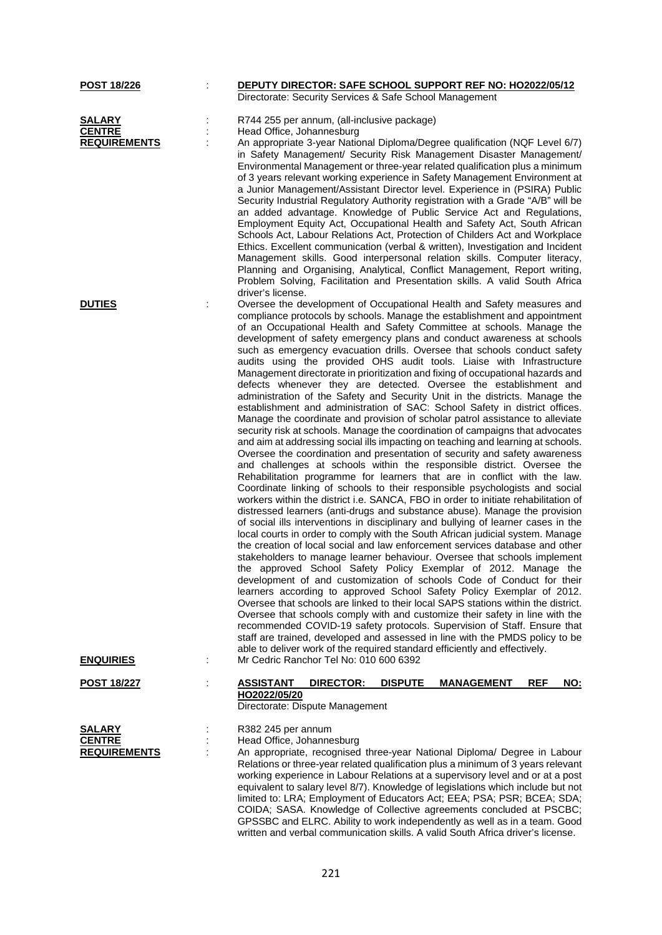| POST 18/226                                           | DEPUTY DIRECTOR: SAFE SCHOOL SUPPORT REF NO: HO2022/05/12<br>Directorate: Security Services & Safe School Management                                                                                                                                                                                                                                                                                                                                                                                                                                                                                                                                                                                                                                                                                                                                                                                                                                                                                                                                                                                                                                                                                                                                                                                                                                                                                                                                                                                                                                                                                                                                                                                                                                                                                                                                                                                                                                                                                                                                                                                                                                                                                                                                                                                                                                                                                                                       |
|-------------------------------------------------------|--------------------------------------------------------------------------------------------------------------------------------------------------------------------------------------------------------------------------------------------------------------------------------------------------------------------------------------------------------------------------------------------------------------------------------------------------------------------------------------------------------------------------------------------------------------------------------------------------------------------------------------------------------------------------------------------------------------------------------------------------------------------------------------------------------------------------------------------------------------------------------------------------------------------------------------------------------------------------------------------------------------------------------------------------------------------------------------------------------------------------------------------------------------------------------------------------------------------------------------------------------------------------------------------------------------------------------------------------------------------------------------------------------------------------------------------------------------------------------------------------------------------------------------------------------------------------------------------------------------------------------------------------------------------------------------------------------------------------------------------------------------------------------------------------------------------------------------------------------------------------------------------------------------------------------------------------------------------------------------------------------------------------------------------------------------------------------------------------------------------------------------------------------------------------------------------------------------------------------------------------------------------------------------------------------------------------------------------------------------------------------------------------------------------------------------------|
| <b>SALARY</b><br><b>CENTRE</b><br><b>REQUIREMENTS</b> | R744 255 per annum, (all-inclusive package)<br>Head Office, Johannesburg<br>An appropriate 3-year National Diploma/Degree qualification (NQF Level 6/7)<br>in Safety Management/ Security Risk Management Disaster Management/<br>Environmental Management or three-year related qualification plus a minimum<br>of 3 years relevant working experience in Safety Management Environment at<br>a Junior Management/Assistant Director level. Experience in (PSIRA) Public<br>Security Industrial Regulatory Authority registration with a Grade "A/B" will be<br>an added advantage. Knowledge of Public Service Act and Regulations,<br>Employment Equity Act, Occupational Health and Safety Act, South African<br>Schools Act, Labour Relations Act, Protection of Childers Act and Workplace<br>Ethics. Excellent communication (verbal & written), Investigation and Incident<br>Management skills. Good interpersonal relation skills. Computer literacy,<br>Planning and Organising, Analytical, Conflict Management, Report writing,                                                                                                                                                                                                                                                                                                                                                                                                                                                                                                                                                                                                                                                                                                                                                                                                                                                                                                                                                                                                                                                                                                                                                                                                                                                                                                                                                                                               |
| <b>DUTIES</b>                                         | Problem Solving, Facilitation and Presentation skills. A valid South Africa<br>driver's license.<br>Oversee the development of Occupational Health and Safety measures and<br>compliance protocols by schools. Manage the establishment and appointment<br>of an Occupational Health and Safety Committee at schools. Manage the<br>development of safety emergency plans and conduct awareness at schools<br>such as emergency evacuation drills. Oversee that schools conduct safety<br>audits using the provided OHS audit tools. Liaise with Infrastructure<br>Management directorate in prioritization and fixing of occupational hazards and<br>defects whenever they are detected. Oversee the establishment and<br>administration of the Safety and Security Unit in the districts. Manage the<br>establishment and administration of SAC: School Safety in district offices.<br>Manage the coordinate and provision of scholar patrol assistance to alleviate<br>security risk at schools. Manage the coordination of campaigns that advocates<br>and aim at addressing social ills impacting on teaching and learning at schools.<br>Oversee the coordination and presentation of security and safety awareness<br>and challenges at schools within the responsible district. Oversee the<br>Rehabilitation programme for learners that are in conflict with the law.<br>Coordinate linking of schools to their responsible psychologists and social<br>workers within the district i.e. SANCA, FBO in order to initiate rehabilitation of<br>distressed learners (anti-drugs and substance abuse). Manage the provision<br>of social ills interventions in disciplinary and bullying of learner cases in the<br>local courts in order to comply with the South African judicial system. Manage<br>the creation of local social and law enforcement services database and other<br>stakeholders to manage learner behaviour. Oversee that schools implement<br>the approved School Safety Policy Exemplar of 2012. Manage the<br>development of and customization of schools Code of Conduct for their<br>learners according to approved School Safety Policy Exemplar of 2012.<br>Oversee that schools are linked to their local SAPS stations within the district.<br>Oversee that schools comply with and customize their safety in line with the<br>recommended COVID-19 safety protocols. Supervision of Staff. Ensure that |
| <b>ENQUIRIES</b>                                      | staff are trained, developed and assessed in line with the PMDS policy to be<br>able to deliver work of the required standard efficiently and effectively.<br>Mr Cedric Ranchor Tel No: 010 600 6392                                                                                                                                                                                                                                                                                                                                                                                                                                                                                                                                                                                                                                                                                                                                                                                                                                                                                                                                                                                                                                                                                                                                                                                                                                                                                                                                                                                                                                                                                                                                                                                                                                                                                                                                                                                                                                                                                                                                                                                                                                                                                                                                                                                                                                       |
| <u>POST 18/227</u>                                    | DIRECTOR:<br><b>REF</b><br>NO:<br><b>ASSISTANT</b><br><b>DISPUTE</b><br><b>MANAGEMENT</b><br>HO2022/05/20<br>Directorate: Dispute Management                                                                                                                                                                                                                                                                                                                                                                                                                                                                                                                                                                                                                                                                                                                                                                                                                                                                                                                                                                                                                                                                                                                                                                                                                                                                                                                                                                                                                                                                                                                                                                                                                                                                                                                                                                                                                                                                                                                                                                                                                                                                                                                                                                                                                                                                                               |
| SALARY<br><b>CENTRE</b><br><b>REQUIREMENTS</b>        | R382 245 per annum<br>Head Office, Johannesburg<br>An appropriate, recognised three-year National Diploma/ Degree in Labour<br>Relations or three-year related qualification plus a minimum of 3 years relevant<br>working experience in Labour Relations at a supervisory level and or at a post<br>equivalent to salary level 8/7). Knowledge of legislations which include but not<br>limited to: LRA; Employment of Educators Act; EEA; PSA; PSR; BCEA; SDA;<br>COIDA; SASA. Knowledge of Collective agreements concluded at PSCBC;<br>GPSSBC and ELRC. Ability to work independently as well as in a team. Good<br>written and verbal communication skills. A valid South Africa driver's license.                                                                                                                                                                                                                                                                                                                                                                                                                                                                                                                                                                                                                                                                                                                                                                                                                                                                                                                                                                                                                                                                                                                                                                                                                                                                                                                                                                                                                                                                                                                                                                                                                                                                                                                                    |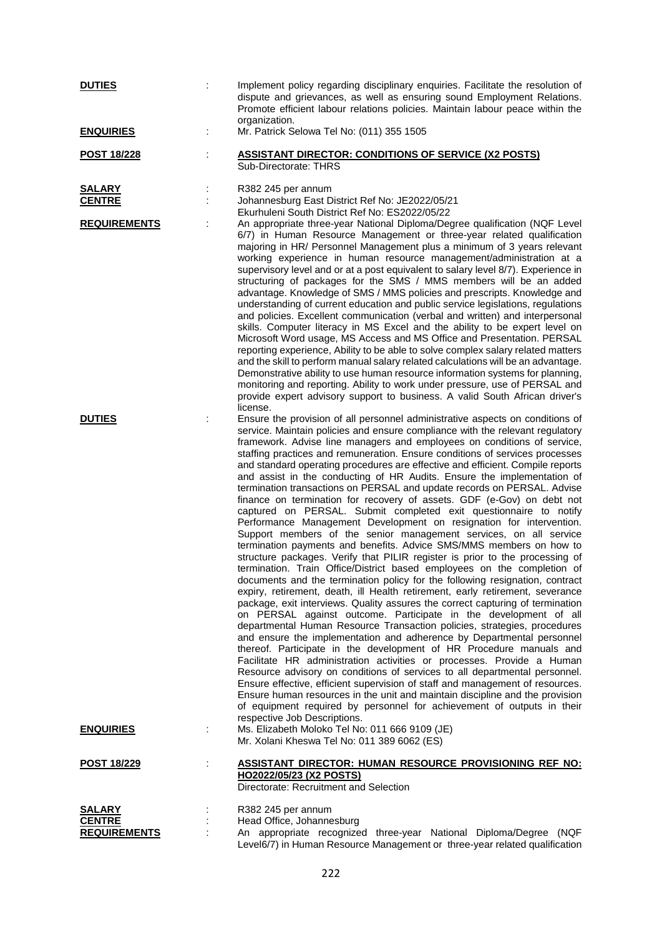| <b>DUTIES</b>                        |   | Implement policy regarding disciplinary enquiries. Facilitate the resolution of<br>dispute and grievances, as well as ensuring sound Employment Relations.<br>Promote efficient labour relations policies. Maintain labour peace within the<br>organization.                                                                                                                                                                                                                                                                                                                                                                                                                                                                                                                                                                                                                                                                                                                                                                                                                                                                                                                                                                                                                                                                                                                                                                                                                                                                                                                                                                                                                                                                                                                                                                                                                                                                                                                                                                                                                        |
|--------------------------------------|---|-------------------------------------------------------------------------------------------------------------------------------------------------------------------------------------------------------------------------------------------------------------------------------------------------------------------------------------------------------------------------------------------------------------------------------------------------------------------------------------------------------------------------------------------------------------------------------------------------------------------------------------------------------------------------------------------------------------------------------------------------------------------------------------------------------------------------------------------------------------------------------------------------------------------------------------------------------------------------------------------------------------------------------------------------------------------------------------------------------------------------------------------------------------------------------------------------------------------------------------------------------------------------------------------------------------------------------------------------------------------------------------------------------------------------------------------------------------------------------------------------------------------------------------------------------------------------------------------------------------------------------------------------------------------------------------------------------------------------------------------------------------------------------------------------------------------------------------------------------------------------------------------------------------------------------------------------------------------------------------------------------------------------------------------------------------------------------------|
| <b>ENQUIRIES</b>                     | ÷ | Mr. Patrick Selowa Tel No: (011) 355 1505                                                                                                                                                                                                                                                                                                                                                                                                                                                                                                                                                                                                                                                                                                                                                                                                                                                                                                                                                                                                                                                                                                                                                                                                                                                                                                                                                                                                                                                                                                                                                                                                                                                                                                                                                                                                                                                                                                                                                                                                                                           |
| <b>POST 18/228</b>                   |   | <b>ASSISTANT DIRECTOR: CONDITIONS OF SERVICE (X2 POSTS)</b><br>Sub-Directorate: THRS                                                                                                                                                                                                                                                                                                                                                                                                                                                                                                                                                                                                                                                                                                                                                                                                                                                                                                                                                                                                                                                                                                                                                                                                                                                                                                                                                                                                                                                                                                                                                                                                                                                                                                                                                                                                                                                                                                                                                                                                |
| <b>SALARY</b><br><b>CENTRE</b>       |   | R382 245 per annum<br>Johannesburg East District Ref No: JE2022/05/21<br>Ekurhuleni South District Ref No: ES2022/05/22                                                                                                                                                                                                                                                                                                                                                                                                                                                                                                                                                                                                                                                                                                                                                                                                                                                                                                                                                                                                                                                                                                                                                                                                                                                                                                                                                                                                                                                                                                                                                                                                                                                                                                                                                                                                                                                                                                                                                             |
| <b>REQUIREMENTS</b>                  |   | An appropriate three-year National Diploma/Degree qualification (NQF Level<br>6/7) in Human Resource Management or three-year related qualification<br>majoring in HR/ Personnel Management plus a minimum of 3 years relevant<br>working experience in human resource management/administration at a<br>supervisory level and or at a post equivalent to salary level 8/7). Experience in<br>structuring of packages for the SMS / MMS members will be an added<br>advantage. Knowledge of SMS / MMS policies and prescripts. Knowledge and<br>understanding of current education and public service legislations, regulations<br>and policies. Excellent communication (verbal and written) and interpersonal<br>skills. Computer literacy in MS Excel and the ability to be expert level on<br>Microsoft Word usage, MS Access and MS Office and Presentation. PERSAL<br>reporting experience, Ability to be able to solve complex salary related matters<br>and the skill to perform manual salary related calculations will be an advantage.<br>Demonstrative ability to use human resource information systems for planning,<br>monitoring and reporting. Ability to work under pressure, use of PERSAL and<br>provide expert advisory support to business. A valid South African driver's<br>license.                                                                                                                                                                                                                                                                                                                                                                                                                                                                                                                                                                                                                                                                                                                                                                        |
| <b>DUTIES</b>                        |   | Ensure the provision of all personnel administrative aspects on conditions of<br>service. Maintain policies and ensure compliance with the relevant regulatory<br>framework. Advise line managers and employees on conditions of service,<br>staffing practices and remuneration. Ensure conditions of services processes<br>and standard operating procedures are effective and efficient. Compile reports<br>and assist in the conducting of HR Audits. Ensure the implementation of<br>termination transactions on PERSAL and update records on PERSAL. Advise<br>finance on termination for recovery of assets. GDF (e-Gov) on debt not<br>captured on PERSAL. Submit completed exit questionnaire to notify<br>Performance Management Development on resignation for intervention.<br>Support members of the senior management services, on all service<br>termination payments and benefits. Advice SMS/MMS members on how to<br>structure packages. Verify that PILIR register is prior to the processing of<br>termination. Train Office/District based employees on the completion of<br>documents and the termination policy for the following resignation, contract<br>expiry, retirement, death, ill Health retirement, early retirement, severance<br>package, exit interviews. Quality assures the correct capturing of termination<br>on PERSAL against outcome. Participate in the development of all<br>departmental Human Resource Transaction policies, strategies, procedures<br>and ensure the implementation and adherence by Departmental personnel<br>thereof. Participate in the development of HR Procedure manuals and<br>Facilitate HR administration activities or processes. Provide a Human<br>Resource advisory on conditions of services to all departmental personnel.<br>Ensure effective, efficient supervision of staff and management of resources.<br>Ensure human resources in the unit and maintain discipline and the provision<br>of equipment required by personnel for achievement of outputs in their<br>respective Job Descriptions. |
| <b>ENQUIRIES</b>                     |   | Ms. Elizabeth Moloko Tel No: 011 666 9109 (JE)<br>Mr. Xolani Kheswa Tel No: 011 389 6062 (ES)                                                                                                                                                                                                                                                                                                                                                                                                                                                                                                                                                                                                                                                                                                                                                                                                                                                                                                                                                                                                                                                                                                                                                                                                                                                                                                                                                                                                                                                                                                                                                                                                                                                                                                                                                                                                                                                                                                                                                                                       |
| <u>POST 18/229</u>                   |   | ASSISTANT DIRECTOR: HUMAN RESOURCE PROVISIONING REF NO:<br>HO2022/05/23 (X2 POSTS)<br>Directorate: Recruitment and Selection                                                                                                                                                                                                                                                                                                                                                                                                                                                                                                                                                                                                                                                                                                                                                                                                                                                                                                                                                                                                                                                                                                                                                                                                                                                                                                                                                                                                                                                                                                                                                                                                                                                                                                                                                                                                                                                                                                                                                        |
| SALARY                               |   | R382 245 per annum                                                                                                                                                                                                                                                                                                                                                                                                                                                                                                                                                                                                                                                                                                                                                                                                                                                                                                                                                                                                                                                                                                                                                                                                                                                                                                                                                                                                                                                                                                                                                                                                                                                                                                                                                                                                                                                                                                                                                                                                                                                                  |
| <b>CENTRE</b><br><b>REQUIREMENTS</b> |   | Head Office, Johannesburg<br>An appropriate recognized three-year National Diploma/Degree (NQF<br>Level6/7) in Human Resource Management or three-year related qualification                                                                                                                                                                                                                                                                                                                                                                                                                                                                                                                                                                                                                                                                                                                                                                                                                                                                                                                                                                                                                                                                                                                                                                                                                                                                                                                                                                                                                                                                                                                                                                                                                                                                                                                                                                                                                                                                                                        |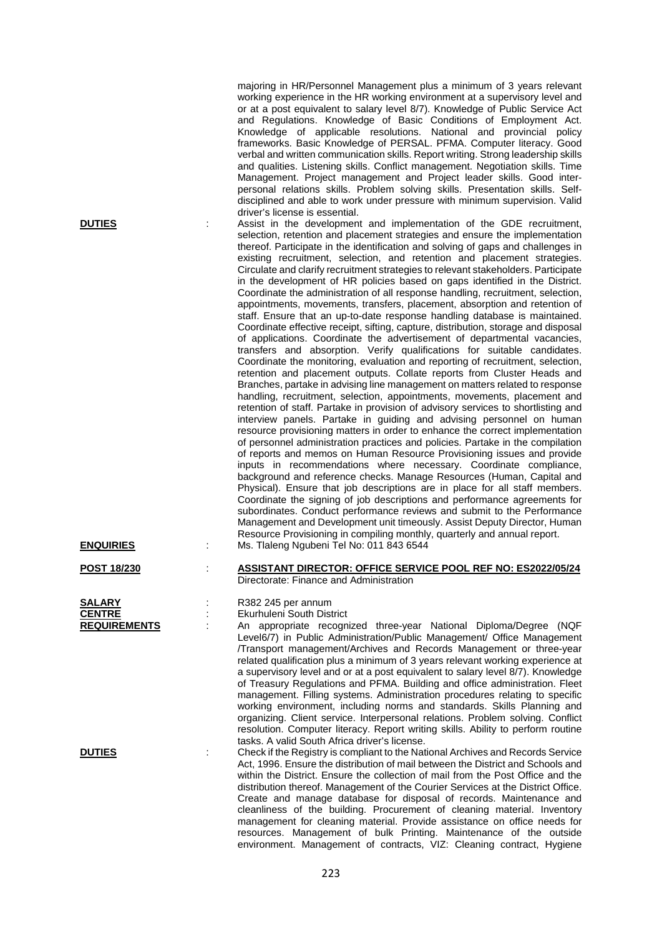|                                                       | majoring in HR/Personnel Management plus a minimum of 3 years relevant<br>working experience in the HR working environment at a supervisory level and<br>or at a post equivalent to salary level 8/7). Knowledge of Public Service Act<br>and Regulations. Knowledge of Basic Conditions of Employment Act.<br>Knowledge of applicable resolutions. National and provincial policy<br>frameworks. Basic Knowledge of PERSAL. PFMA. Computer literacy. Good<br>verbal and written communication skills. Report writing. Strong leadership skills<br>and qualities. Listening skills. Conflict management. Negotiation skills. Time<br>Management. Project management and Project leader skills. Good inter-<br>personal relations skills. Problem solving skills. Presentation skills. Self-<br>disciplined and able to work under pressure with minimum supervision. Valid<br>driver's license is essential.                                                                                                                                                                                                                                                                                                                                                                                                                                                                                                                                                                                                                                                                                                                                                                                                                                                                                                                                                                                                                                                                                                                                                                                                                                                                             |
|-------------------------------------------------------|------------------------------------------------------------------------------------------------------------------------------------------------------------------------------------------------------------------------------------------------------------------------------------------------------------------------------------------------------------------------------------------------------------------------------------------------------------------------------------------------------------------------------------------------------------------------------------------------------------------------------------------------------------------------------------------------------------------------------------------------------------------------------------------------------------------------------------------------------------------------------------------------------------------------------------------------------------------------------------------------------------------------------------------------------------------------------------------------------------------------------------------------------------------------------------------------------------------------------------------------------------------------------------------------------------------------------------------------------------------------------------------------------------------------------------------------------------------------------------------------------------------------------------------------------------------------------------------------------------------------------------------------------------------------------------------------------------------------------------------------------------------------------------------------------------------------------------------------------------------------------------------------------------------------------------------------------------------------------------------------------------------------------------------------------------------------------------------------------------------------------------------------------------------------------------------|
| <b>DUTIES</b>                                         | Assist in the development and implementation of the GDE recruitment,<br>selection, retention and placement strategies and ensure the implementation<br>thereof. Participate in the identification and solving of gaps and challenges in<br>existing recruitment, selection, and retention and placement strategies.<br>Circulate and clarify recruitment strategies to relevant stakeholders. Participate<br>in the development of HR policies based on gaps identified in the District.<br>Coordinate the administration of all response handling, recruitment, selection,<br>appointments, movements, transfers, placement, absorption and retention of<br>staff. Ensure that an up-to-date response handling database is maintained.<br>Coordinate effective receipt, sifting, capture, distribution, storage and disposal<br>of applications. Coordinate the advertisement of departmental vacancies,<br>transfers and absorption. Verify qualifications for suitable candidates.<br>Coordinate the monitoring, evaluation and reporting of recruitment, selection,<br>retention and placement outputs. Collate reports from Cluster Heads and<br>Branches, partake in advising line management on matters related to response<br>handling, recruitment, selection, appointments, movements, placement and<br>retention of staff. Partake in provision of advisory services to shortlisting and<br>interview panels. Partake in guiding and advising personnel on human<br>resource provisioning matters in order to enhance the correct implementation<br>of personnel administration practices and policies. Partake in the compilation<br>of reports and memos on Human Resource Provisioning issues and provide<br>inputs in recommendations where necessary. Coordinate compliance,<br>background and reference checks. Manage Resources (Human, Capital and<br>Physical). Ensure that job descriptions are in place for all staff members.<br>Coordinate the signing of job descriptions and performance agreements for<br>subordinates. Conduct performance reviews and submit to the Performance<br>Management and Development unit timeously. Assist Deputy Director, Human |
| <b>ENQUIRIES</b>                                      | Resource Provisioning in compiling monthly, quarterly and annual report.<br>Ms. Tlaleng Ngubeni Tel No: 011 843 6544                                                                                                                                                                                                                                                                                                                                                                                                                                                                                                                                                                                                                                                                                                                                                                                                                                                                                                                                                                                                                                                                                                                                                                                                                                                                                                                                                                                                                                                                                                                                                                                                                                                                                                                                                                                                                                                                                                                                                                                                                                                                     |
| <b>POST 18/230</b>                                    | ASSISTANT DIRECTOR: OFFICE SERVICE POOL REF NO: ES2022/05/24<br>Directorate: Finance and Administration                                                                                                                                                                                                                                                                                                                                                                                                                                                                                                                                                                                                                                                                                                                                                                                                                                                                                                                                                                                                                                                                                                                                                                                                                                                                                                                                                                                                                                                                                                                                                                                                                                                                                                                                                                                                                                                                                                                                                                                                                                                                                  |
| <b>SALARY</b><br><b>CENTRE</b><br><b>REQUIREMENTS</b> | R382 245 per annum<br><b>Ekurhuleni South District</b><br>An appropriate recognized three-year National Diploma/Degree (NQF<br>Level6/7) in Public Administration/Public Management/ Office Management<br>/Transport management/Archives and Records Management or three-year<br>related qualification plus a minimum of 3 years relevant working experience at<br>a supervisory level and or at a post equivalent to salary level 8/7). Knowledge<br>of Treasury Regulations and PFMA. Building and office administration. Fleet<br>management. Filling systems. Administration procedures relating to specific<br>working environment, including norms and standards. Skills Planning and<br>organizing. Client service. Interpersonal relations. Problem solving. Conflict<br>resolution. Computer literacy. Report writing skills. Ability to perform routine                                                                                                                                                                                                                                                                                                                                                                                                                                                                                                                                                                                                                                                                                                                                                                                                                                                                                                                                                                                                                                                                                                                                                                                                                                                                                                                        |
| <b>DUTIES</b>                                         | tasks. A valid South Africa driver's license.<br>Check if the Registry is compliant to the National Archives and Records Service<br>Act, 1996. Ensure the distribution of mail between the District and Schools and<br>within the District. Ensure the collection of mail from the Post Office and the<br>distribution thereof. Management of the Courier Services at the District Office.<br>Create and manage database for disposal of records. Maintenance and<br>cleanliness of the building. Procurement of cleaning material. Inventory<br>management for cleaning material. Provide assistance on office needs for<br>resources. Management of bulk Printing. Maintenance of the outside<br>environment. Management of contracts, VIZ: Cleaning contract, Hygiene                                                                                                                                                                                                                                                                                                                                                                                                                                                                                                                                                                                                                                                                                                                                                                                                                                                                                                                                                                                                                                                                                                                                                                                                                                                                                                                                                                                                                 |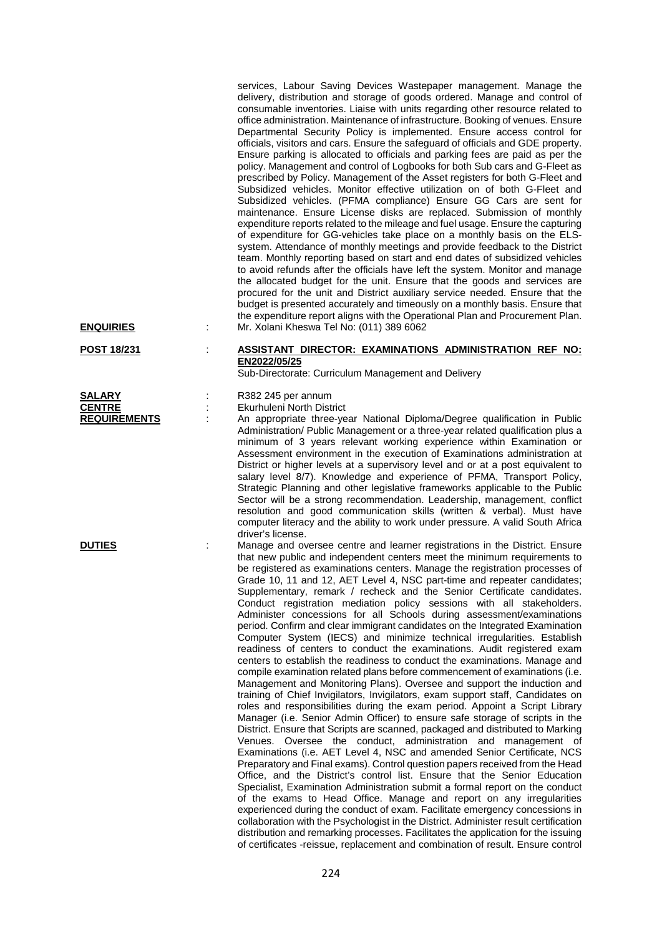| <b>ENQUIRIES</b>        | İ. | services, Labour Saving Devices Wastepaper management. Manage the<br>delivery, distribution and storage of goods ordered. Manage and control of<br>consumable inventories. Liaise with units regarding other resource related to<br>office administration. Maintenance of infrastructure. Booking of venues. Ensure<br>Departmental Security Policy is implemented. Ensure access control for<br>officials, visitors and cars. Ensure the safeguard of officials and GDE property.<br>Ensure parking is allocated to officials and parking fees are paid as per the<br>policy. Management and control of Logbooks for both Sub cars and G-Fleet as<br>prescribed by Policy. Management of the Asset registers for both G-Fleet and<br>Subsidized vehicles. Monitor effective utilization on of both G-Fleet and<br>Subsidized vehicles. (PFMA compliance) Ensure GG Cars are sent for<br>maintenance. Ensure License disks are replaced. Submission of monthly<br>expenditure reports related to the mileage and fuel usage. Ensure the capturing<br>of expenditure for GG-vehicles take place on a monthly basis on the ELS-<br>system. Attendance of monthly meetings and provide feedback to the District<br>team. Monthly reporting based on start and end dates of subsidized vehicles<br>to avoid refunds after the officials have left the system. Monitor and manage<br>the allocated budget for the unit. Ensure that the goods and services are<br>procured for the unit and District auxiliary service needed. Ensure that the<br>budget is presented accurately and timeously on a monthly basis. Ensure that<br>the expenditure report aligns with the Operational Plan and Procurement Plan.<br>Mr. Xolani Kheswa Tel No: (011) 389 6062                                                                                                                                                                                                                                                                                                                                                                                                                           |
|-------------------------|----|----------------------------------------------------------------------------------------------------------------------------------------------------------------------------------------------------------------------------------------------------------------------------------------------------------------------------------------------------------------------------------------------------------------------------------------------------------------------------------------------------------------------------------------------------------------------------------------------------------------------------------------------------------------------------------------------------------------------------------------------------------------------------------------------------------------------------------------------------------------------------------------------------------------------------------------------------------------------------------------------------------------------------------------------------------------------------------------------------------------------------------------------------------------------------------------------------------------------------------------------------------------------------------------------------------------------------------------------------------------------------------------------------------------------------------------------------------------------------------------------------------------------------------------------------------------------------------------------------------------------------------------------------------------------------------------------------------------------------------------------------------------------------------------------------------------------------------------------------------------------------------------------------------------------------------------------------------------------------------------------------------------------------------------------------------------------------------------------------------------------------------------------------------------------------------|
| POST 18/231             |    | <b>ASSISTANT DIRECTOR: EXAMINATIONS ADMINISTRATION REF NO:</b><br>EN2022/05/25                                                                                                                                                                                                                                                                                                                                                                                                                                                                                                                                                                                                                                                                                                                                                                                                                                                                                                                                                                                                                                                                                                                                                                                                                                                                                                                                                                                                                                                                                                                                                                                                                                                                                                                                                                                                                                                                                                                                                                                                                                                                                                   |
| SALARY<br><b>CENTRE</b> |    | Sub-Directorate: Curriculum Management and Delivery<br>R382 245 per annum<br>Ekurhuleni North District                                                                                                                                                                                                                                                                                                                                                                                                                                                                                                                                                                                                                                                                                                                                                                                                                                                                                                                                                                                                                                                                                                                                                                                                                                                                                                                                                                                                                                                                                                                                                                                                                                                                                                                                                                                                                                                                                                                                                                                                                                                                           |
| <b>REQUIREMENTS</b>     |    | An appropriate three-year National Diploma/Degree qualification in Public<br>Administration/ Public Management or a three-year related qualification plus a<br>minimum of 3 years relevant working experience within Examination or<br>Assessment environment in the execution of Examinations administration at<br>District or higher levels at a supervisory level and or at a post equivalent to<br>salary level 8/7). Knowledge and experience of PFMA, Transport Policy,<br>Strategic Planning and other legislative frameworks applicable to the Public<br>Sector will be a strong recommendation. Leadership, management, conflict<br>resolution and good communication skills (written & verbal). Must have<br>computer literacy and the ability to work under pressure. A valid South Africa<br>driver's license.                                                                                                                                                                                                                                                                                                                                                                                                                                                                                                                                                                                                                                                                                                                                                                                                                                                                                                                                                                                                                                                                                                                                                                                                                                                                                                                                                       |
| <b>DUTIES</b>           |    | Manage and oversee centre and learner registrations in the District. Ensure<br>that new public and independent centers meet the minimum requirements to<br>be registered as examinations centers. Manage the registration processes of<br>Grade 10, 11 and 12, AET Level 4, NSC part-time and repeater candidates;<br>Supplementary, remark / recheck and the Senior Certificate candidates.<br>Conduct registration mediation policy sessions with all stakeholders.<br>Administer concessions for all Schools during assessment/examinations<br>period. Confirm and clear immigrant candidates on the Integrated Examination<br>Computer System (IECS) and minimize technical irregularities. Establish<br>readiness of centers to conduct the examinations. Audit registered exam<br>centers to establish the readiness to conduct the examinations. Manage and<br>compile examination related plans before commencement of examinations (i.e.<br>Management and Monitoring Plans). Oversee and support the induction and<br>training of Chief Invigilators, Invigilators, exam support staff, Candidates on<br>roles and responsibilities during the exam period. Appoint a Script Library<br>Manager (i.e. Senior Admin Officer) to ensure safe storage of scripts in the<br>District. Ensure that Scripts are scanned, packaged and distributed to Marking<br>Venues. Oversee the conduct, administration and management of<br>Examinations (i.e. AET Level 4, NSC and amended Senior Certificate, NCS<br>Preparatory and Final exams). Control question papers received from the Head<br>Office, and the District's control list. Ensure that the Senior Education<br>Specialist, Examination Administration submit a formal report on the conduct<br>of the exams to Head Office. Manage and report on any irregularities<br>experienced during the conduct of exam. Facilitate emergency concessions in<br>collaboration with the Psychologist in the District. Administer result certification<br>distribution and remarking processes. Facilitates the application for the issuing<br>of certificates -reissue, replacement and combination of result. Ensure control |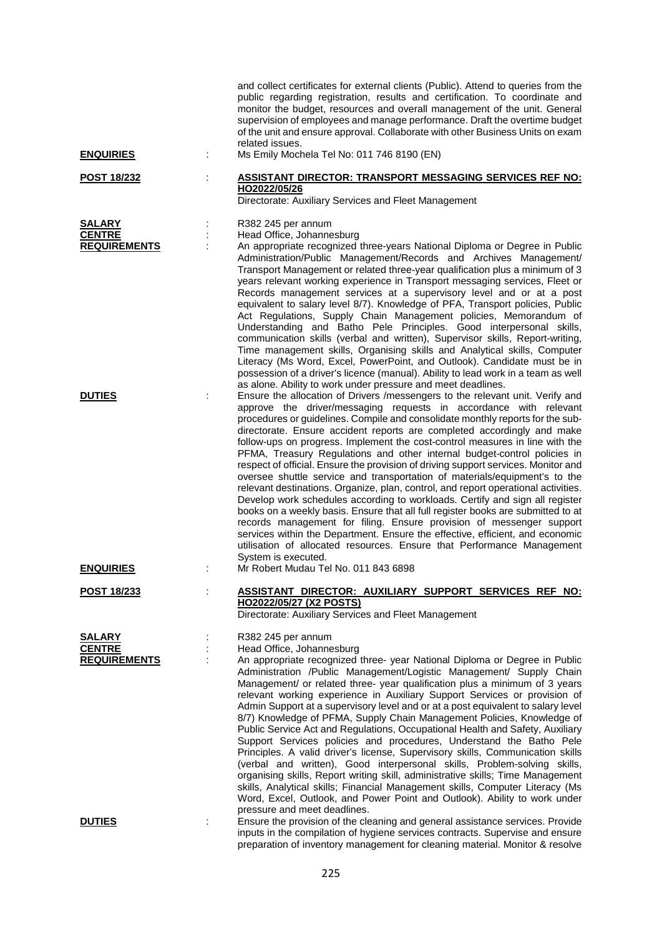|                                                                        |   | and collect certificates for external clients (Public). Attend to queries from the<br>public regarding registration, results and certification. To coordinate and<br>monitor the budget, resources and overall management of the unit. General<br>supervision of employees and manage performance. Draft the overtime budget<br>of the unit and ensure approval. Collaborate with other Business Units on exam<br>related issues.                                                                                                                                                                                                                                                                                                                                                                                                                                                                                                                                                                                                                                                                                                                     |
|------------------------------------------------------------------------|---|-------------------------------------------------------------------------------------------------------------------------------------------------------------------------------------------------------------------------------------------------------------------------------------------------------------------------------------------------------------------------------------------------------------------------------------------------------------------------------------------------------------------------------------------------------------------------------------------------------------------------------------------------------------------------------------------------------------------------------------------------------------------------------------------------------------------------------------------------------------------------------------------------------------------------------------------------------------------------------------------------------------------------------------------------------------------------------------------------------------------------------------------------------|
| <b>ENQUIRIES</b>                                                       |   | Ms Emily Mochela Tel No: 011 746 8190 (EN)                                                                                                                                                                                                                                                                                                                                                                                                                                                                                                                                                                                                                                                                                                                                                                                                                                                                                                                                                                                                                                                                                                            |
| <b>POST 18/232</b>                                                     | ÷ | <b>ASSISTANT DIRECTOR: TRANSPORT MESSAGING SERVICES REF NO:</b><br>HO2022/05/26<br>Directorate: Auxiliary Services and Fleet Management                                                                                                                                                                                                                                                                                                                                                                                                                                                                                                                                                                                                                                                                                                                                                                                                                                                                                                                                                                                                               |
| <b>SALARY</b><br><b>CENTRE</b><br><b>REQUIREMENTS</b><br><b>DUTIES</b> |   | R382 245 per annum<br>Head Office, Johannesburg<br>An appropriate recognized three-years National Diploma or Degree in Public<br>Administration/Public Management/Records and Archives Management/<br>Transport Management or related three-year qualification plus a minimum of 3<br>years relevant working experience in Transport messaging services, Fleet or<br>Records management services at a supervisory level and or at a post<br>equivalent to salary level 8/7). Knowledge of PFA, Transport policies, Public<br>Act Regulations, Supply Chain Management policies, Memorandum of<br>Understanding and Batho Pele Principles. Good interpersonal skills,<br>communication skills (verbal and written), Supervisor skills, Report-writing,<br>Time management skills, Organising skills and Analytical skills, Computer<br>Literacy (Ms Word, Excel, PowerPoint, and Outlook). Candidate must be in<br>possession of a driver's licence (manual). Ability to lead work in a team as well<br>as alone. Ability to work under pressure and meet deadlines.<br>Ensure the allocation of Drivers / messengers to the relevant unit. Verify and |
|                                                                        |   | approve the driver/messaging requests in accordance with relevant<br>procedures or guidelines. Compile and consolidate monthly reports for the sub-<br>directorate. Ensure accident reports are completed accordingly and make<br>follow-ups on progress. Implement the cost-control measures in line with the<br>PFMA, Treasury Regulations and other internal budget-control policies in<br>respect of official. Ensure the provision of driving support services. Monitor and<br>oversee shuttle service and transportation of materials/equipment's to the<br>relevant destinations. Organize, plan, control, and report operational activities.<br>Develop work schedules according to workloads. Certify and sign all register<br>books on a weekly basis. Ensure that all full register books are submitted to at<br>records management for filing. Ensure provision of messenger support<br>services within the Department. Ensure the effective, efficient, and economic<br>utilisation of allocated resources. Ensure that Performance Management<br>System is executed.                                                                    |
| <b>ENQUIRIES</b>                                                       |   | Mr Robert Mudau Tel No. 011 843 6898                                                                                                                                                                                                                                                                                                                                                                                                                                                                                                                                                                                                                                                                                                                                                                                                                                                                                                                                                                                                                                                                                                                  |
| POST 18/233                                                            |   | <b>ASSISTANT DIRECTOR: AUXILIARY SUPPORT SERVICES REF NO:</b><br>HO2022/05/27 (X2 POSTS)<br>Directorate: Auxiliary Services and Fleet Management                                                                                                                                                                                                                                                                                                                                                                                                                                                                                                                                                                                                                                                                                                                                                                                                                                                                                                                                                                                                      |
| <b>SALARY</b><br><b>CENTRE</b><br><b>REQUIREMENTS</b>                  |   | R382 245 per annum<br>Head Office, Johannesburg<br>An appropriate recognized three- year National Diploma or Degree in Public<br>Administration /Public Management/Logistic Management/ Supply Chain<br>Management/ or related three- year qualification plus a minimum of 3 years<br>relevant working experience in Auxiliary Support Services or provision of<br>Admin Support at a supervisory level and or at a post equivalent to salary level<br>8/7) Knowledge of PFMA, Supply Chain Management Policies, Knowledge of<br>Public Service Act and Regulations, Occupational Health and Safety, Auxiliary<br>Support Services policies and procedures, Understand the Batho Pele<br>Principles. A valid driver's license, Supervisory skills, Communication skills<br>(verbal and written), Good interpersonal skills, Problem-solving skills,<br>organising skills, Report writing skill, administrative skills; Time Management<br>skills, Analytical skills; Financial Management skills, Computer Literacy (Ms<br>Word, Excel, Outlook, and Power Point and Outlook). Ability to work under<br>pressure and meet deadlines.                  |
| <b>DUTIES</b>                                                          |   | Ensure the provision of the cleaning and general assistance services. Provide<br>inputs in the compilation of hygiene services contracts. Supervise and ensure<br>preparation of inventory management for cleaning material. Monitor & resolve                                                                                                                                                                                                                                                                                                                                                                                                                                                                                                                                                                                                                                                                                                                                                                                                                                                                                                        |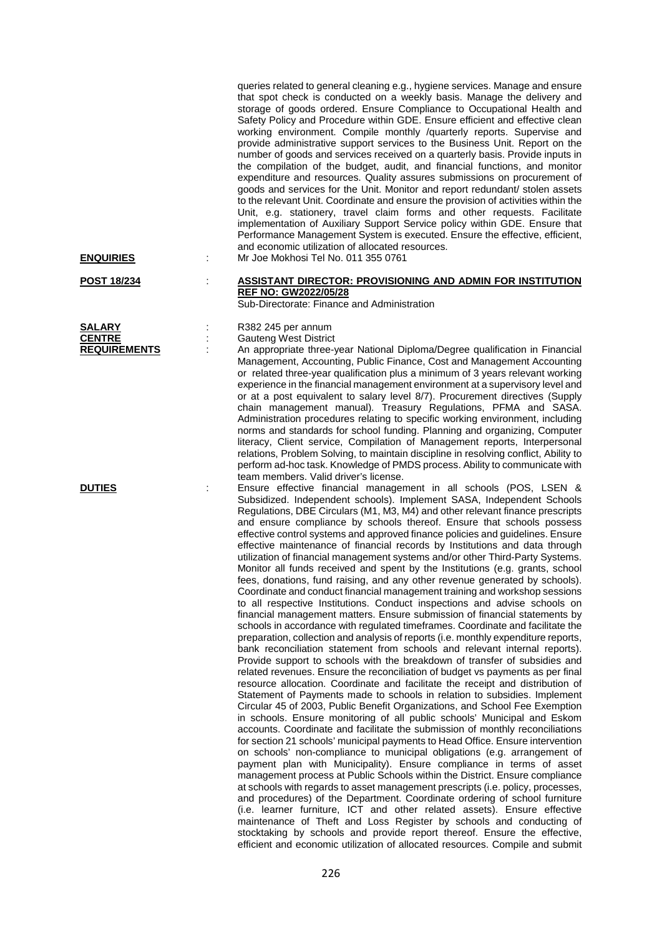|                     |   | queries related to general cleaning e.g., hygiene services. Manage and ensure<br>that spot check is conducted on a weekly basis. Manage the delivery and<br>storage of goods ordered. Ensure Compliance to Occupational Health and<br>Safety Policy and Procedure within GDE. Ensure efficient and effective clean<br>working environment. Compile monthly /quarterly reports. Supervise and<br>provide administrative support services to the Business Unit. Report on the<br>number of goods and services received on a quarterly basis. Provide inputs in<br>the compilation of the budget, audit, and financial functions, and monitor<br>expenditure and resources. Quality assures submissions on procurement of<br>goods and services for the Unit. Monitor and report redundant/ stolen assets<br>to the relevant Unit. Coordinate and ensure the provision of activities within the<br>Unit, e.g. stationery, travel claim forms and other requests. Facilitate<br>implementation of Auxiliary Support Service policy within GDE. Ensure that<br>Performance Management System is executed. Ensure the effective, efficient,<br>and economic utilization of allocated resources.                                                                                                                                                                                                                                                                                                                                                                                                                                                                                                                                                                                                                                                                                                                                                                                                                                                                                                                                                                                                                                                                                                                                                                                                                                                                                                                                                                                                              |
|---------------------|---|--------------------------------------------------------------------------------------------------------------------------------------------------------------------------------------------------------------------------------------------------------------------------------------------------------------------------------------------------------------------------------------------------------------------------------------------------------------------------------------------------------------------------------------------------------------------------------------------------------------------------------------------------------------------------------------------------------------------------------------------------------------------------------------------------------------------------------------------------------------------------------------------------------------------------------------------------------------------------------------------------------------------------------------------------------------------------------------------------------------------------------------------------------------------------------------------------------------------------------------------------------------------------------------------------------------------------------------------------------------------------------------------------------------------------------------------------------------------------------------------------------------------------------------------------------------------------------------------------------------------------------------------------------------------------------------------------------------------------------------------------------------------------------------------------------------------------------------------------------------------------------------------------------------------------------------------------------------------------------------------------------------------------------------------------------------------------------------------------------------------------------------------------------------------------------------------------------------------------------------------------------------------------------------------------------------------------------------------------------------------------------------------------------------------------------------------------------------------------------------------------------------------------------------------------------------------------------------------------------|
| <b>ENQUIRIES</b>    | ÷ | Mr Joe Mokhosi Tel No. 011 355 0761                                                                                                                                                                                                                                                                                                                                                                                                                                                                                                                                                                                                                                                                                                                                                                                                                                                                                                                                                                                                                                                                                                                                                                                                                                                                                                                                                                                                                                                                                                                                                                                                                                                                                                                                                                                                                                                                                                                                                                                                                                                                                                                                                                                                                                                                                                                                                                                                                                                                                                                                                                    |
| <b>POST 18/234</b>  |   | <b>ASSISTANT DIRECTOR: PROVISIONING AND ADMIN FOR INSTITUTION</b><br><b>REF NO: GW2022/05/28</b><br>Sub-Directorate: Finance and Administration                                                                                                                                                                                                                                                                                                                                                                                                                                                                                                                                                                                                                                                                                                                                                                                                                                                                                                                                                                                                                                                                                                                                                                                                                                                                                                                                                                                                                                                                                                                                                                                                                                                                                                                                                                                                                                                                                                                                                                                                                                                                                                                                                                                                                                                                                                                                                                                                                                                        |
| <b>SALARY</b>       |   | R382 245 per annum                                                                                                                                                                                                                                                                                                                                                                                                                                                                                                                                                                                                                                                                                                                                                                                                                                                                                                                                                                                                                                                                                                                                                                                                                                                                                                                                                                                                                                                                                                                                                                                                                                                                                                                                                                                                                                                                                                                                                                                                                                                                                                                                                                                                                                                                                                                                                                                                                                                                                                                                                                                     |
| <b>CENTRE</b>       |   | <b>Gauteng West District</b>                                                                                                                                                                                                                                                                                                                                                                                                                                                                                                                                                                                                                                                                                                                                                                                                                                                                                                                                                                                                                                                                                                                                                                                                                                                                                                                                                                                                                                                                                                                                                                                                                                                                                                                                                                                                                                                                                                                                                                                                                                                                                                                                                                                                                                                                                                                                                                                                                                                                                                                                                                           |
| <b>REQUIREMENTS</b> |   | An appropriate three-year National Diploma/Degree qualification in Financial<br>Management, Accounting, Public Finance, Cost and Management Accounting<br>or related three-year qualification plus a minimum of 3 years relevant working<br>experience in the financial management environment at a supervisory level and<br>or at a post equivalent to salary level 8/7). Procurement directives (Supply<br>chain management manual). Treasury Regulations, PFMA and SASA.<br>Administration procedures relating to specific working environment, including<br>norms and standards for school funding. Planning and organizing, Computer<br>literacy, Client service, Compilation of Management reports, Interpersonal<br>relations, Problem Solving, to maintain discipline in resolving conflict, Ability to<br>perform ad-hoc task. Knowledge of PMDS process. Ability to communicate with<br>team members. Valid driver's license.                                                                                                                                                                                                                                                                                                                                                                                                                                                                                                                                                                                                                                                                                                                                                                                                                                                                                                                                                                                                                                                                                                                                                                                                                                                                                                                                                                                                                                                                                                                                                                                                                                                                |
| <b>DUTIES</b>       |   | Ensure effective financial management in all schools (POS, LSEN &<br>Subsidized. Independent schools). Implement SASA, Independent Schools<br>Regulations, DBE Circulars (M1, M3, M4) and other relevant finance prescripts<br>and ensure compliance by schools thereof. Ensure that schools possess<br>effective control systems and approved finance policies and guidelines. Ensure<br>effective maintenance of financial records by Institutions and data through<br>utilization of financial management systems and/or other Third-Party Systems.<br>Monitor all funds received and spent by the Institutions (e.g. grants, school<br>fees, donations, fund raising, and any other revenue generated by schools).<br>Coordinate and conduct financial management training and workshop sessions<br>to all respective Institutions. Conduct inspections and advise schools on<br>financial management matters. Ensure submission of financial statements by<br>schools in accordance with regulated timeframes. Coordinate and facilitate the<br>preparation, collection and analysis of reports (i.e. monthly expenditure reports,<br>bank reconciliation statement from schools and relevant internal reports).<br>Provide support to schools with the breakdown of transfer of subsidies and<br>related revenues. Ensure the reconciliation of budget vs payments as per final<br>resource allocation. Coordinate and facilitate the receipt and distribution of<br>Statement of Payments made to schools in relation to subsidies. Implement<br>Circular 45 of 2003, Public Benefit Organizations, and School Fee Exemption<br>in schools. Ensure monitoring of all public schools' Municipal and Eskom<br>accounts. Coordinate and facilitate the submission of monthly reconciliations<br>for section 21 schools' municipal payments to Head Office. Ensure intervention<br>on schools' non-compliance to municipal obligations (e.g. arrangement of<br>payment plan with Municipality). Ensure compliance in terms of asset<br>management process at Public Schools within the District. Ensure compliance<br>at schools with regards to asset management prescripts (i.e. policy, processes,<br>and procedures) of the Department. Coordinate ordering of school furniture<br>(i.e. learner furniture, ICT and other related assets). Ensure effective<br>maintenance of Theft and Loss Register by schools and conducting of<br>stocktaking by schools and provide report thereof. Ensure the effective,<br>efficient and economic utilization of allocated resources. Compile and submit |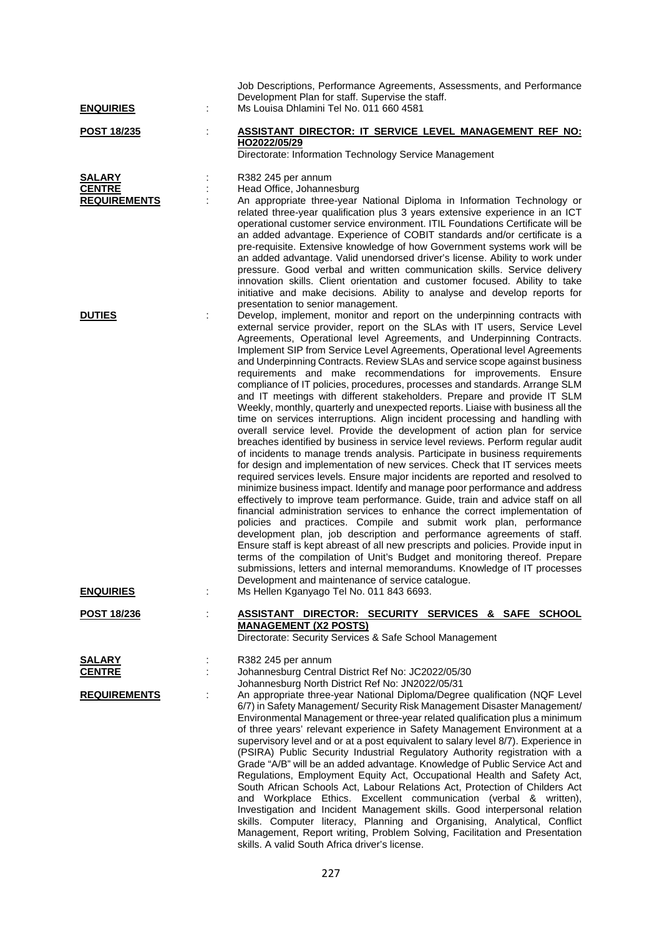| <b>ENQUIRIES</b>                                      | ÷ | Job Descriptions, Performance Agreements, Assessments, and Performance<br>Development Plan for staff. Supervise the staff.<br>Ms Louisa Dhlamini Tel No. 011 660 4581                                                                                                                                                                                                                                                                                                                                                                                                                                                                                                                                                                                                                                                                                                                                                                                                                                                                                                                                                                                                                                                                                                                                                                                                                                                                                                                                                                                                                                                                                                                                                                                                                                                                                                                                    |
|-------------------------------------------------------|---|----------------------------------------------------------------------------------------------------------------------------------------------------------------------------------------------------------------------------------------------------------------------------------------------------------------------------------------------------------------------------------------------------------------------------------------------------------------------------------------------------------------------------------------------------------------------------------------------------------------------------------------------------------------------------------------------------------------------------------------------------------------------------------------------------------------------------------------------------------------------------------------------------------------------------------------------------------------------------------------------------------------------------------------------------------------------------------------------------------------------------------------------------------------------------------------------------------------------------------------------------------------------------------------------------------------------------------------------------------------------------------------------------------------------------------------------------------------------------------------------------------------------------------------------------------------------------------------------------------------------------------------------------------------------------------------------------------------------------------------------------------------------------------------------------------------------------------------------------------------------------------------------------------|
| <u>POST 18/235</u>                                    |   | ASSISTANT DIRECTOR: IT SERVICE LEVEL MANAGEMENT REF NO:<br>HO2022/05/29                                                                                                                                                                                                                                                                                                                                                                                                                                                                                                                                                                                                                                                                                                                                                                                                                                                                                                                                                                                                                                                                                                                                                                                                                                                                                                                                                                                                                                                                                                                                                                                                                                                                                                                                                                                                                                  |
|                                                       |   | Directorate: Information Technology Service Management                                                                                                                                                                                                                                                                                                                                                                                                                                                                                                                                                                                                                                                                                                                                                                                                                                                                                                                                                                                                                                                                                                                                                                                                                                                                                                                                                                                                                                                                                                                                                                                                                                                                                                                                                                                                                                                   |
| <b>SALARY</b><br><b>CENTRE</b><br><b>REQUIREMENTS</b> |   | R382 245 per annum<br>Head Office, Johannesburg<br>An appropriate three-year National Diploma in Information Technology or<br>related three-year qualification plus 3 years extensive experience in an ICT<br>operational customer service environment. ITIL Foundations Certificate will be<br>an added advantage. Experience of COBIT standards and/or certificate is a<br>pre-requisite. Extensive knowledge of how Government systems work will be<br>an added advantage. Valid unendorsed driver's license. Ability to work under<br>pressure. Good verbal and written communication skills. Service delivery<br>innovation skills. Client orientation and customer focused. Ability to take<br>initiative and make decisions. Ability to analyse and develop reports for<br>presentation to senior management.                                                                                                                                                                                                                                                                                                                                                                                                                                                                                                                                                                                                                                                                                                                                                                                                                                                                                                                                                                                                                                                                                     |
| <b>DUTIES</b>                                         |   | Develop, implement, monitor and report on the underpinning contracts with<br>external service provider, report on the SLAs with IT users, Service Level<br>Agreements, Operational level Agreements, and Underpinning Contracts.<br>Implement SIP from Service Level Agreements, Operational level Agreements<br>and Underpinning Contracts. Review SLAs and service scope against business<br>requirements and make recommendations for improvements. Ensure<br>compliance of IT policies, procedures, processes and standards. Arrange SLM<br>and IT meetings with different stakeholders. Prepare and provide IT SLM<br>Weekly, monthly, quarterly and unexpected reports. Liaise with business all the<br>time on services interruptions. Align incident processing and handling with<br>overall service level. Provide the development of action plan for service<br>breaches identified by business in service level reviews. Perform regular audit<br>of incidents to manage trends analysis. Participate in business requirements<br>for design and implementation of new services. Check that IT services meets<br>required services levels. Ensure major incidents are reported and resolved to<br>minimize business impact. Identify and manage poor performance and address<br>effectively to improve team performance. Guide, train and advice staff on all<br>financial administration services to enhance the correct implementation of<br>policies and practices. Compile and submit work plan, performance<br>development plan, job description and performance agreements of staff.<br>Ensure staff is kept abreast of all new prescripts and policies. Provide input in<br>terms of the compilation of Unit's Budget and monitoring thereof. Prepare<br>submissions, letters and internal memorandums. Knowledge of IT processes<br>Development and maintenance of service catalogue. |
| <b>ENQUIRIES</b>                                      | ÷ | Ms Hellen Kganyago Tel No. 011 843 6693.                                                                                                                                                                                                                                                                                                                                                                                                                                                                                                                                                                                                                                                                                                                                                                                                                                                                                                                                                                                                                                                                                                                                                                                                                                                                                                                                                                                                                                                                                                                                                                                                                                                                                                                                                                                                                                                                 |
| <u>POST 18/236</u>                                    |   | ASSISTANT DIRECTOR: SECURITY SERVICES & SAFE SCHOOL<br><b>MANAGEMENT (X2 POSTS)</b><br>Directorate: Security Services & Safe School Management                                                                                                                                                                                                                                                                                                                                                                                                                                                                                                                                                                                                                                                                                                                                                                                                                                                                                                                                                                                                                                                                                                                                                                                                                                                                                                                                                                                                                                                                                                                                                                                                                                                                                                                                                           |
| <u>SALARY</u><br><b>CENTRE</b>                        |   | R382 245 per annum<br>Johannesburg Central District Ref No: JC2022/05/30<br>Johannesburg North District Ref No: JN2022/05/31                                                                                                                                                                                                                                                                                                                                                                                                                                                                                                                                                                                                                                                                                                                                                                                                                                                                                                                                                                                                                                                                                                                                                                                                                                                                                                                                                                                                                                                                                                                                                                                                                                                                                                                                                                             |
| <b>REQUIREMENTS</b>                                   |   | An appropriate three-year National Diploma/Degree qualification (NQF Level<br>6/7) in Safety Management/ Security Risk Management Disaster Management/<br>Environmental Management or three-year related qualification plus a minimum<br>of three years' relevant experience in Safety Management Environment at a<br>supervisory level and or at a post equivalent to salary level 8/7). Experience in<br>(PSIRA) Public Security Industrial Regulatory Authority registration with a<br>Grade "A/B" will be an added advantage. Knowledge of Public Service Act and<br>Regulations, Employment Equity Act, Occupational Health and Safety Act,<br>South African Schools Act, Labour Relations Act, Protection of Childers Act<br>and Workplace Ethics. Excellent communication (verbal & written),<br>Investigation and Incident Management skills. Good interpersonal relation<br>skills. Computer literacy, Planning and Organising, Analytical, Conflict<br>Management, Report writing, Problem Solving, Facilitation and Presentation<br>skills. A valid South Africa driver's license.                                                                                                                                                                                                                                                                                                                                                                                                                                                                                                                                                                                                                                                                                                                                                                                                            |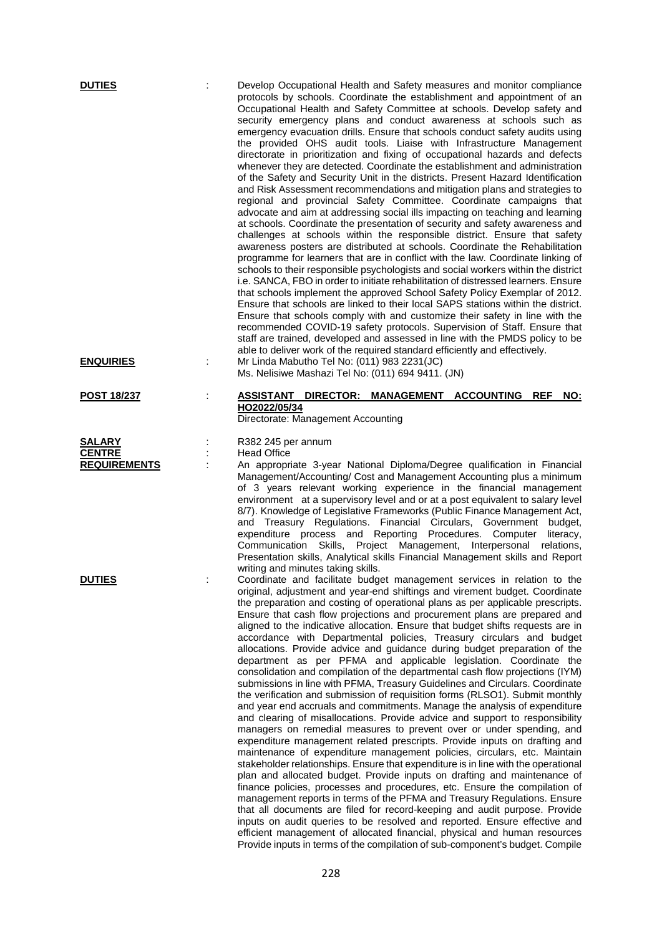|   | Develop Occupational Health and Safety measures and monitor compliance<br>protocols by schools. Coordinate the establishment and appointment of an<br>Occupational Health and Safety Committee at schools. Develop safety and<br>security emergency plans and conduct awareness at schools such as<br>emergency evacuation drills. Ensure that schools conduct safety audits using<br>the provided OHS audit tools. Liaise with Infrastructure Management<br>directorate in prioritization and fixing of occupational hazards and defects<br>whenever they are detected. Coordinate the establishment and administration<br>of the Safety and Security Unit in the districts. Present Hazard Identification<br>and Risk Assessment recommendations and mitigation plans and strategies to<br>regional and provincial Safety Committee. Coordinate campaigns that<br>advocate and aim at addressing social ills impacting on teaching and learning<br>at schools. Coordinate the presentation of security and safety awareness and<br>challenges at schools within the responsible district. Ensure that safety<br>awareness posters are distributed at schools. Coordinate the Rehabilitation<br>programme for learners that are in conflict with the law. Coordinate linking of<br>schools to their responsible psychologists and social workers within the district<br>i.e. SANCA, FBO in order to initiate rehabilitation of distressed learners. Ensure<br>that schools implement the approved School Safety Policy Exemplar of 2012.<br>Ensure that schools are linked to their local SAPS stations within the district.<br>Ensure that schools comply with and customize their safety in line with the<br>recommended COVID-19 safety protocols. Supervision of Staff. Ensure that<br>staff are trained, developed and assessed in line with the PMDS policy to be<br>able to deliver work of the required standard efficiently and effectively. |
|---|--------------------------------------------------------------------------------------------------------------------------------------------------------------------------------------------------------------------------------------------------------------------------------------------------------------------------------------------------------------------------------------------------------------------------------------------------------------------------------------------------------------------------------------------------------------------------------------------------------------------------------------------------------------------------------------------------------------------------------------------------------------------------------------------------------------------------------------------------------------------------------------------------------------------------------------------------------------------------------------------------------------------------------------------------------------------------------------------------------------------------------------------------------------------------------------------------------------------------------------------------------------------------------------------------------------------------------------------------------------------------------------------------------------------------------------------------------------------------------------------------------------------------------------------------------------------------------------------------------------------------------------------------------------------------------------------------------------------------------------------------------------------------------------------------------------------------------------------------------------------------------------------------------------------------------------------------------|
|   | Mr Linda Mabutho Tel No: (011) 983 2231(JC)<br>Ms. Nelisiwe Mashazi Tel No: (011) 694 9411. (JN)                                                                                                                                                                                                                                                                                                                                                                                                                                                                                                                                                                                                                                                                                                                                                                                                                                                                                                                                                                                                                                                                                                                                                                                                                                                                                                                                                                                                                                                                                                                                                                                                                                                                                                                                                                                                                                                       |
| t | ASSISTANT DIRECTOR: MANAGEMENT ACCOUNTING REF<br>NO:<br>HO2022/05/34<br>Directorate: Management Accounting                                                                                                                                                                                                                                                                                                                                                                                                                                                                                                                                                                                                                                                                                                                                                                                                                                                                                                                                                                                                                                                                                                                                                                                                                                                                                                                                                                                                                                                                                                                                                                                                                                                                                                                                                                                                                                             |
|   | R382 245 per annum                                                                                                                                                                                                                                                                                                                                                                                                                                                                                                                                                                                                                                                                                                                                                                                                                                                                                                                                                                                                                                                                                                                                                                                                                                                                                                                                                                                                                                                                                                                                                                                                                                                                                                                                                                                                                                                                                                                                     |
|   | <b>Head Office</b>                                                                                                                                                                                                                                                                                                                                                                                                                                                                                                                                                                                                                                                                                                                                                                                                                                                                                                                                                                                                                                                                                                                                                                                                                                                                                                                                                                                                                                                                                                                                                                                                                                                                                                                                                                                                                                                                                                                                     |
|   | An appropriate 3-year National Diploma/Degree qualification in Financial<br>Management/Accounting/ Cost and Management Accounting plus a minimum<br>of 3 years relevant working experience in the financial management<br>environment at a supervisory level and or at a post equivalent to salary level<br>8/7). Knowledge of Legislative Frameworks (Public Finance Management Act,<br>and Treasury Regulations. Financial Circulars, Government<br>budget,<br>expenditure process and Reporting Procedures. Computer<br>literacy,<br>Communication Skills, Project Management, Interpersonal relations,<br>Presentation skills, Analytical skills Financial Management skills and Report<br>writing and minutes taking skills.                                                                                                                                                                                                                                                                                                                                                                                                                                                                                                                                                                                                                                                                                                                                                                                                                                                                                                                                                                                                                                                                                                                                                                                                                      |
|   | Coordinate and facilitate budget management services in relation to the<br>original, adjustment and year-end shiftings and virement budget. Coordinate<br>the preparation and costing of operational plans as per applicable prescripts.<br>Ensure that cash flow projections and procurement plans are prepared and<br>aligned to the indicative allocation. Ensure that budget shifts requests are in<br>accordance with Departmental policies, Treasury circulars and budget<br>allocations. Provide advice and guidance during budget preparation of the<br>department as per PFMA and applicable legislation. Coordinate the<br>consolidation and compilation of the departmental cash flow projections (IYM)<br>submissions in line with PFMA, Treasury Guidelines and Circulars. Coordinate<br>the verification and submission of requisition forms (RLSO1). Submit monthly<br>and year end accruals and commitments. Manage the analysis of expenditure<br>and clearing of misallocations. Provide advice and support to responsibility<br>managers on remedial measures to prevent over or under spending, and<br>expenditure management related prescripts. Provide inputs on drafting and<br>maintenance of expenditure management policies, circulars, etc. Maintain<br>stakeholder relationships. Ensure that expenditure is in line with the operational<br>plan and allocated budget. Provide inputs on drafting and maintenance of<br>finance policies, processes and procedures, etc. Ensure the compilation of<br>management reports in terms of the PFMA and Treasury Regulations. Ensure<br>that all documents are filed for record-keeping and audit purpose. Provide<br>inputs on audit queries to be resolved and reported. Ensure effective and<br>efficient management of allocated financial, physical and human resources<br>Provide inputs in terms of the compilation of sub-component's budget. Compile                  |
|   |                                                                                                                                                                                                                                                                                                                                                                                                                                                                                                                                                                                                                                                                                                                                                                                                                                                                                                                                                                                                                                                                                                                                                                                                                                                                                                                                                                                                                                                                                                                                                                                                                                                                                                                                                                                                                                                                                                                                                        |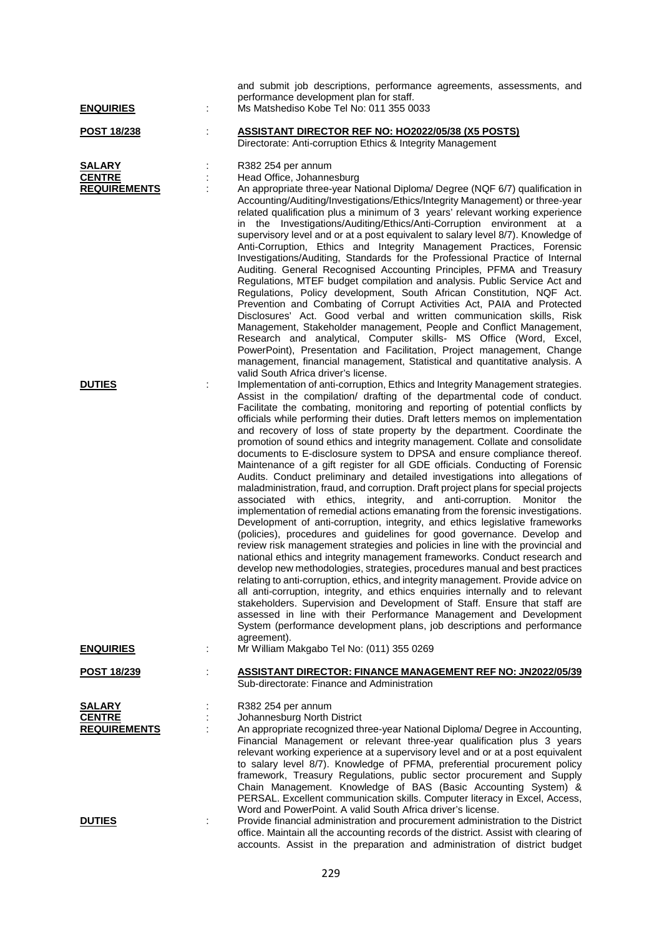| <b>ENQUIRIES</b>                                      |   | and submit job descriptions, performance agreements, assessments, and<br>performance development plan for staff.<br>Ms Matshediso Kobe Tel No: 011 355 0033                                                                                                                                                                                                                                                                                                                                                                                                                                                                                                                                                                                                                                                                                                                                                                                                                                                                                                                                                                                                                                                                                                                                                                                                                                                                                                                                                                                                                                                                                                                                                                                                                                                        |
|-------------------------------------------------------|---|--------------------------------------------------------------------------------------------------------------------------------------------------------------------------------------------------------------------------------------------------------------------------------------------------------------------------------------------------------------------------------------------------------------------------------------------------------------------------------------------------------------------------------------------------------------------------------------------------------------------------------------------------------------------------------------------------------------------------------------------------------------------------------------------------------------------------------------------------------------------------------------------------------------------------------------------------------------------------------------------------------------------------------------------------------------------------------------------------------------------------------------------------------------------------------------------------------------------------------------------------------------------------------------------------------------------------------------------------------------------------------------------------------------------------------------------------------------------------------------------------------------------------------------------------------------------------------------------------------------------------------------------------------------------------------------------------------------------------------------------------------------------------------------------------------------------|
| <b>POST 18/238</b>                                    | t | <b>ASSISTANT DIRECTOR REF NO: HO2022/05/38 (X5 POSTS)</b><br>Directorate: Anti-corruption Ethics & Integrity Management                                                                                                                                                                                                                                                                                                                                                                                                                                                                                                                                                                                                                                                                                                                                                                                                                                                                                                                                                                                                                                                                                                                                                                                                                                                                                                                                                                                                                                                                                                                                                                                                                                                                                            |
| <b>SALARY</b><br><b>CENTRE</b><br><b>REQUIREMENTS</b> |   | R382 254 per annum<br>Head Office, Johannesburg<br>An appropriate three-year National Diploma/ Degree (NQF 6/7) qualification in<br>Accounting/Auditing/Investigations/Ethics/Integrity Management) or three-year<br>related qualification plus a minimum of 3 years' relevant working experience<br>in the Investigations/Auditing/Ethics/Anti-Corruption environment at a<br>supervisory level and or at a post equivalent to salary level 8/7). Knowledge of<br>Anti-Corruption, Ethics and Integrity Management Practices, Forensic<br>Investigations/Auditing, Standards for the Professional Practice of Internal<br>Auditing. General Recognised Accounting Principles, PFMA and Treasury<br>Regulations, MTEF budget compilation and analysis. Public Service Act and<br>Regulations, Policy development, South African Constitution, NQF Act.<br>Prevention and Combating of Corrupt Activities Act, PAIA and Protected<br>Disclosures' Act. Good verbal and written communication skills, Risk<br>Management, Stakeholder management, People and Conflict Management,<br>Research and analytical, Computer skills- MS Office (Word, Excel,<br>PowerPoint), Presentation and Facilitation, Project management, Change<br>management, financial management, Statistical and quantitative analysis. A<br>valid South Africa driver's license.                                                                                                                                                                                                                                                                                                                                                                                                                                                               |
| <b>DUTIES</b>                                         | ÷ | Implementation of anti-corruption, Ethics and Integrity Management strategies.<br>Assist in the compilation/ drafting of the departmental code of conduct.<br>Facilitate the combating, monitoring and reporting of potential conflicts by<br>officials while performing their duties. Draft letters memos on implementation<br>and recovery of loss of state property by the department. Coordinate the<br>promotion of sound ethics and integrity management. Collate and consolidate<br>documents to E-disclosure system to DPSA and ensure compliance thereof.<br>Maintenance of a gift register for all GDE officials. Conducting of Forensic<br>Audits. Conduct preliminary and detailed investigations into allegations of<br>maladministration, fraud, and corruption. Draft project plans for special projects<br>associated with ethics,<br>integrity,<br>and anti-corruption. Monitor the<br>implementation of remedial actions emanating from the forensic investigations.<br>Development of anti-corruption, integrity, and ethics legislative frameworks<br>(policies), procedures and guidelines for good governance. Develop and<br>review risk management strategies and policies in line with the provincial and<br>national ethics and integrity management frameworks. Conduct research and<br>develop new methodologies, strategies, procedures manual and best practices<br>relating to anti-corruption, ethics, and integrity management. Provide advice on<br>all anti-corruption, integrity, and ethics enquiries internally and to relevant<br>stakeholders. Supervision and Development of Staff. Ensure that staff are<br>assessed in line with their Performance Management and Development<br>System (performance development plans, job descriptions and performance<br>agreement). |
| <b>ENQUIRIES</b>                                      | ÷ | Mr William Makgabo Tel No: (011) 355 0269                                                                                                                                                                                                                                                                                                                                                                                                                                                                                                                                                                                                                                                                                                                                                                                                                                                                                                                                                                                                                                                                                                                                                                                                                                                                                                                                                                                                                                                                                                                                                                                                                                                                                                                                                                          |
| POST 18/239                                           |   | <b>ASSISTANT DIRECTOR: FINANCE MANAGEMENT REF NO: JN2022/05/39</b><br>Sub-directorate: Finance and Administration                                                                                                                                                                                                                                                                                                                                                                                                                                                                                                                                                                                                                                                                                                                                                                                                                                                                                                                                                                                                                                                                                                                                                                                                                                                                                                                                                                                                                                                                                                                                                                                                                                                                                                  |
| <b>SALARY</b><br><b>CENTRE</b><br><b>REQUIREMENTS</b> |   | R382 254 per annum<br>Johannesburg North District<br>An appropriate recognized three-year National Diploma/ Degree in Accounting,<br>Financial Management or relevant three-year qualification plus 3 years<br>relevant working experience at a supervisory level and or at a post equivalent<br>to salary level 8/7). Knowledge of PFMA, preferential procurement policy<br>framework, Treasury Regulations, public sector procurement and Supply<br>Chain Management. Knowledge of BAS (Basic Accounting System) &<br>PERSAL. Excellent communication skills. Computer literacy in Excel, Access,<br>Word and PowerPoint. A valid South Africa driver's license.                                                                                                                                                                                                                                                                                                                                                                                                                                                                                                                                                                                                                                                                                                                                                                                                                                                                                                                                                                                                                                                                                                                                                 |
| <b>DUTIES</b>                                         |   | Provide financial administration and procurement administration to the District<br>office. Maintain all the accounting records of the district. Assist with clearing of<br>accounts. Assist in the preparation and administration of district budget                                                                                                                                                                                                                                                                                                                                                                                                                                                                                                                                                                                                                                                                                                                                                                                                                                                                                                                                                                                                                                                                                                                                                                                                                                                                                                                                                                                                                                                                                                                                                               |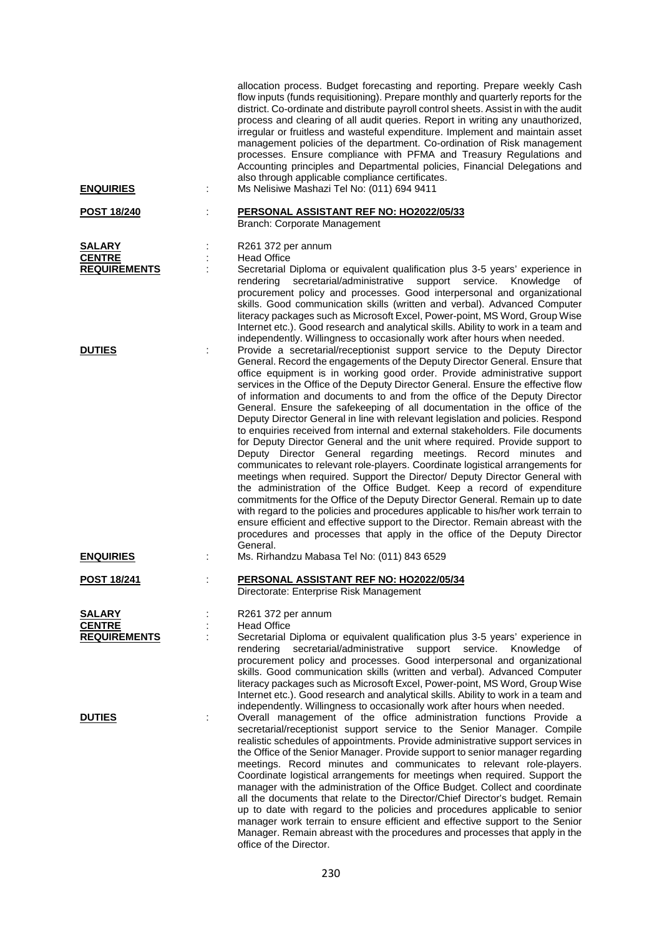| <b>ENQUIRIES</b>                                      | allocation process. Budget forecasting and reporting. Prepare weekly Cash<br>flow inputs (funds requisitioning). Prepare monthly and quarterly reports for the<br>district. Co-ordinate and distribute payroll control sheets. Assist in with the audit<br>process and clearing of all audit queries. Report in writing any unauthorized,<br>irregular or fruitless and wasteful expenditure. Implement and maintain asset<br>management policies of the department. Co-ordination of Risk management<br>processes. Ensure compliance with PFMA and Treasury Regulations and<br>Accounting principles and Departmental policies, Financial Delegations and<br>also through applicable compliance certificates.<br>Ms Nelisiwe Mashazi Tel No: (011) 694 9411                                                                                                                                                                                                                                                                                                                                                                                                                                                                                                                                                                                                                                     |
|-------------------------------------------------------|--------------------------------------------------------------------------------------------------------------------------------------------------------------------------------------------------------------------------------------------------------------------------------------------------------------------------------------------------------------------------------------------------------------------------------------------------------------------------------------------------------------------------------------------------------------------------------------------------------------------------------------------------------------------------------------------------------------------------------------------------------------------------------------------------------------------------------------------------------------------------------------------------------------------------------------------------------------------------------------------------------------------------------------------------------------------------------------------------------------------------------------------------------------------------------------------------------------------------------------------------------------------------------------------------------------------------------------------------------------------------------------------------|
|                                                       |                                                                                                                                                                                                                                                                                                                                                                                                                                                                                                                                                                                                                                                                                                                                                                                                                                                                                                                                                                                                                                                                                                                                                                                                                                                                                                                                                                                                  |
| <u>POST 18/240</u>                                    | PERSONAL ASSISTANT REF NO: HO2022/05/33<br>Branch: Corporate Management                                                                                                                                                                                                                                                                                                                                                                                                                                                                                                                                                                                                                                                                                                                                                                                                                                                                                                                                                                                                                                                                                                                                                                                                                                                                                                                          |
| <b>SALARY</b><br><b>CENTRE</b><br><b>REQUIREMENTS</b> | R261 372 per annum<br><b>Head Office</b><br>Secretarial Diploma or equivalent qualification plus 3-5 years' experience in<br>secretarial/administrative<br>support<br>service.<br>Knowledge<br>rendering<br>оf<br>procurement policy and processes. Good interpersonal and organizational<br>skills. Good communication skills (written and verbal). Advanced Computer<br>literacy packages such as Microsoft Excel, Power-point, MS Word, Group Wise<br>Internet etc.). Good research and analytical skills. Ability to work in a team and<br>independently. Willingness to occasionally work after hours when needed.                                                                                                                                                                                                                                                                                                                                                                                                                                                                                                                                                                                                                                                                                                                                                                          |
| <b>DUTIES</b>                                         | Provide a secretarial/receptionist support service to the Deputy Director<br>General. Record the engagements of the Deputy Director General. Ensure that<br>office equipment is in working good order. Provide administrative support<br>services in the Office of the Deputy Director General. Ensure the effective flow<br>of information and documents to and from the office of the Deputy Director<br>General. Ensure the safekeeping of all documentation in the office of the<br>Deputy Director General in line with relevant legislation and policies. Respond<br>to enquiries received from internal and external stakeholders. File documents<br>for Deputy Director General and the unit where required. Provide support to<br>Deputy Director General regarding meetings. Record minutes and<br>communicates to relevant role-players. Coordinate logistical arrangements for<br>meetings when required. Support the Director/ Deputy Director General with<br>the administration of the Office Budget. Keep a record of expenditure<br>commitments for the Office of the Deputy Director General. Remain up to date<br>with regard to the policies and procedures applicable to his/her work terrain to<br>ensure efficient and effective support to the Director. Remain abreast with the<br>procedures and processes that apply in the office of the Deputy Director<br>General. |
| <b>ENQUIRIES</b>                                      | Ms. Rirhandzu Mabasa Tel No: (011) 843 6529                                                                                                                                                                                                                                                                                                                                                                                                                                                                                                                                                                                                                                                                                                                                                                                                                                                                                                                                                                                                                                                                                                                                                                                                                                                                                                                                                      |
| <u>POST 18/241</u>                                    | PERSONAL ASSISTANT REF NO: HO2022/05/34<br>Directorate: Enterprise Risk Management                                                                                                                                                                                                                                                                                                                                                                                                                                                                                                                                                                                                                                                                                                                                                                                                                                                                                                                                                                                                                                                                                                                                                                                                                                                                                                               |
| <b>SALARY</b><br><b>CENTRE</b><br><b>REQUIREMENTS</b> | R261 372 per annum<br><b>Head Office</b><br>Secretarial Diploma or equivalent qualification plus 3-5 years' experience in<br>secretarial/administrative<br>support<br>service.<br>rendering<br>Knowledge<br>οf<br>procurement policy and processes. Good interpersonal and organizational<br>skills. Good communication skills (written and verbal). Advanced Computer<br>literacy packages such as Microsoft Excel, Power-point, MS Word, Group Wise<br>Internet etc.). Good research and analytical skills. Ability to work in a team and<br>independently. Willingness to occasionally work after hours when needed.                                                                                                                                                                                                                                                                                                                                                                                                                                                                                                                                                                                                                                                                                                                                                                          |
| <b>DUTIES</b>                                         | Overall management of the office administration functions Provide a<br>secretarial/receptionist support service to the Senior Manager. Compile<br>realistic schedules of appointments. Provide administrative support services in<br>the Office of the Senior Manager. Provide support to senior manager regarding<br>meetings. Record minutes and communicates to relevant role-players.<br>Coordinate logistical arrangements for meetings when required. Support the<br>manager with the administration of the Office Budget. Collect and coordinate<br>all the documents that relate to the Director/Chief Director's budget. Remain<br>up to date with regard to the policies and procedures applicable to senior<br>manager work terrain to ensure efficient and effective support to the Senior<br>Manager. Remain abreast with the procedures and processes that apply in the                                                                                                                                                                                                                                                                                                                                                                                                                                                                                                            |

office of the Director.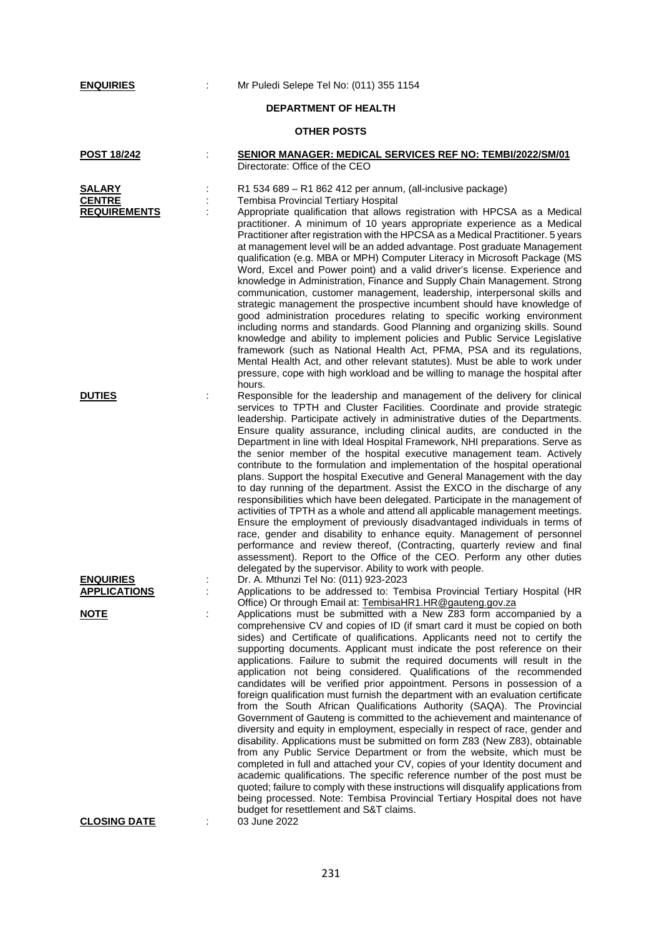**EX** : Mr Puledi Selepe Tel No: (011) 355 1154

# **DEPARTMENT OF HEALTH**

## **OTHER POSTS**

| <b>POST 18/242</b>                                    | <b>SENIOR MANAGER: MEDICAL SERVICES REF NO: TEMBI/2022/SM/01</b><br>Directorate: Office of the CEO                                                                                                                                                                                                                                                                                                                                                                                                                                                                                                                                                                                                                                                                                                                                                                                                                                                                                                                                                                                                                                                                                                                                                                                                                                                                                                                                                                            |
|-------------------------------------------------------|-------------------------------------------------------------------------------------------------------------------------------------------------------------------------------------------------------------------------------------------------------------------------------------------------------------------------------------------------------------------------------------------------------------------------------------------------------------------------------------------------------------------------------------------------------------------------------------------------------------------------------------------------------------------------------------------------------------------------------------------------------------------------------------------------------------------------------------------------------------------------------------------------------------------------------------------------------------------------------------------------------------------------------------------------------------------------------------------------------------------------------------------------------------------------------------------------------------------------------------------------------------------------------------------------------------------------------------------------------------------------------------------------------------------------------------------------------------------------------|
| <b>SALARY</b><br><b>CENTRE</b><br><b>REQUIREMENTS</b> | R1 534 689 - R1 862 412 per annum, (all-inclusive package)<br>Tembisa Provincial Tertiary Hospital<br>Appropriate qualification that allows registration with HPCSA as a Medical<br>practitioner. A minimum of 10 years appropriate experience as a Medical<br>Practitioner after registration with the HPCSA as a Medical Practitioner. 5 years<br>at management level will be an added advantage. Post graduate Management<br>qualification (e.g. MBA or MPH) Computer Literacy in Microsoft Package (MS<br>Word, Excel and Power point) and a valid driver's license. Experience and<br>knowledge in Administration, Finance and Supply Chain Management. Strong<br>communication, customer management, leadership, interpersonal skills and<br>strategic management the prospective incumbent should have knowledge of<br>good administration procedures relating to specific working environment<br>including norms and standards. Good Planning and organizing skills. Sound<br>knowledge and ability to implement policies and Public Service Legislative<br>framework (such as National Health Act, PFMA, PSA and its regulations,<br>Mental Health Act, and other relevant statutes). Must be able to work under<br>pressure, cope with high workload and be willing to manage the hospital after<br>hours.                                                                                                                                                          |
| <b>DUTIES</b>                                         | Responsible for the leadership and management of the delivery for clinical<br>services to TPTH and Cluster Facilities. Coordinate and provide strategic<br>leadership. Participate actively in administrative duties of the Departments.<br>Ensure quality assurance, including clinical audits, are conducted in the<br>Department in line with Ideal Hospital Framework, NHI preparations. Serve as<br>the senior member of the hospital executive management team. Actively<br>contribute to the formulation and implementation of the hospital operational<br>plans. Support the hospital Executive and General Management with the day<br>to day running of the department. Assist the EXCO in the discharge of any<br>responsibilities which have been delegated. Participate in the management of<br>activities of TPTH as a whole and attend all applicable management meetings.<br>Ensure the employment of previously disadvantaged individuals in terms of<br>race, gender and disability to enhance equity. Management of personnel<br>performance and review thereof, (Contracting, quarterly review and final<br>assessment). Report to the Office of the CEO. Perform any other duties                                                                                                                                                                                                                                                                         |
| <b>ENQUIRIES</b><br><b>APPLICATIONS</b>               | delegated by the supervisor. Ability to work with people.<br>Dr. A. Mthunzi Tel No: (011) 923-2023<br>Applications to be addressed to: Tembisa Provincial Tertiary Hospital (HR                                                                                                                                                                                                                                                                                                                                                                                                                                                                                                                                                                                                                                                                                                                                                                                                                                                                                                                                                                                                                                                                                                                                                                                                                                                                                               |
| <b>NOTE</b>                                           | Office) Or through Email at: TembisaHR1.HR@gauteng.gov.za<br>Applications must be submitted with a New Z83 form accompanied by a<br>comprehensive CV and copies of ID (if smart card it must be copied on both<br>sides) and Certificate of qualifications. Applicants need not to certify the<br>supporting documents. Applicant must indicate the post reference on their<br>applications. Failure to submit the required documents will result in the<br>application not being considered. Qualifications of the recommended<br>candidates will be verified prior appointment. Persons in possession of a<br>foreign qualification must furnish the department with an evaluation certificate<br>from the South African Qualifications Authority (SAQA). The Provincial<br>Government of Gauteng is committed to the achievement and maintenance of<br>diversity and equity in employment, especially in respect of race, gender and<br>disability. Applications must be submitted on form Z83 (New Z83), obtainable<br>from any Public Service Department or from the website, which must be<br>completed in full and attached your CV, copies of your Identity document and<br>academic qualifications. The specific reference number of the post must be<br>quoted; failure to comply with these instructions will disqualify applications from<br>being processed. Note: Tembisa Provincial Tertiary Hospital does not have<br>budget for resettlement and S&T claims. |
| <b>CLOSING DATE</b>                                   | 03 June 2022                                                                                                                                                                                                                                                                                                                                                                                                                                                                                                                                                                                                                                                                                                                                                                                                                                                                                                                                                                                                                                                                                                                                                                                                                                                                                                                                                                                                                                                                  |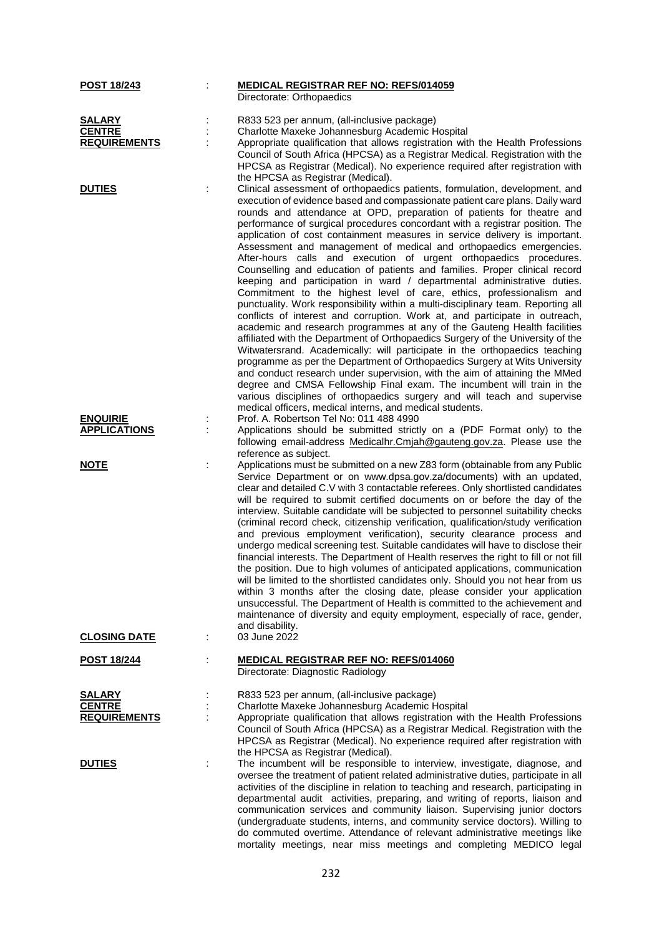| POST 18/243                    |   | <b>MEDICAL REGISTRAR REF NO: REFS/014059</b><br>Directorate: Orthopaedics                                                                                            |
|--------------------------------|---|----------------------------------------------------------------------------------------------------------------------------------------------------------------------|
|                                |   |                                                                                                                                                                      |
| <b>SALARY</b><br><b>CENTRE</b> |   | R833 523 per annum, (all-inclusive package)                                                                                                                          |
| <b>REQUIREMENTS</b>            |   | Charlotte Maxeke Johannesburg Academic Hospital                                                                                                                      |
|                                |   | Appropriate qualification that allows registration with the Health Professions<br>Council of South Africa (HPCSA) as a Registrar Medical. Registration with the      |
|                                |   | HPCSA as Registrar (Medical). No experience required after registration with                                                                                         |
|                                |   | the HPCSA as Registrar (Medical).                                                                                                                                    |
| <b>DUTIES</b>                  |   | Clinical assessment of orthopaedics patients, formulation, development, and                                                                                          |
|                                |   | execution of evidence based and compassionate patient care plans. Daily ward                                                                                         |
|                                |   | rounds and attendance at OPD, preparation of patients for theatre and                                                                                                |
|                                |   | performance of surgical procedures concordant with a registrar position. The                                                                                         |
|                                |   | application of cost containment measures in service delivery is important.                                                                                           |
|                                |   | Assessment and management of medical and orthopaedics emergencies.                                                                                                   |
|                                |   | After-hours calls and execution of urgent orthopaedics procedures.                                                                                                   |
|                                |   | Counselling and education of patients and families. Proper clinical record                                                                                           |
|                                |   | keeping and participation in ward / departmental administrative duties.                                                                                              |
|                                |   | Commitment to the highest level of care, ethics, professionalism and                                                                                                 |
|                                |   | punctuality. Work responsibility within a multi-disciplinary team. Reporting all                                                                                     |
|                                |   | conflicts of interest and corruption. Work at, and participate in outreach,                                                                                          |
|                                |   | academic and research programmes at any of the Gauteng Health facilities                                                                                             |
|                                |   | affiliated with the Department of Orthopaedics Surgery of the University of the                                                                                      |
|                                |   | Witwatersrand. Academically: will participate in the orthopaedics teaching                                                                                           |
|                                |   | programme as per the Department of Orthopaedics Surgery at Wits University                                                                                           |
|                                |   | and conduct research under supervision, with the aim of attaining the MMed                                                                                           |
|                                |   | degree and CMSA Fellowship Final exam. The incumbent will train in the                                                                                               |
|                                |   | various disciplines of orthopaedics surgery and will teach and supervise<br>medical officers, medical interns, and medical students.                                 |
| <b>ENQUIRIE</b>                |   | Prof. A. Robertson Tel No: 011 488 4990                                                                                                                              |
| <b>APPLICATIONS</b>            |   | Applications should be submitted strictly on a (PDF Format only) to the                                                                                              |
|                                |   | following email-address Medicalhr.Cmjah@gauteng.gov.za. Please use the                                                                                               |
|                                |   | reference as subject.                                                                                                                                                |
| <b>NOTE</b>                    | t | Applications must be submitted on a new Z83 form (obtainable from any Public                                                                                         |
|                                |   | Service Department or on www.dpsa.gov.za/documents) with an updated,                                                                                                 |
|                                |   | clear and detailed C.V with 3 contactable referees. Only shortlisted candidates                                                                                      |
|                                |   | will be required to submit certified documents on or before the day of the                                                                                           |
|                                |   | interview. Suitable candidate will be subjected to personnel suitability checks                                                                                      |
|                                |   | (criminal record check, citizenship verification, qualification/study verification                                                                                   |
|                                |   | and previous employment verification), security clearance process and                                                                                                |
|                                |   | undergo medical screening test. Suitable candidates will have to disclose their                                                                                      |
|                                |   | financial interests. The Department of Health reserves the right to fill or not fill<br>the position. Due to high volumes of anticipated applications, communication |
|                                |   | will be limited to the shortlisted candidates only. Should you not hear from us                                                                                      |
|                                |   | within 3 months after the closing date, please consider your application                                                                                             |
|                                |   | unsuccessful. The Department of Health is committed to the achievement and                                                                                           |
|                                |   | maintenance of diversity and equity employment, especially of race, gender,                                                                                          |
|                                |   | and disability.                                                                                                                                                      |
| <b>CLOSING DATE</b>            |   | 03 June 2022                                                                                                                                                         |
|                                |   |                                                                                                                                                                      |
| <b>POST 18/244</b>             |   | <b>MEDICAL REGISTRAR REF NO: REFS/014060</b>                                                                                                                         |
|                                |   | Directorate: Diagnostic Radiology                                                                                                                                    |
| SALARY                         |   | R833 523 per annum, (all-inclusive package)                                                                                                                          |
| <b>CENTRE</b>                  |   | Charlotte Maxeke Johannesburg Academic Hospital                                                                                                                      |
| <b>REQUIREMENTS</b>            |   | Appropriate qualification that allows registration with the Health Professions                                                                                       |
|                                |   | Council of South Africa (HPCSA) as a Registrar Medical. Registration with the                                                                                        |
|                                |   | HPCSA as Registrar (Medical). No experience required after registration with                                                                                         |
|                                |   | the HPCSA as Registrar (Medical).                                                                                                                                    |
| <b>DUTIES</b>                  |   | The incumbent will be responsible to interview, investigate, diagnose, and                                                                                           |
|                                |   | oversee the treatment of patient related administrative duties, participate in all                                                                                   |
|                                |   | activities of the discipline in relation to teaching and research, participating in                                                                                  |
|                                |   | departmental audit activities, preparing, and writing of reports, liaison and                                                                                        |
|                                |   | communication services and community liaison. Supervising junior doctors                                                                                             |
|                                |   | (undergraduate students, interns, and community service doctors). Willing to                                                                                         |
|                                |   | do commuted overtime. Attendance of relevant administrative meetings like                                                                                            |
|                                |   | mortality meetings, near miss meetings and completing MEDICO legal                                                                                                   |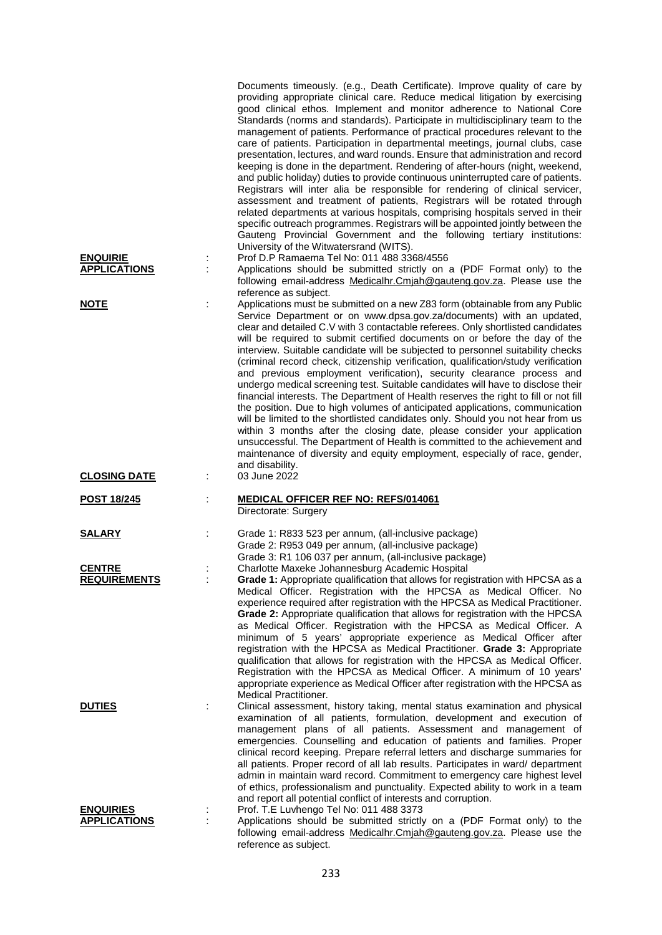|                     | Documents timeously. (e.g., Death Certificate). Improve quality of care by<br>providing appropriate clinical care. Reduce medical litigation by exercising<br>good clinical ethos. Implement and monitor adherence to National Core<br>Standards (norms and standards). Participate in multidisciplinary team to the<br>management of patients. Performance of practical procedures relevant to the<br>care of patients. Participation in departmental meetings, journal clubs, case<br>presentation, lectures, and ward rounds. Ensure that administration and record<br>keeping is done in the department. Rendering of after-hours (night, weekend,<br>and public holiday) duties to provide continuous uninterrupted care of patients.<br>Registrars will inter alia be responsible for rendering of clinical servicer,<br>assessment and treatment of patients, Registrars will be rotated through<br>related departments at various hospitals, comprising hospitals served in their<br>specific outreach programmes. Registrars will be appointed jointly between the<br>Gauteng Provincial Government and the following tertiary institutions:<br>University of the Witwatersrand (WITS). |
|---------------------|--------------------------------------------------------------------------------------------------------------------------------------------------------------------------------------------------------------------------------------------------------------------------------------------------------------------------------------------------------------------------------------------------------------------------------------------------------------------------------------------------------------------------------------------------------------------------------------------------------------------------------------------------------------------------------------------------------------------------------------------------------------------------------------------------------------------------------------------------------------------------------------------------------------------------------------------------------------------------------------------------------------------------------------------------------------------------------------------------------------------------------------------------------------------------------------------------|
| <b>ENQUIRIE</b>     | Prof D.P Ramaema Tel No: 011 488 3368/4556                                                                                                                                                                                                                                                                                                                                                                                                                                                                                                                                                                                                                                                                                                                                                                                                                                                                                                                                                                                                                                                                                                                                                       |
| <b>APPLICATIONS</b> | Applications should be submitted strictly on a (PDF Format only) to the                                                                                                                                                                                                                                                                                                                                                                                                                                                                                                                                                                                                                                                                                                                                                                                                                                                                                                                                                                                                                                                                                                                          |
|                     | following email-address Medicalhr.Cmiah@gauteng.gov.za. Please use the                                                                                                                                                                                                                                                                                                                                                                                                                                                                                                                                                                                                                                                                                                                                                                                                                                                                                                                                                                                                                                                                                                                           |
| <b>NOTE</b>         | reference as subject.<br>Applications must be submitted on a new Z83 form (obtainable from any Public                                                                                                                                                                                                                                                                                                                                                                                                                                                                                                                                                                                                                                                                                                                                                                                                                                                                                                                                                                                                                                                                                            |
|                     | Service Department or on www.dpsa.gov.za/documents) with an updated,<br>clear and detailed C.V with 3 contactable referees. Only shortlisted candidates<br>will be required to submit certified documents on or before the day of the<br>interview. Suitable candidate will be subjected to personnel suitability checks<br>(criminal record check, citizenship verification, qualification/study verification<br>and previous employment verification), security clearance process and<br>undergo medical screening test. Suitable candidates will have to disclose their<br>financial interests. The Department of Health reserves the right to fill or not fill<br>the position. Due to high volumes of anticipated applications, communication<br>will be limited to the shortlisted candidates only. Should you not hear from us<br>within 3 months after the closing date, please consider your application<br>unsuccessful. The Department of Health is committed to the achievement and<br>maintenance of diversity and equity employment, especially of race, gender,<br>and disability.                                                                                                |
| <b>CLOSING DATE</b> | 03 June 2022                                                                                                                                                                                                                                                                                                                                                                                                                                                                                                                                                                                                                                                                                                                                                                                                                                                                                                                                                                                                                                                                                                                                                                                     |
| <b>POST 18/245</b>  | <b>MEDICAL OFFICER REF NO: REFS/014061</b><br>Directorate: Surgery                                                                                                                                                                                                                                                                                                                                                                                                                                                                                                                                                                                                                                                                                                                                                                                                                                                                                                                                                                                                                                                                                                                               |
| <u>SALARY</u>       | Grade 1: R833 523 per annum, (all-inclusive package)                                                                                                                                                                                                                                                                                                                                                                                                                                                                                                                                                                                                                                                                                                                                                                                                                                                                                                                                                                                                                                                                                                                                             |
|                     | Grade 2: R953 049 per annum, (all-inclusive package)                                                                                                                                                                                                                                                                                                                                                                                                                                                                                                                                                                                                                                                                                                                                                                                                                                                                                                                                                                                                                                                                                                                                             |
|                     | Grade 3: R1 106 037 per annum, (all-inclusive package)                                                                                                                                                                                                                                                                                                                                                                                                                                                                                                                                                                                                                                                                                                                                                                                                                                                                                                                                                                                                                                                                                                                                           |
| <b>CENTRE</b>       | Charlotte Maxeke Johannesburg Academic Hospital                                                                                                                                                                                                                                                                                                                                                                                                                                                                                                                                                                                                                                                                                                                                                                                                                                                                                                                                                                                                                                                                                                                                                  |
| <b>REQUIREMENTS</b> | <b>Grade 1:</b> Appropriate qualification that allows for registration with HPCSA as a<br>Medical Officer. Registration with the HPCSA as Medical Officer. No<br>experience required after registration with the HPCSA as Medical Practitioner.<br>Grade 2: Appropriate qualification that allows for registration with the HPCSA<br>as Medical Officer. Registration with the HPCSA as Medical Officer. A<br>minimum of 5 years' appropriate experience as Medical Officer after<br>registration with the HPCSA as Medical Practitioner. Grade 3: Appropriate<br>qualification that allows for registration with the HPCSA as Medical Officer.<br>Registration with the HPCSA as Medical Officer. A minimum of 10 years'<br>appropriate experience as Medical Officer after registration with the HPCSA as<br><b>Medical Practitioner.</b>                                                                                                                                                                                                                                                                                                                                                      |
| <b>DUTIES</b>       | Clinical assessment, history taking, mental status examination and physical<br>examination of all patients, formulation, development and execution of<br>management plans of all patients. Assessment and management of<br>emergencies. Counselling and education of patients and families. Proper<br>clinical record keeping. Prepare referral letters and discharge summaries for<br>all patients. Proper record of all lab results. Participates in ward/ department<br>admin in maintain ward record. Commitment to emergency care highest level<br>of ethics, professionalism and punctuality. Expected ability to work in a team<br>and report all potential conflict of interests and corruption.                                                                                                                                                                                                                                                                                                                                                                                                                                                                                         |
| <b>ENQUIRIES</b>    | Prof. T.E Luvhengo Tel No: 011 488 3373                                                                                                                                                                                                                                                                                                                                                                                                                                                                                                                                                                                                                                                                                                                                                                                                                                                                                                                                                                                                                                                                                                                                                          |
| <b>APPLICATIONS</b> | Applications should be submitted strictly on a (PDF Format only) to the<br>following email-address Medicalhr.Cmjah@gauteng.gov.za. Please use the<br>reference as subject.                                                                                                                                                                                                                                                                                                                                                                                                                                                                                                                                                                                                                                                                                                                                                                                                                                                                                                                                                                                                                       |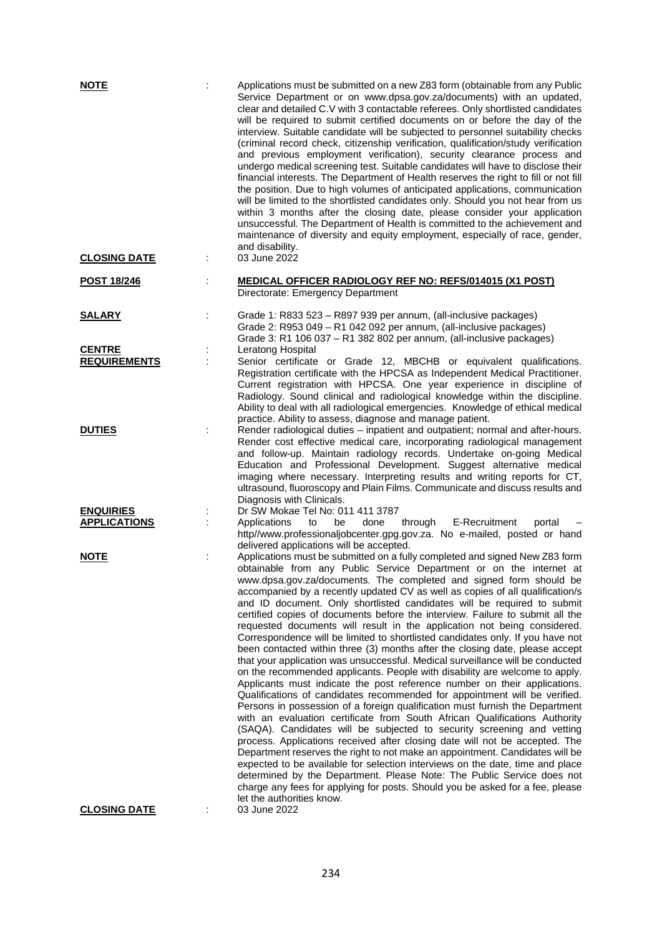| <b>NOTE</b>                          |    | Applications must be submitted on a new Z83 form (obtainable from any Public<br>Service Department or on www.dpsa.gov.za/documents) with an updated,<br>clear and detailed C.V with 3 contactable referees. Only shortlisted candidates<br>will be required to submit certified documents on or before the day of the<br>interview. Suitable candidate will be subjected to personnel suitability checks<br>(criminal record check, citizenship verification, qualification/study verification<br>and previous employment verification), security clearance process and<br>undergo medical screening test. Suitable candidates will have to disclose their<br>financial interests. The Department of Health reserves the right to fill or not fill<br>the position. Due to high volumes of anticipated applications, communication<br>will be limited to the shortlisted candidates only. Should you not hear from us<br>within 3 months after the closing date, please consider your application<br>unsuccessful. The Department of Health is committed to the achievement and<br>maintenance of diversity and equity employment, especially of race, gender,<br>and disability.                                                                                                                                                                                                                                                                                                                                                                                                                                                                                                                                               |
|--------------------------------------|----|---------------------------------------------------------------------------------------------------------------------------------------------------------------------------------------------------------------------------------------------------------------------------------------------------------------------------------------------------------------------------------------------------------------------------------------------------------------------------------------------------------------------------------------------------------------------------------------------------------------------------------------------------------------------------------------------------------------------------------------------------------------------------------------------------------------------------------------------------------------------------------------------------------------------------------------------------------------------------------------------------------------------------------------------------------------------------------------------------------------------------------------------------------------------------------------------------------------------------------------------------------------------------------------------------------------------------------------------------------------------------------------------------------------------------------------------------------------------------------------------------------------------------------------------------------------------------------------------------------------------------------------------------------------------------------------------------------------------------------|
| <b>CLOSING DATE</b>                  |    | 03 June 2022                                                                                                                                                                                                                                                                                                                                                                                                                                                                                                                                                                                                                                                                                                                                                                                                                                                                                                                                                                                                                                                                                                                                                                                                                                                                                                                                                                                                                                                                                                                                                                                                                                                                                                                    |
| POST 18/246                          |    | <b>MEDICAL OFFICER RADIOLOGY REF NO: REFS/014015 (X1 POST)</b><br>Directorate: Emergency Department                                                                                                                                                                                                                                                                                                                                                                                                                                                                                                                                                                                                                                                                                                                                                                                                                                                                                                                                                                                                                                                                                                                                                                                                                                                                                                                                                                                                                                                                                                                                                                                                                             |
| <b>SALARY</b>                        | İ. | Grade 1: R833 523 - R897 939 per annum, (all-inclusive packages)<br>Grade 2: R953 049 - R1 042 092 per annum, (all-inclusive packages)<br>Grade 3: R1 106 037 - R1 382 802 per annum, (all-inclusive packages)                                                                                                                                                                                                                                                                                                                                                                                                                                                                                                                                                                                                                                                                                                                                                                                                                                                                                                                                                                                                                                                                                                                                                                                                                                                                                                                                                                                                                                                                                                                  |
| <b>CENTRE</b><br><b>REQUIREMENTS</b> |    | Leratong Hospital<br>Senior certificate or Grade 12, MBCHB or equivalent qualifications.<br>Registration certificate with the HPCSA as Independent Medical Practitioner.<br>Current registration with HPCSA. One year experience in discipline of<br>Radiology. Sound clinical and radiological knowledge within the discipline.<br>Ability to deal with all radiological emergencies. Knowledge of ethical medical<br>practice. Ability to assess, diagnose and manage patient.                                                                                                                                                                                                                                                                                                                                                                                                                                                                                                                                                                                                                                                                                                                                                                                                                                                                                                                                                                                                                                                                                                                                                                                                                                                |
| <b>DUTIES</b>                        |    | Render radiological duties - inpatient and outpatient; normal and after-hours.<br>Render cost effective medical care, incorporating radiological management<br>and follow-up. Maintain radiology records. Undertake on-going Medical<br>Education and Professional Development. Suggest alternative medical<br>imaging where necessary. Interpreting results and writing reports for CT,<br>ultrasound, fluoroscopy and Plain Films. Communicate and discuss results and<br>Diagnosis with Clinicals.                                                                                                                                                                                                                                                                                                                                                                                                                                                                                                                                                                                                                                                                                                                                                                                                                                                                                                                                                                                                                                                                                                                                                                                                                           |
| <b>ENQUIRIES</b>                     |    | Dr SW Mokae Tel No: 011 411 3787                                                                                                                                                                                                                                                                                                                                                                                                                                                                                                                                                                                                                                                                                                                                                                                                                                                                                                                                                                                                                                                                                                                                                                                                                                                                                                                                                                                                                                                                                                                                                                                                                                                                                                |
| <b>APPLICATIONS</b>                  |    | Applications<br>through<br>E-Recruitment<br>be<br>done<br>portal<br>to<br>http//www.professionaljobcenter.gpg.gov.za. No e-mailed, posted or hand<br>delivered applications will be accepted.                                                                                                                                                                                                                                                                                                                                                                                                                                                                                                                                                                                                                                                                                                                                                                                                                                                                                                                                                                                                                                                                                                                                                                                                                                                                                                                                                                                                                                                                                                                                   |
| <b>NOTE</b>                          | İ  | Applications must be submitted on a fully completed and signed New Z83 form<br>obtainable from any Public Service Department or on the internet at<br>www.dpsa.gov.za/documents. The completed and signed form should be<br>accompanied by a recently updated CV as well as copies of all qualification/s<br>and ID document. Only shortlisted candidates will be required to submit<br>certified copies of documents before the interview. Failure to submit all the<br>requested documents will result in the application not being considered.<br>Correspondence will be limited to shortlisted candidates only. If you have not<br>been contacted within three (3) months after the closing date, please accept<br>that your application was unsuccessful. Medical surveillance will be conducted<br>on the recommended applicants. People with disability are welcome to apply.<br>Applicants must indicate the post reference number on their applications.<br>Qualifications of candidates recommended for appointment will be verified.<br>Persons in possession of a foreign qualification must furnish the Department<br>with an evaluation certificate from South African Qualifications Authority<br>(SAQA). Candidates will be subjected to security screening and vetting<br>process. Applications received after closing date will not be accepted. The<br>Department reserves the right to not make an appointment. Candidates will be<br>expected to be available for selection interviews on the date, time and place<br>determined by the Department. Please Note: The Public Service does not<br>charge any fees for applying for posts. Should you be asked for a fee, please<br>let the authorities know. |
| <b>CLOSING DATE</b>                  |    | 03 June 2022                                                                                                                                                                                                                                                                                                                                                                                                                                                                                                                                                                                                                                                                                                                                                                                                                                                                                                                                                                                                                                                                                                                                                                                                                                                                                                                                                                                                                                                                                                                                                                                                                                                                                                                    |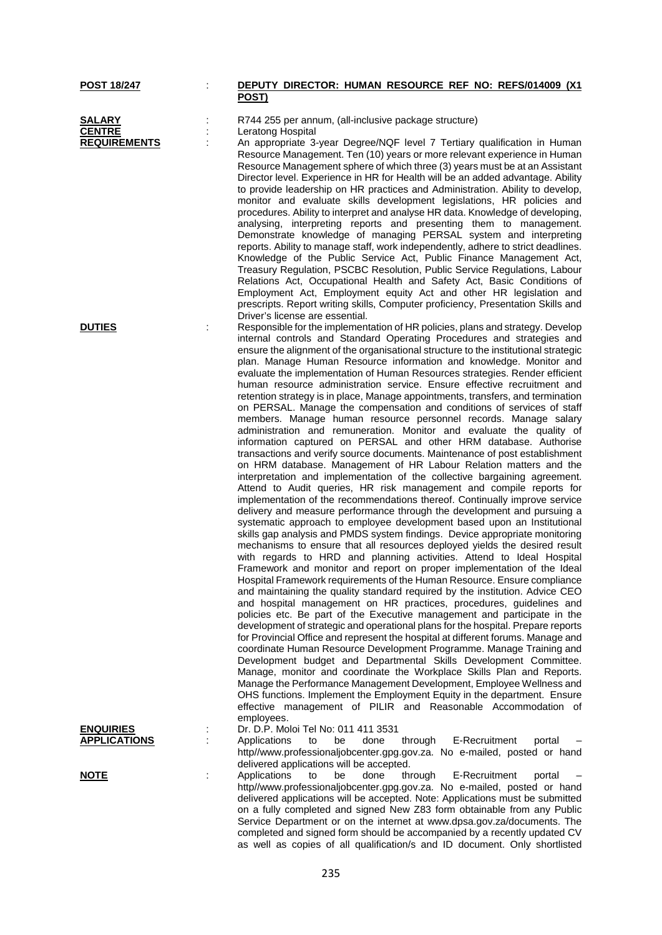#### **POST 18/247** : **DEPUTY DIRECTOR: HUMAN RESOURCE REF NO: REFS/014009 (X1 POST)**

**SALARY** : R744 255 per annum, (all-inclusive package structure)<br>**CENTRE** : Leratong Hospital **CENTRE** : Leratong Hospital<br> **REQUIREMENTS** : An appropriate 3-

An appropriate 3-year Degree/NQF level 7 Tertiary qualification in Human Resource Management. Ten (10) years or more relevant experience in Human Resource Management sphere of which three (3) years must be at an Assistant Director level. Experience in HR for Health will be an added advantage. Ability to provide leadership on HR practices and Administration. Ability to develop, monitor and evaluate skills development legislations, HR policies and procedures. Ability to interpret and analyse HR data. Knowledge of developing, analysing, interpreting reports and presenting them to management. Demonstrate knowledge of managing PERSAL system and interpreting reports. Ability to manage staff, work independently, adhere to strict deadlines. Knowledge of the Public Service Act, Public Finance Management Act, Treasury Regulation, PSCBC Resolution, Public Service Regulations, Labour Relations Act, Occupational Health and Safety Act, Basic Conditions of Employment Act, Employment equity Act and other HR legislation and prescripts. Report writing skills, Computer proficiency, Presentation Skills and Driver's license are essential.

**DUTIES** : Responsible for the implementation of HR policies, plans and strategy. Develop internal controls and Standard Operating Procedures and strategies and ensure the alignment of the organisational structure to the institutional strategic plan. Manage Human Resource information and knowledge. Monitor and evaluate the implementation of Human Resources strategies. Render efficient human resource administration service. Ensure effective recruitment and retention strategy is in place, Manage appointments, transfers, and termination on PERSAL. Manage the compensation and conditions of services of staff members. Manage human resource personnel records. Manage salary administration and remuneration. Monitor and evaluate the quality of information captured on PERSAL and other HRM database. Authorise transactions and verify source documents. Maintenance of post establishment on HRM database. Management of HR Labour Relation matters and the interpretation and implementation of the collective bargaining agreement. Attend to Audit queries, HR risk management and compile reports for implementation of the recommendations thereof. Continually improve service delivery and measure performance through the development and pursuing a systematic approach to employee development based upon an Institutional skills gap analysis and PMDS system findings. Device appropriate monitoring mechanisms to ensure that all resources deployed yields the desired result with regards to HRD and planning activities. Attend to Ideal Hospital Framework and monitor and report on proper implementation of the Ideal Hospital Framework requirements of the Human Resource. Ensure compliance and maintaining the quality standard required by the institution. Advice CEO and hospital management on HR practices, procedures, guidelines and policies etc. Be part of the Executive management and participate in the development of strategic and operational plans for the hospital. Prepare reports for Provincial Office and represent the hospital at different forums. Manage and coordinate Human Resource Development Programme. Manage Training and Development budget and Departmental Skills Development Committee. Manage, monitor and coordinate the Workplace Skills Plan and Reports. Manage the Performance Management Development, Employee Wellness and OHS functions. Implement the Employment Equity in the department. Ensure effective management of PILIR and Reasonable Accommodation of

> completed and signed form should be accompanied by a recently updated CV as well as copies of all qualification/s and ID document. Only shortlisted

employees. **ENQUIRIES** : Dr. D.P. Moloi Tel No: 011 411 3531 **APPLICATIONS** : Applications to be done through E-Recruitment portal – http//www.professionaljobcenter.gpg.gov.za. No e-mailed, posted or hand delivered applications will be accepted. **NOTE** : Applications to be done through E-Recruitment portal – http//www.professionaljobcenter.gpg.gov.za. No e-mailed, posted or hand delivered applications will be accepted. Note: Applications must be submitted on a fully completed and signed New Z83 form obtainable from any Public Service Department or on the internet at www.dpsa.gov.za/documents. The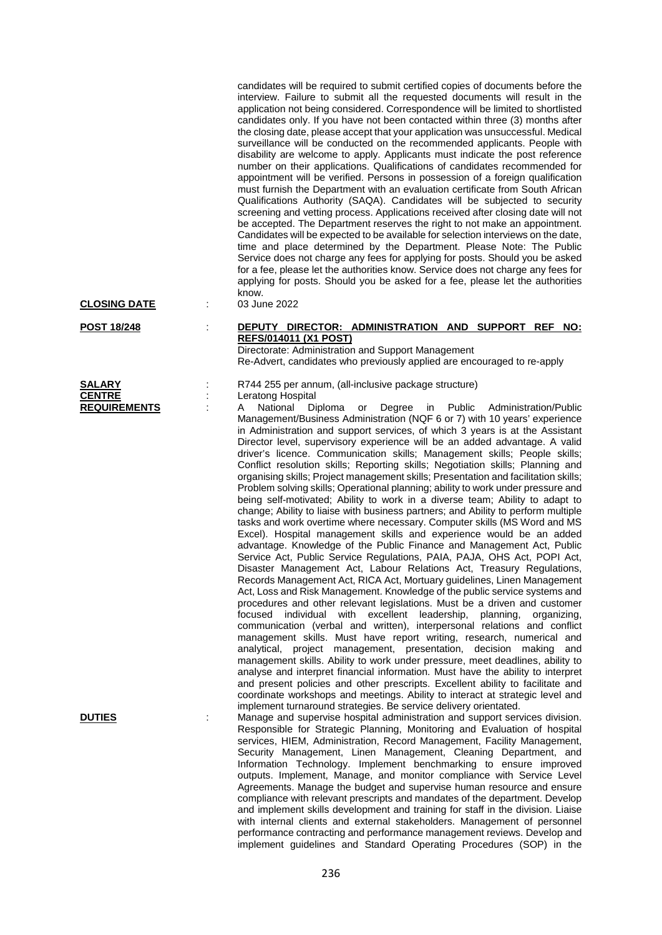candidates will be required to submit certified copies of documents before the interview. Failure to submit all the requested documents will result in the application not being considered. Correspondence will be limited to shortlisted candidates only. If you have not been contacted within three (3) months after the closing date, please accept that your application was unsuccessful. Medical surveillance will be conducted on the recommended applicants. People with disability are welcome to apply. Applicants must indicate the post reference number on their applications. Qualifications of candidates recommended for appointment will be verified. Persons in possession of a foreign qualification must furnish the Department with an evaluation certificate from South African Qualifications Authority (SAQA). Candidates will be subjected to security screening and vetting process. Applications received after closing date will not be accepted. The Department reserves the right to not make an appointment. Candidates will be expected to be available for selection interviews on the date, time and place determined by the Department. Please Note: The Public Service does not charge any fees for applying for posts. Should you be asked for a fee, please let the authorities know. Service does not charge any fees for applying for posts. Should you be asked for a fee, please let the authorities know.<br>03 June 2022

**CLOSING DATE** :

| <b>SALARY</b>       |  |
|---------------------|--|
| <b>CENTRE</b>       |  |
| <b>REQUIREMENTS</b> |  |

### **POST 18/248** : **DEPUTY DIRECTOR: ADMINISTRATION AND SUPPORT REF NO: REFS/014011 (X1 POST)**

Directorate: Administration and Support Management Re-Advert, candidates who previously applied are encouraged to re-apply

**SALART : R744 255 per annum, (all-inclusive package structure)**<br> **SALART : Leratong Hospital** Leratong Hospital<br>A National Di

**REQUIREM** Endings in Degree in Public Administration/Public Management/Business Administration (NQF 6 or 7) with 10 years' experience in Administration and support services, of which 3 years is at the Assistant Director level, supervisory experience will be an added advantage. A valid driver's licence. Communication skills; Management skills; People skills; Conflict resolution skills; Reporting skills; Negotiation skills; Planning and organising skills; Project management skills; Presentation and facilitation skills; Problem solving skills; Operational planning; ability to work under pressure and being self-motivated; Ability to work in a diverse team; Ability to adapt to change; Ability to liaise with business partners; and Ability to perform multiple tasks and work overtime where necessary. Computer skills (MS Word and MS Excel). Hospital management skills and experience would be an added advantage. Knowledge of the Public Finance and Management Act, Public Service Act, Public Service Regulations, PAIA, PAJA, OHS Act, POPI Act, Disaster Management Act, Labour Relations Act, Treasury Regulations, Records Management Act, RICA Act, Mortuary guidelines, Linen Management Act, Loss and Risk Management. Knowledge of the public service systems and procedures and other relevant legislations. Must be a driven and customer focused individual with excellent leadership, planning, organizing, communication (verbal and written), interpersonal relations and conflict management skills. Must have report writing, research, numerical and analytical, project management, presentation, decision making and management skills. Ability to work under pressure, meet deadlines, ability to analyse and interpret financial information. Must have the ability to interpret and present policies and other prescripts. Excellent ability to facilitate and coordinate workshops and meetings. Ability to interact at strategic level and implement turnaround strategies. Be service delivery orientated.

**DUTIES** : Manage and supervise hospital administration and support services division. Responsible for Strategic Planning, Monitoring and Evaluation of hospital services, HIEM, Administration, Record Management, Facility Management, Security Management, Linen Management, Cleaning Department, and Information Technology. Implement benchmarking to ensure improved outputs. Implement, Manage, and monitor compliance with Service Level Agreements. Manage the budget and supervise human resource and ensure compliance with relevant prescripts and mandates of the department. Develop and implement skills development and training for staff in the division. Liaise with internal clients and external stakeholders. Management of personnel performance contracting and performance management reviews. Develop and implement guidelines and Standard Operating Procedures (SOP) in the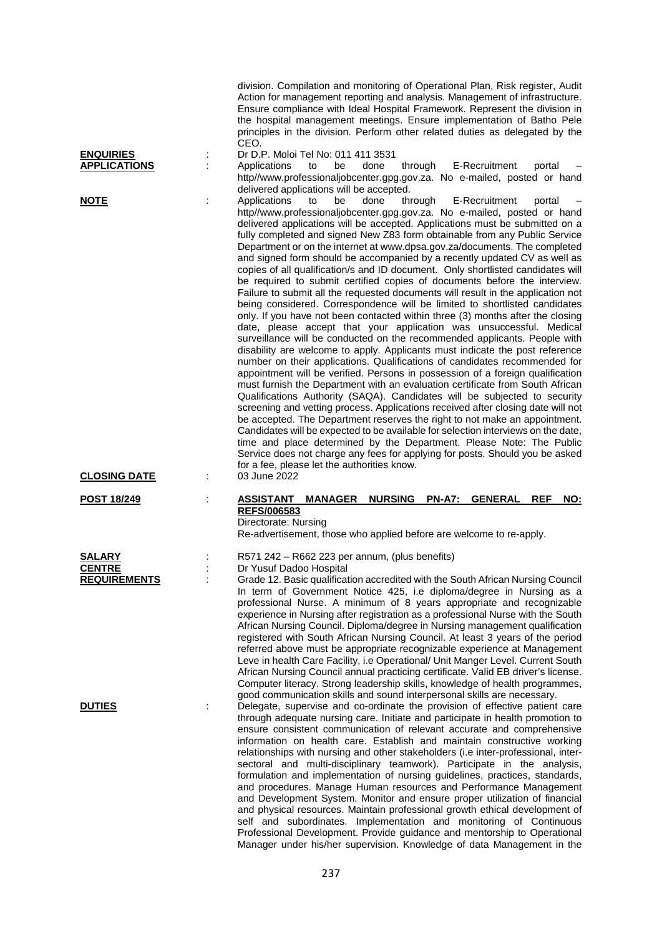| <b>ENQUIRIES</b><br><b>APPLICATIONS</b>               | Action for management reporting and analysis. Management of infrastructure.<br>Ensure compliance with Ideal Hospital Framework. Represent the division in<br>the hospital management meetings. Ensure implementation of Batho Pele<br>principles in the division. Perform other related duties as delegated by the<br>CEO.<br>Dr D.P. Moloi Tel No: 011 411 3531<br>through<br>E-Recruitment<br>Applications<br>to<br>be<br>done<br>portal<br>http//www.professionaljobcenter.gpg.gov.za. No e-mailed, posted or hand<br>delivered applications will be accepted.                                                                                                                                                                                                                                                                                                                                                                                                                                                                                                                                                                                                                                                                                                                                                                                                                                                                                                                                                                                                                                                                                                                                                                                                                                                                                                                                                             |
|-------------------------------------------------------|-------------------------------------------------------------------------------------------------------------------------------------------------------------------------------------------------------------------------------------------------------------------------------------------------------------------------------------------------------------------------------------------------------------------------------------------------------------------------------------------------------------------------------------------------------------------------------------------------------------------------------------------------------------------------------------------------------------------------------------------------------------------------------------------------------------------------------------------------------------------------------------------------------------------------------------------------------------------------------------------------------------------------------------------------------------------------------------------------------------------------------------------------------------------------------------------------------------------------------------------------------------------------------------------------------------------------------------------------------------------------------------------------------------------------------------------------------------------------------------------------------------------------------------------------------------------------------------------------------------------------------------------------------------------------------------------------------------------------------------------------------------------------------------------------------------------------------------------------------------------------------------------------------------------------------|
| <b>NOTE</b>                                           | be<br>done<br>through<br>E-Recruitment<br>Applications<br>to<br>portal<br>http//www.professionaljobcenter.gpg.gov.za. No e-mailed, posted or hand<br>delivered applications will be accepted. Applications must be submitted on a<br>fully completed and signed New Z83 form obtainable from any Public Service<br>Department or on the internet at www.dpsa.gov.za/documents. The completed<br>and signed form should be accompanied by a recently updated CV as well as<br>copies of all qualification/s and ID document. Only shortlisted candidates will<br>be required to submit certified copies of documents before the interview.<br>Failure to submit all the requested documents will result in the application not<br>being considered. Correspondence will be limited to shortlisted candidates<br>only. If you have not been contacted within three (3) months after the closing<br>date, please accept that your application was unsuccessful. Medical<br>surveillance will be conducted on the recommended applicants. People with<br>disability are welcome to apply. Applicants must indicate the post reference<br>number on their applications. Qualifications of candidates recommended for<br>appointment will be verified. Persons in possession of a foreign qualification<br>must furnish the Department with an evaluation certificate from South African<br>Qualifications Authority (SAQA). Candidates will be subjected to security<br>screening and vetting process. Applications received after closing date will not<br>be accepted. The Department reserves the right to not make an appointment.<br>Candidates will be expected to be available for selection interviews on the date,<br>time and place determined by the Department. Please Note: The Public<br>Service does not charge any fees for applying for posts. Should you be asked<br>for a fee, please let the authorities know. |
| <b>CLOSING DATE</b>                                   | 03 June 2022                                                                                                                                                                                                                                                                                                                                                                                                                                                                                                                                                                                                                                                                                                                                                                                                                                                                                                                                                                                                                                                                                                                                                                                                                                                                                                                                                                                                                                                                                                                                                                                                                                                                                                                                                                                                                                                                                                                  |
| <b>POST 18/249</b>                                    | <b>ASSISTANT</b><br><b>MANAGER</b><br><b>NURSING</b><br><b>PN-A7:</b><br><b>GENERAL</b><br><b>REF</b><br>NO:<br>REFS/006583<br>Directorate: Nursing<br>Re-advertisement, those who applied before are welcome to re-apply.                                                                                                                                                                                                                                                                                                                                                                                                                                                                                                                                                                                                                                                                                                                                                                                                                                                                                                                                                                                                                                                                                                                                                                                                                                                                                                                                                                                                                                                                                                                                                                                                                                                                                                    |
| <b>SALARY</b><br><b>CENTRE</b><br><b>REQUIREMENTS</b> | R571 242 - R662 223 per annum, (plus benefits)<br>Dr Yusuf Dadoo Hospital<br>Grade 12. Basic qualification accredited with the South African Nursing Council<br>In term of Government Notice 425, i.e diploma/degree in Nursing as a<br>professional Nurse. A minimum of 8 years appropriate and recognizable<br>experience in Nursing after registration as a professional Nurse with the South<br>African Nursing Council. Diploma/degree in Nursing management qualification<br>registered with South African Nursing Council. At least 3 years of the period<br>referred above must be appropriate recognizable experience at Management<br>Leve in health Care Facility, i.e Operational/ Unit Manger Level. Current South<br>African Nursing Council annual practicing certificate. Valid EB driver's license.<br>Computer literacy. Strong leadership skills, knowledge of health programmes,<br>good communication skills and sound interpersonal skills are necessary.                                                                                                                                                                                                                                                                                                                                                                                                                                                                                                                                                                                                                                                                                                                                                                                                                                                                                                                                               |
| <b>DUTIES</b>                                         | Delegate, supervise and co-ordinate the provision of effective patient care<br>through adequate nursing care. Initiate and participate in health promotion to<br>ensure consistent communication of relevant accurate and comprehensive<br>information on health care. Establish and maintain constructive working<br>relationships with nursing and other stakeholders (i.e inter-professional, inter-<br>sectoral and multi-disciplinary teamwork). Participate in the analysis,<br>formulation and implementation of nursing guidelines, practices, standards,<br>and procedures. Manage Human resources and Performance Management<br>and Development System. Monitor and ensure proper utilization of financial<br>and physical resources. Maintain professional growth ethical development of<br>self and subordinates. Implementation and monitoring of Continuous<br>Professional Development. Provide guidance and mentorship to Operational                                                                                                                                                                                                                                                                                                                                                                                                                                                                                                                                                                                                                                                                                                                                                                                                                                                                                                                                                                         |

division. Compilation and monitoring of Operational Plan, Risk register, Audit

Manager under his/her supervision. Knowledge of data Management in the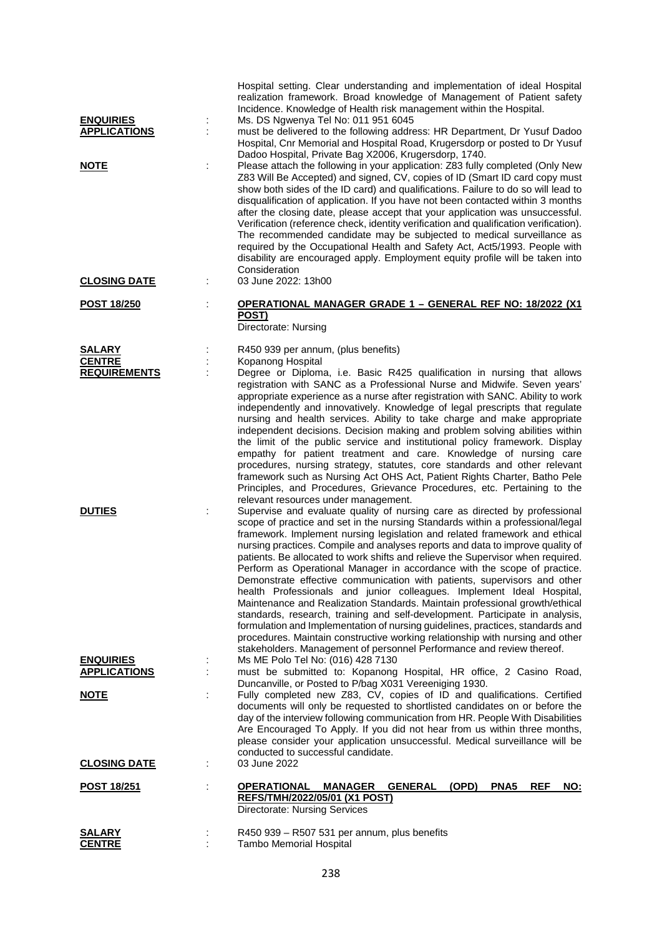| <b>ENQUIRIES</b>                     | ÷ | Hospital setting. Clear understanding and implementation of ideal Hospital<br>realization framework. Broad knowledge of Management of Patient safety<br>Incidence. Knowledge of Health risk management within the Hospital.<br>Ms. DS Ngwenya Tel No: 011 951 6045                                                                                                                                                                                                                                                                                                                                                                                                                                                                                                                                                                                                                                                                                                                                                         |
|--------------------------------------|---|----------------------------------------------------------------------------------------------------------------------------------------------------------------------------------------------------------------------------------------------------------------------------------------------------------------------------------------------------------------------------------------------------------------------------------------------------------------------------------------------------------------------------------------------------------------------------------------------------------------------------------------------------------------------------------------------------------------------------------------------------------------------------------------------------------------------------------------------------------------------------------------------------------------------------------------------------------------------------------------------------------------------------|
| <b>APPLICATIONS</b>                  |   | must be delivered to the following address: HR Department, Dr Yusuf Dadoo<br>Hospital, Cnr Memorial and Hospital Road, Krugersdorp or posted to Dr Yusuf<br>Dadoo Hospital, Private Bag X2006, Krugersdorp, 1740.                                                                                                                                                                                                                                                                                                                                                                                                                                                                                                                                                                                                                                                                                                                                                                                                          |
| <u>NOTE</u>                          |   | Please attach the following in your application: Z83 fully completed (Only New<br>Z83 Will Be Accepted) and signed, CV, copies of ID (Smart ID card copy must<br>show both sides of the ID card) and qualifications. Failure to do so will lead to<br>disqualification of application. If you have not been contacted within 3 months<br>after the closing date, please accept that your application was unsuccessful.<br>Verification (reference check, identity verification and qualification verification).<br>The recommended candidate may be subjected to medical surveillance as<br>required by the Occupational Health and Safety Act, Act5/1993. People with<br>disability are encouraged apply. Employment equity profile will be taken into<br>Consideration                                                                                                                                                                                                                                                   |
| <b>CLOSING DATE</b>                  |   | 03 June 2022: 13h00                                                                                                                                                                                                                                                                                                                                                                                                                                                                                                                                                                                                                                                                                                                                                                                                                                                                                                                                                                                                        |
| POST 18/250                          |   | OPERATIONAL MANAGER GRADE 1 - GENERAL REF NO: 18/2022 (X1<br><u>POST)</u><br>Directorate: Nursing                                                                                                                                                                                                                                                                                                                                                                                                                                                                                                                                                                                                                                                                                                                                                                                                                                                                                                                          |
| <b>SALARY</b>                        |   | R450 939 per annum, (plus benefits)                                                                                                                                                                                                                                                                                                                                                                                                                                                                                                                                                                                                                                                                                                                                                                                                                                                                                                                                                                                        |
| <b>CENTRE</b><br><b>REQUIREMENTS</b> |   | Kopanong Hospital<br>Degree or Diploma, i.e. Basic R425 qualification in nursing that allows<br>registration with SANC as a Professional Nurse and Midwife. Seven years'<br>appropriate experience as a nurse after registration with SANC. Ability to work                                                                                                                                                                                                                                                                                                                                                                                                                                                                                                                                                                                                                                                                                                                                                                |
|                                      |   | independently and innovatively. Knowledge of legal prescripts that regulate<br>nursing and health services. Ability to take charge and make appropriate<br>independent decisions. Decision making and problem solving abilities within<br>the limit of the public service and institutional policy framework. Display<br>empathy for patient treatment and care. Knowledge of nursing care<br>procedures, nursing strategy, statutes, core standards and other relevant<br>framework such as Nursing Act OHS Act, Patient Rights Charter, Batho Pele<br>Principles, and Procedures, Grievance Procedures, etc. Pertaining to the                                                                                                                                                                                                                                                                                                                                                                                           |
| <b>DUTIES</b>                        |   | relevant resources under management.<br>Supervise and evaluate quality of nursing care as directed by professional<br>scope of practice and set in the nursing Standards within a professional/legal<br>framework. Implement nursing legislation and related framework and ethical<br>nursing practices. Compile and analyses reports and data to improve quality of<br>patients. Be allocated to work shifts and relieve the Supervisor when required.<br>Perform as Operational Manager in accordance with the scope of practice.<br>Demonstrate effective communication with patients, supervisors and other<br>health Professionals and junior colleagues. Implement Ideal Hospital,<br>Maintenance and Realization Standards. Maintain professional growth/ethical<br>standards, research, training and self-development. Participate in analysis,<br>formulation and Implementation of nursing guidelines, practices, standards and<br>procedures. Maintain constructive working relationship with nursing and other |
| <b>ENQUIRIES</b>                     |   | stakeholders. Management of personnel Performance and review thereof.<br>Ms ME Polo Tel No: (016) 428 7130                                                                                                                                                                                                                                                                                                                                                                                                                                                                                                                                                                                                                                                                                                                                                                                                                                                                                                                 |
| <b>APPLICATIONS</b>                  |   | must be submitted to: Kopanong Hospital, HR office, 2 Casino Road,<br>Duncanville, or Posted to P/bag X031 Vereeniging 1930.                                                                                                                                                                                                                                                                                                                                                                                                                                                                                                                                                                                                                                                                                                                                                                                                                                                                                               |
| <b>NOTE</b>                          |   | Fully completed new Z83, CV, copies of ID and qualifications. Certified<br>documents will only be requested to shortlisted candidates on or before the<br>day of the interview following communication from HR. People With Disabilities<br>Are Encouraged To Apply. If you did not hear from us within three months,<br>please consider your application unsuccessful. Medical surveillance will be<br>conducted to successful candidate.                                                                                                                                                                                                                                                                                                                                                                                                                                                                                                                                                                                 |
| <b>CLOSING DATE</b>                  |   | 03 June 2022                                                                                                                                                                                                                                                                                                                                                                                                                                                                                                                                                                                                                                                                                                                                                                                                                                                                                                                                                                                                               |
| <b>POST 18/251</b>                   |   | <b>OPERATIONAL</b><br><b>MANAGER GENERAL</b><br>(OPD)<br>PNA <sub>5</sub><br><b>REF</b><br>NO:<br><b>REFS/TMH/2022/05/01 (X1 POST)</b><br>Directorate: Nursing Services                                                                                                                                                                                                                                                                                                                                                                                                                                                                                                                                                                                                                                                                                                                                                                                                                                                    |
| <b>SALARY</b><br><b>CENTRE</b>       |   | R450 939 - R507 531 per annum, plus benefits<br><b>Tambo Memorial Hospital</b>                                                                                                                                                                                                                                                                                                                                                                                                                                                                                                                                                                                                                                                                                                                                                                                                                                                                                                                                             |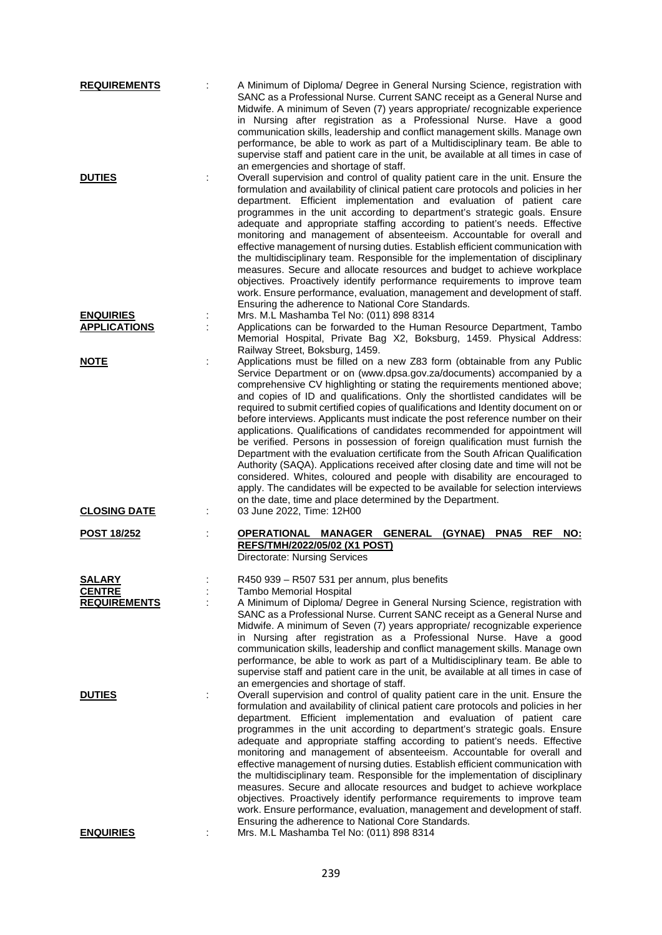| <b>REQUIREMENTS</b>                     | A Minimum of Diploma/ Degree in General Nursing Science, registration with<br>SANC as a Professional Nurse. Current SANC receipt as a General Nurse and<br>Midwife. A minimum of Seven (7) years appropriate/ recognizable experience<br>in Nursing after registration as a Professional Nurse. Have a good<br>communication skills, leadership and conflict management skills. Manage own<br>performance, be able to work as part of a Multidisciplinary team. Be able to<br>supervise staff and patient care in the unit, be available at all times in case of<br>an emergencies and shortage of staff.                                                                                                                                                                                                                                                                                                                                                                                                                                                 |
|-----------------------------------------|-----------------------------------------------------------------------------------------------------------------------------------------------------------------------------------------------------------------------------------------------------------------------------------------------------------------------------------------------------------------------------------------------------------------------------------------------------------------------------------------------------------------------------------------------------------------------------------------------------------------------------------------------------------------------------------------------------------------------------------------------------------------------------------------------------------------------------------------------------------------------------------------------------------------------------------------------------------------------------------------------------------------------------------------------------------|
| <b>DUTIES</b>                           | Overall supervision and control of quality patient care in the unit. Ensure the<br>formulation and availability of clinical patient care protocols and policies in her<br>department. Efficient implementation and evaluation of patient care<br>programmes in the unit according to department's strategic goals. Ensure<br>adequate and appropriate staffing according to patient's needs. Effective<br>monitoring and management of absenteeism. Accountable for overall and<br>effective management of nursing duties. Establish efficient communication with<br>the multidisciplinary team. Responsible for the implementation of disciplinary<br>measures. Secure and allocate resources and budget to achieve workplace<br>objectives. Proactively identify performance requirements to improve team<br>work. Ensure performance, evaluation, management and development of staff.<br>Ensuring the adherence to National Core Standards.                                                                                                           |
| <b>ENQUIRIES</b><br><b>APPLICATIONS</b> | Mrs. M.L Mashamba Tel No: (011) 898 8314<br>Applications can be forwarded to the Human Resource Department, Tambo<br>Memorial Hospital, Private Bag X2, Boksburg, 1459. Physical Address:<br>Railway Street, Boksburg, 1459.                                                                                                                                                                                                                                                                                                                                                                                                                                                                                                                                                                                                                                                                                                                                                                                                                              |
| <b>NOTE</b>                             | Applications must be filled on a new Z83 form (obtainable from any Public<br>Service Department or on (www.dpsa.gov.za/documents) accompanied by a<br>comprehensive CV highlighting or stating the requirements mentioned above;<br>and copies of ID and qualifications. Only the shortlisted candidates will be<br>required to submit certified copies of qualifications and Identity document on or<br>before interviews. Applicants must indicate the post reference number on their<br>applications. Qualifications of candidates recommended for appointment will<br>be verified. Persons in possession of foreign qualification must furnish the<br>Department with the evaluation certificate from the South African Qualification<br>Authority (SAQA). Applications received after closing date and time will not be<br>considered. Whites, coloured and people with disability are encouraged to<br>apply. The candidates will be expected to be available for selection interviews<br>on the date, time and place determined by the Department. |
| <b>CLOSING DATE</b>                     | 03 June 2022, Time: 12H00                                                                                                                                                                                                                                                                                                                                                                                                                                                                                                                                                                                                                                                                                                                                                                                                                                                                                                                                                                                                                                 |
| <b>POST 18/252</b>                      | OPERATIONAL MANAGER GENERAL<br>(GYNAE)<br>PNA <sub>5</sub><br><b>REF</b><br>NO:<br><b>REFS/TMH/2022/05/02 (X1 POST)</b><br>Directorate: Nursing Services                                                                                                                                                                                                                                                                                                                                                                                                                                                                                                                                                                                                                                                                                                                                                                                                                                                                                                  |
| SALARY                                  | R450 939 - R507 531 per annum, plus benefits                                                                                                                                                                                                                                                                                                                                                                                                                                                                                                                                                                                                                                                                                                                                                                                                                                                                                                                                                                                                              |
| <b>CENTRE</b><br><b>REQUIREMENTS</b>    | <b>Tambo Memorial Hospital</b><br>A Minimum of Diploma/ Degree in General Nursing Science, registration with<br>SANC as a Professional Nurse. Current SANC receipt as a General Nurse and<br>Midwife. A minimum of Seven (7) years appropriate/ recognizable experience<br>in Nursing after registration as a Professional Nurse. Have a good<br>communication skills, leadership and conflict management skills. Manage own<br>performance, be able to work as part of a Multidisciplinary team. Be able to<br>supervise staff and patient care in the unit, be available at all times in case of<br>an emergencies and shortage of staff.                                                                                                                                                                                                                                                                                                                                                                                                               |
| <b>DUTIES</b>                           | Overall supervision and control of quality patient care in the unit. Ensure the<br>formulation and availability of clinical patient care protocols and policies in her<br>department. Efficient implementation and evaluation of patient care<br>programmes in the unit according to department's strategic goals. Ensure<br>adequate and appropriate staffing according to patient's needs. Effective<br>monitoring and management of absenteeism. Accountable for overall and<br>effective management of nursing duties. Establish efficient communication with<br>the multidisciplinary team. Responsible for the implementation of disciplinary<br>measures. Secure and allocate resources and budget to achieve workplace<br>objectives. Proactively identify performance requirements to improve team<br>work. Ensure performance, evaluation, management and development of staff.                                                                                                                                                                 |
| <u>ENQUIRIES</u>                        | Ensuring the adherence to National Core Standards.<br>Mrs. M.L Mashamba Tel No: (011) 898 8314                                                                                                                                                                                                                                                                                                                                                                                                                                                                                                                                                                                                                                                                                                                                                                                                                                                                                                                                                            |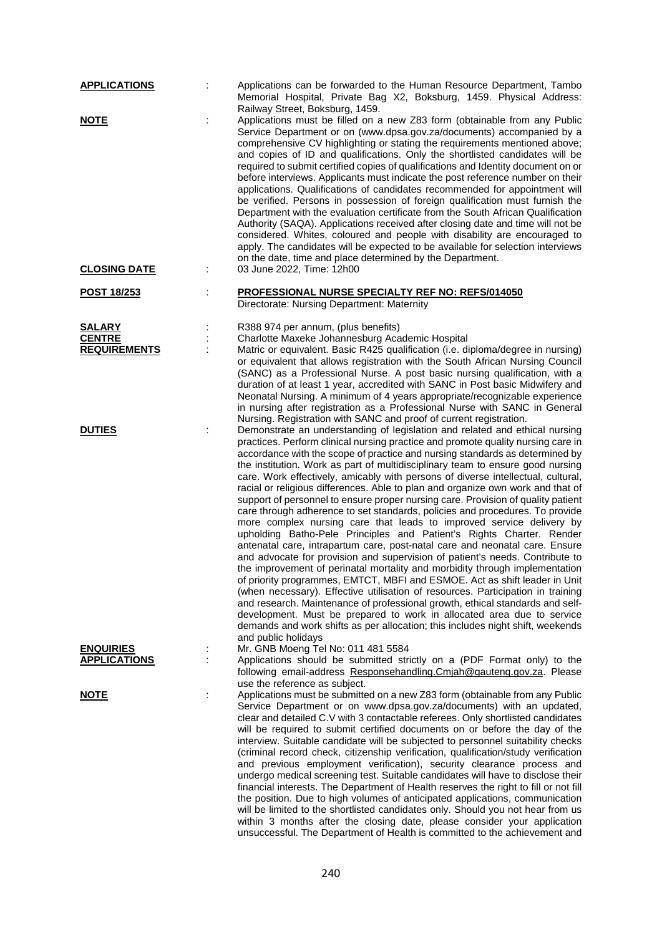| <b>APPLICATIONS</b>                     |   | Applications can be forwarded to the Human Resource Department, Tambo<br>Memorial Hospital, Private Bag X2, Boksburg, 1459. Physical Address:<br>Railway Street, Boksburg, 1459.                                                                                                                                                                                                                                                                                                                                                                                                                                                                                                                                                                                                                                                                                                                                                                                                                                                                                                                                                                                                                                                                                                                                                                                                                                                                                                                                |
|-----------------------------------------|---|-----------------------------------------------------------------------------------------------------------------------------------------------------------------------------------------------------------------------------------------------------------------------------------------------------------------------------------------------------------------------------------------------------------------------------------------------------------------------------------------------------------------------------------------------------------------------------------------------------------------------------------------------------------------------------------------------------------------------------------------------------------------------------------------------------------------------------------------------------------------------------------------------------------------------------------------------------------------------------------------------------------------------------------------------------------------------------------------------------------------------------------------------------------------------------------------------------------------------------------------------------------------------------------------------------------------------------------------------------------------------------------------------------------------------------------------------------------------------------------------------------------------|
| <b>NOTE</b>                             | t | Applications must be filled on a new Z83 form (obtainable from any Public<br>Service Department or on (www.dpsa.gov.za/documents) accompanied by a<br>comprehensive CV highlighting or stating the requirements mentioned above;<br>and copies of ID and qualifications. Only the shortlisted candidates will be<br>required to submit certified copies of qualifications and Identity document on or<br>before interviews. Applicants must indicate the post reference number on their<br>applications. Qualifications of candidates recommended for appointment will<br>be verified. Persons in possession of foreign qualification must furnish the<br>Department with the evaluation certificate from the South African Qualification<br>Authority (SAQA). Applications received after closing date and time will not be<br>considered. Whites, coloured and people with disability are encouraged to<br>apply. The candidates will be expected to be available for selection interviews<br>on the date, time and place determined by the Department.                                                                                                                                                                                                                                                                                                                                                                                                                                                       |
| <b>CLOSING DATE</b>                     |   | 03 June 2022, Time: 12h00                                                                                                                                                                                                                                                                                                                                                                                                                                                                                                                                                                                                                                                                                                                                                                                                                                                                                                                                                                                                                                                                                                                                                                                                                                                                                                                                                                                                                                                                                       |
| <u>POST 18/253</u>                      |   | PROFESSIONAL NURSE SPECIALTY REF NO: REFS/014050<br>Directorate: Nursing Department: Maternity                                                                                                                                                                                                                                                                                                                                                                                                                                                                                                                                                                                                                                                                                                                                                                                                                                                                                                                                                                                                                                                                                                                                                                                                                                                                                                                                                                                                                  |
| <b>SALARY</b>                           |   | R388 974 per annum, (plus benefits)                                                                                                                                                                                                                                                                                                                                                                                                                                                                                                                                                                                                                                                                                                                                                                                                                                                                                                                                                                                                                                                                                                                                                                                                                                                                                                                                                                                                                                                                             |
| <b>CENTRE</b>                           |   | Charlotte Maxeke Johannesburg Academic Hospital                                                                                                                                                                                                                                                                                                                                                                                                                                                                                                                                                                                                                                                                                                                                                                                                                                                                                                                                                                                                                                                                                                                                                                                                                                                                                                                                                                                                                                                                 |
| <b>REQUIREMENTS</b>                     |   | Matric or equivalent. Basic R425 qualification (i.e. diploma/degree in nursing)<br>or equivalent that allows registration with the South African Nursing Council<br>(SANC) as a Professional Nurse. A post basic nursing qualification, with a<br>duration of at least 1 year, accredited with SANC in Post basic Midwifery and<br>Neonatal Nursing. A minimum of 4 years appropriate/recognizable experience<br>in nursing after registration as a Professional Nurse with SANC in General<br>Nursing. Registration with SANC and proof of current registration.                                                                                                                                                                                                                                                                                                                                                                                                                                                                                                                                                                                                                                                                                                                                                                                                                                                                                                                                               |
| <b>DUTIES</b>                           |   | Demonstrate an understanding of legislation and related and ethical nursing<br>practices. Perform clinical nursing practice and promote quality nursing care in<br>accordance with the scope of practice and nursing standards as determined by<br>the institution. Work as part of multidisciplinary team to ensure good nursing<br>care. Work effectively, amicably with persons of diverse intellectual, cultural,<br>racial or religious differences. Able to plan and organize own work and that of<br>support of personnel to ensure proper nursing care. Provision of quality patient<br>care through adherence to set standards, policies and procedures. To provide<br>more complex nursing care that leads to improved service delivery by<br>upholding Batho-Pele Principles and Patient's Rights Charter. Render<br>antenatal care, intrapartum care, post-natal care and neonatal care. Ensure<br>and advocate for provision and supervision of patient's needs. Contribute to<br>the improvement of perinatal mortality and morbidity through implementation<br>of priority programmes, EMTCT, MBFI and ESMOE. Act as shift leader in Unit<br>(when necessary). Effective utilisation of resources. Participation in training<br>and research. Maintenance of professional growth, ethical standards and self-<br>development. Must be prepared to work in allocated area due to service<br>demands and work shifts as per allocation; this includes night shift, weekends<br>and public holidays |
| <b>ENQUIRIES</b><br><b>APPLICATIONS</b> |   | Mr. GNB Moeng Tel No: 011 481 5584<br>Applications should be submitted strictly on a (PDF Format only) to the                                                                                                                                                                                                                                                                                                                                                                                                                                                                                                                                                                                                                                                                                                                                                                                                                                                                                                                                                                                                                                                                                                                                                                                                                                                                                                                                                                                                   |
|                                         |   | following email-address Responsehandling.Cmjah@gauteng.gov.za. Please<br>use the reference as subject.                                                                                                                                                                                                                                                                                                                                                                                                                                                                                                                                                                                                                                                                                                                                                                                                                                                                                                                                                                                                                                                                                                                                                                                                                                                                                                                                                                                                          |
| <u>NOTE</u>                             | t | Applications must be submitted on a new Z83 form (obtainable from any Public<br>Service Department or on www.dpsa.gov.za/documents) with an updated,                                                                                                                                                                                                                                                                                                                                                                                                                                                                                                                                                                                                                                                                                                                                                                                                                                                                                                                                                                                                                                                                                                                                                                                                                                                                                                                                                            |
|                                         |   | clear and detailed C.V with 3 contactable referees. Only shortlisted candidates<br>will be required to submit certified documents on or before the day of the<br>interview. Suitable candidate will be subjected to personnel suitability checks<br>(criminal record check, citizenship verification, qualification/study verification<br>and previous employment verification), security clearance process and<br>undergo medical screening test. Suitable candidates will have to disclose their<br>financial interests. The Department of Health reserves the right to fill or not fill<br>the position. Due to high volumes of anticipated applications, communication<br>will be limited to the shortlisted candidates only. Should you not hear from us<br>within 3 months after the closing date, please consider your application<br>unsuccessful. The Department of Health is committed to the achievement and                                                                                                                                                                                                                                                                                                                                                                                                                                                                                                                                                                                         |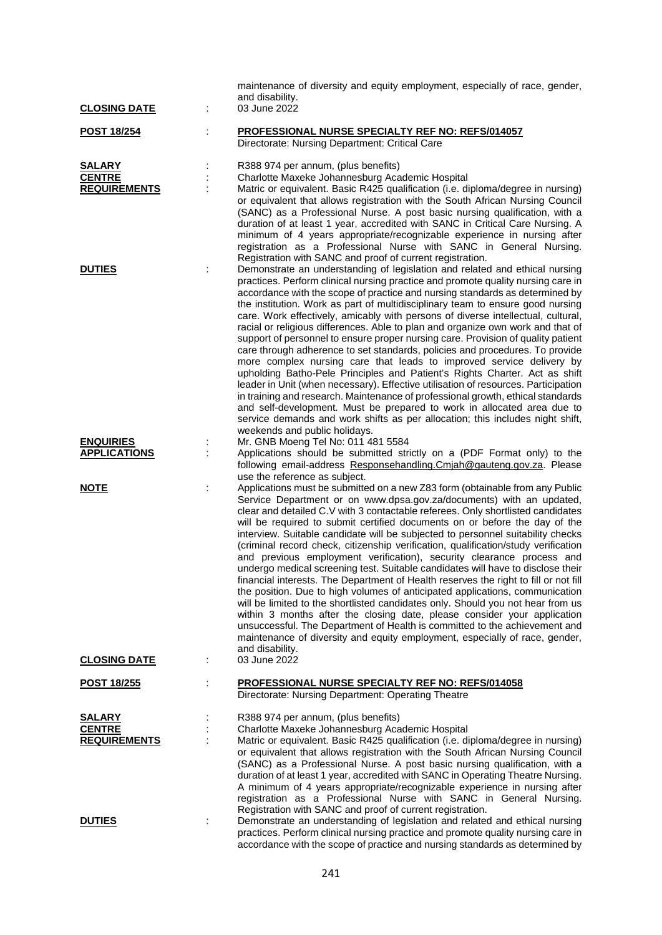|                                                       |        | maintenance of diversity and equity employment, especially of race, gender,<br>and disability.                                                                                                                                                                                                                                                                                                                                                                                                                                                                                                                                                                                                                                                                                                                                                                                                                                                                                                                                                                                                                                                                                                           |
|-------------------------------------------------------|--------|----------------------------------------------------------------------------------------------------------------------------------------------------------------------------------------------------------------------------------------------------------------------------------------------------------------------------------------------------------------------------------------------------------------------------------------------------------------------------------------------------------------------------------------------------------------------------------------------------------------------------------------------------------------------------------------------------------------------------------------------------------------------------------------------------------------------------------------------------------------------------------------------------------------------------------------------------------------------------------------------------------------------------------------------------------------------------------------------------------------------------------------------------------------------------------------------------------|
| <b>CLOSING DATE</b>                                   |        | 03 June 2022                                                                                                                                                                                                                                                                                                                                                                                                                                                                                                                                                                                                                                                                                                                                                                                                                                                                                                                                                                                                                                                                                                                                                                                             |
| <b>POST 18/254</b>                                    | t      | PROFESSIONAL NURSE SPECIALTY REF NO: REFS/014057<br>Directorate: Nursing Department: Critical Care                                                                                                                                                                                                                                                                                                                                                                                                                                                                                                                                                                                                                                                                                                                                                                                                                                                                                                                                                                                                                                                                                                       |
| <b>SALARY</b><br><b>CENTRE</b><br><b>REQUIREMENTS</b> | ÷      | R388 974 per annum, (plus benefits)<br>Charlotte Maxeke Johannesburg Academic Hospital<br>Matric or equivalent. Basic R425 qualification (i.e. diploma/degree in nursing)<br>or equivalent that allows registration with the South African Nursing Council<br>(SANC) as a Professional Nurse. A post basic nursing qualification, with a<br>duration of at least 1 year, accredited with SANC in Critical Care Nursing. A<br>minimum of 4 years appropriate/recognizable experience in nursing after<br>registration as a Professional Nurse with SANC in General Nursing.<br>Registration with SANC and proof of current registration.                                                                                                                                                                                                                                                                                                                                                                                                                                                                                                                                                                  |
| <b>DUTIES</b>                                         | ÷      | Demonstrate an understanding of legislation and related and ethical nursing<br>practices. Perform clinical nursing practice and promote quality nursing care in<br>accordance with the scope of practice and nursing standards as determined by<br>the institution. Work as part of multidisciplinary team to ensure good nursing<br>care. Work effectively, amicably with persons of diverse intellectual, cultural,<br>racial or religious differences. Able to plan and organize own work and that of<br>support of personnel to ensure proper nursing care. Provision of quality patient<br>care through adherence to set standards, policies and procedures. To provide<br>more complex nursing care that leads to improved service delivery by<br>upholding Batho-Pele Principles and Patient's Rights Charter. Act as shift<br>leader in Unit (when necessary). Effective utilisation of resources. Participation<br>in training and research. Maintenance of professional growth, ethical standards<br>and self-development. Must be prepared to work in allocated area due to<br>service demands and work shifts as per allocation; this includes night shift,<br>weekends and public holidays. |
| <b>ENQUIRIES</b><br><b>APPLICATIONS</b>               | :<br>÷ | Mr. GNB Moeng Tel No: 011 481 5584<br>Applications should be submitted strictly on a (PDF Format only) to the<br>following email-address Responsehandling.Cmjah@gauteng.gov.za. Please<br>use the reference as subject.                                                                                                                                                                                                                                                                                                                                                                                                                                                                                                                                                                                                                                                                                                                                                                                                                                                                                                                                                                                  |
| <b>NOTE</b><br><b>CLOSING DATE</b>                    |        | Applications must be submitted on a new Z83 form (obtainable from any Public<br>Service Department or on www.dpsa.gov.za/documents) with an updated,<br>clear and detailed C.V with 3 contactable referees. Only shortlisted candidates<br>will be required to submit certified documents on or before the day of the<br>interview. Suitable candidate will be subjected to personnel suitability checks<br>(criminal record check, citizenship verification, qualification/study verification<br>and previous employment verification), security clearance process and<br>undergo medical screening test. Suitable candidates will have to disclose their<br>financial interests. The Department of Health reserves the right to fill or not fill<br>the position. Due to high volumes of anticipated applications, communication<br>will be limited to the shortlisted candidates only. Should you not hear from us<br>within 3 months after the closing date, please consider your application<br>unsuccessful. The Department of Health is committed to the achievement and<br>maintenance of diversity and equity employment, especially of race, gender,<br>and disability.<br>03 June 2022        |
| <b>POST 18/255</b>                                    | t      | <b>PROFESSIONAL NURSE SPECIALTY REF NO: REFS/014058</b><br>Directorate: Nursing Department: Operating Theatre                                                                                                                                                                                                                                                                                                                                                                                                                                                                                                                                                                                                                                                                                                                                                                                                                                                                                                                                                                                                                                                                                            |
| <b>SALARY</b><br><b>CENTRE</b><br><b>REQUIREMENTS</b> |        | R388 974 per annum, (plus benefits)<br>Charlotte Maxeke Johannesburg Academic Hospital<br>Matric or equivalent. Basic R425 qualification (i.e. diploma/degree in nursing)<br>or equivalent that allows registration with the South African Nursing Council<br>(SANC) as a Professional Nurse. A post basic nursing qualification, with a<br>duration of at least 1 year, accredited with SANC in Operating Theatre Nursing.<br>A minimum of 4 years appropriate/recognizable experience in nursing after<br>registration as a Professional Nurse with SANC in General Nursing.<br>Registration with SANC and proof of current registration.                                                                                                                                                                                                                                                                                                                                                                                                                                                                                                                                                              |
| <b>DUTIES</b>                                         |        | Demonstrate an understanding of legislation and related and ethical nursing<br>practices. Perform clinical nursing practice and promote quality nursing care in<br>accordance with the scope of practice and nursing standards as determined by                                                                                                                                                                                                                                                                                                                                                                                                                                                                                                                                                                                                                                                                                                                                                                                                                                                                                                                                                          |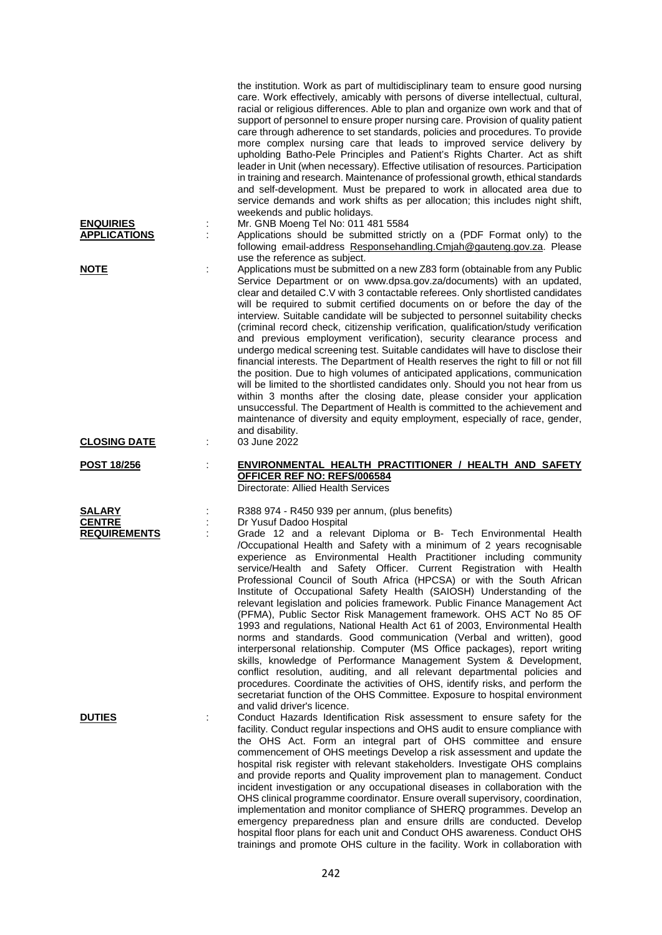|                     |   | the institution. Work as part of multidisciplinary team to ensure good nursing<br>care. Work effectively, amicably with persons of diverse intellectual, cultural,<br>racial or religious differences. Able to plan and organize own work and that of<br>support of personnel to ensure proper nursing care. Provision of quality patient<br>care through adherence to set standards, policies and procedures. To provide<br>more complex nursing care that leads to improved service delivery by<br>upholding Batho-Pele Principles and Patient's Rights Charter. Act as shift<br>leader in Unit (when necessary). Effective utilisation of resources. Participation<br>in training and research. Maintenance of professional growth, ethical standards<br>and self-development. Must be prepared to work in allocated area due to<br>service demands and work shifts as per allocation; this includes night shift,<br>weekends and public holidays.                                                                                                                                                                                                                             |
|---------------------|---|-----------------------------------------------------------------------------------------------------------------------------------------------------------------------------------------------------------------------------------------------------------------------------------------------------------------------------------------------------------------------------------------------------------------------------------------------------------------------------------------------------------------------------------------------------------------------------------------------------------------------------------------------------------------------------------------------------------------------------------------------------------------------------------------------------------------------------------------------------------------------------------------------------------------------------------------------------------------------------------------------------------------------------------------------------------------------------------------------------------------------------------------------------------------------------------|
| <b>ENQUIRIES</b>    |   | Mr. GNB Moeng Tel No: 011 481 5584                                                                                                                                                                                                                                                                                                                                                                                                                                                                                                                                                                                                                                                                                                                                                                                                                                                                                                                                                                                                                                                                                                                                                |
| <b>APPLICATIONS</b> |   | Applications should be submitted strictly on a (PDF Format only) to the<br>following email-address Responsehandling.Cmjah@gauteng.gov.za. Please<br>use the reference as subject.                                                                                                                                                                                                                                                                                                                                                                                                                                                                                                                                                                                                                                                                                                                                                                                                                                                                                                                                                                                                 |
| <b>NOTE</b>         |   | Applications must be submitted on a new Z83 form (obtainable from any Public<br>Service Department or on www.dpsa.gov.za/documents) with an updated,<br>clear and detailed C.V with 3 contactable referees. Only shortlisted candidates<br>will be required to submit certified documents on or before the day of the<br>interview. Suitable candidate will be subjected to personnel suitability checks<br>(criminal record check, citizenship verification, qualification/study verification<br>and previous employment verification), security clearance process and<br>undergo medical screening test. Suitable candidates will have to disclose their<br>financial interests. The Department of Health reserves the right to fill or not fill<br>the position. Due to high volumes of anticipated applications, communication<br>will be limited to the shortlisted candidates only. Should you not hear from us<br>within 3 months after the closing date, please consider your application<br>unsuccessful. The Department of Health is committed to the achievement and<br>maintenance of diversity and equity employment, especially of race, gender,<br>and disability. |
| <b>CLOSING DATE</b> | ÷ | 03 June 2022                                                                                                                                                                                                                                                                                                                                                                                                                                                                                                                                                                                                                                                                                                                                                                                                                                                                                                                                                                                                                                                                                                                                                                      |
| POST 18/256         |   | ENVIRONMENTAL HEALTH PRACTITIONER / HEALTH AND SAFETY<br>OFFICER REF NO: REFS/006584<br>Directorate: Allied Health Services                                                                                                                                                                                                                                                                                                                                                                                                                                                                                                                                                                                                                                                                                                                                                                                                                                                                                                                                                                                                                                                       |
| <b>SALARY</b>       |   | R388 974 - R450 939 per annum, (plus benefits)                                                                                                                                                                                                                                                                                                                                                                                                                                                                                                                                                                                                                                                                                                                                                                                                                                                                                                                                                                                                                                                                                                                                    |
| <b>CENTRE</b>       |   | Dr Yusuf Dadoo Hospital                                                                                                                                                                                                                                                                                                                                                                                                                                                                                                                                                                                                                                                                                                                                                                                                                                                                                                                                                                                                                                                                                                                                                           |
| <b>REQUIREMENTS</b> |   | Grade 12 and a relevant Diploma or B- Tech Environmental Health<br>/Occupational Health and Safety with a minimum of 2 years recognisable<br>experience as Environmental Health Practitioner including community<br>service/Health and Safety Officer. Current Registration with Health<br>Professional Council of South Africa (HPCSA) or with the South African<br>Institute of Occupational Safety Health (SAIOSH) Understanding of the<br>relevant legislation and policies framework. Public Finance Management Act<br>(PFMA), Public Sector Risk Management framework. OHS ACT No 85 OF<br>1993 and regulations, National Health Act 61 of 2003, Environmental Health<br>norms and standards. Good communication (Verbal and written), good<br>interpersonal relationship. Computer (MS Office packages), report writing<br>skills, knowledge of Performance Management System & Development,<br>conflict resolution, auditing, and all relevant departmental policies and<br>procedures. Coordinate the activities of OHS, identify risks, and perform the<br>secretariat function of the OHS Committee. Exposure to hospital environment<br>and valid driver's licence.   |
| <b>DUTIES</b>       |   | Conduct Hazards Identification Risk assessment to ensure safety for the<br>facility. Conduct regular inspections and OHS audit to ensure compliance with<br>the OHS Act. Form an integral part of OHS committee and ensure<br>commencement of OHS meetings Develop a risk assessment and update the<br>hospital risk register with relevant stakeholders. Investigate OHS complains<br>and provide reports and Quality improvement plan to management. Conduct<br>incident investigation or any occupational diseases in collaboration with the<br>OHS clinical programme coordinator. Ensure overall supervisory, coordination,<br>implementation and monitor compliance of SHERQ programmes. Develop an                                                                                                                                                                                                                                                                                                                                                                                                                                                                         |

emergency preparedness plan and ensure drills are conducted. Develop hospital floor plans for each unit and Conduct OHS awareness. Conduct OHS trainings and promote OHS culture in the facility. Work in collaboration with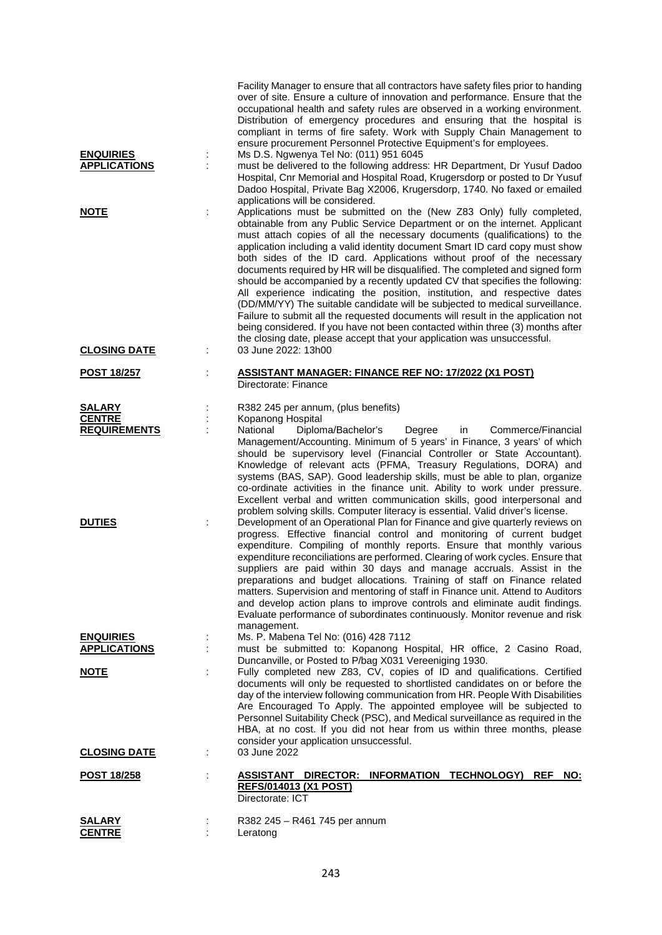| <b>ENQUIRIES</b><br><b>APPLICATIONS</b> |                      | Facility Manager to ensure that all contractors have safety files prior to handing<br>over of site. Ensure a culture of innovation and performance. Ensure that the<br>occupational health and safety rules are observed in a working environment.<br>Distribution of emergency procedures and ensuring that the hospital is<br>compliant in terms of fire safety. Work with Supply Chain Management to<br>ensure procurement Personnel Protective Equipment's for employees.<br>Ms D.S. Ngwenya Tel No: (011) 951 6045<br>must be delivered to the following address: HR Department, Dr Yusuf Dadoo<br>Hospital, Cnr Memorial and Hospital Road, Krugersdorp or posted to Dr Yusuf<br>Dadoo Hospital, Private Bag X2006, Krugersdorp, 1740. No faxed or emailed<br>applications will be considered.                                                                                                                                                                      |
|-----------------------------------------|----------------------|---------------------------------------------------------------------------------------------------------------------------------------------------------------------------------------------------------------------------------------------------------------------------------------------------------------------------------------------------------------------------------------------------------------------------------------------------------------------------------------------------------------------------------------------------------------------------------------------------------------------------------------------------------------------------------------------------------------------------------------------------------------------------------------------------------------------------------------------------------------------------------------------------------------------------------------------------------------------------|
| <b>NOTE</b>                             |                      | Applications must be submitted on the (New Z83 Only) fully completed,<br>obtainable from any Public Service Department or on the internet. Applicant<br>must attach copies of all the necessary documents (qualifications) to the<br>application including a valid identity document Smart ID card copy must show<br>both sides of the ID card. Applications without proof of the necessary<br>documents required by HR will be disqualified. The completed and signed form<br>should be accompanied by a recently updated CV that specifies the following:<br>All experience indicating the position, institution, and respective dates<br>(DD/MM/YY) The suitable candidate will be subjected to medical surveillance.<br>Failure to submit all the requested documents will result in the application not<br>being considered. If you have not been contacted within three (3) months after<br>the closing date, please accept that your application was unsuccessful. |
| <b>CLOSING DATE</b>                     | ÷                    | 03 June 2022: 13h00                                                                                                                                                                                                                                                                                                                                                                                                                                                                                                                                                                                                                                                                                                                                                                                                                                                                                                                                                       |
| <b>POST 18/257</b>                      | $\ddot{\phantom{a}}$ | <b>ASSISTANT MANAGER: FINANCE REF NO: 17/2022 (X1 POST)</b><br>Directorate: Finance                                                                                                                                                                                                                                                                                                                                                                                                                                                                                                                                                                                                                                                                                                                                                                                                                                                                                       |
| <b>SALARY</b>                           | ÷                    | R382 245 per annum, (plus benefits)                                                                                                                                                                                                                                                                                                                                                                                                                                                                                                                                                                                                                                                                                                                                                                                                                                                                                                                                       |
| <b>CENTRE</b><br><b>REQUIREMENTS</b>    | ċ                    | Kopanong Hospital<br>National<br>Diploma/Bachelor's<br>Commerce/Financial<br>Degree<br>in                                                                                                                                                                                                                                                                                                                                                                                                                                                                                                                                                                                                                                                                                                                                                                                                                                                                                 |
|                                         |                      | Management/Accounting. Minimum of 5 years' in Finance, 3 years' of which<br>should be supervisory level (Financial Controller or State Accountant).<br>Knowledge of relevant acts (PFMA, Treasury Regulations, DORA) and<br>systems (BAS, SAP). Good leadership skills, must be able to plan, organize<br>co-ordinate activities in the finance unit. Ability to work under pressure.<br>Excellent verbal and written communication skills, good interpersonal and<br>problem solving skills. Computer literacy is essential. Valid driver's license.                                                                                                                                                                                                                                                                                                                                                                                                                     |
| <b>DUTIES</b>                           |                      | Development of an Operational Plan for Finance and give quarterly reviews on<br>progress. Effective financial control and monitoring of current budget<br>expenditure. Compiling of monthly reports. Ensure that monthly various<br>expenditure reconciliations are performed. Clearing of work cycles. Ensure that<br>suppliers are paid within 30 days and manage accruals. Assist in the<br>preparations and budget allocations. Training of staff on Finance related<br>matters. Supervision and mentoring of staff in Finance unit. Attend to Auditors<br>and develop action plans to improve controls and eliminate audit findings.<br>Evaluate performance of subordinates continuously. Monitor revenue and risk<br>management.                                                                                                                                                                                                                                   |
| <b>ENQUIRIES</b>                        |                      | Ms. P. Mabena Tel No: (016) 428 7112                                                                                                                                                                                                                                                                                                                                                                                                                                                                                                                                                                                                                                                                                                                                                                                                                                                                                                                                      |
| <b>APPLICATIONS</b>                     |                      | must be submitted to: Kopanong Hospital, HR office, 2 Casino Road,<br>Duncanville, or Posted to P/bag X031 Vereeniging 1930.                                                                                                                                                                                                                                                                                                                                                                                                                                                                                                                                                                                                                                                                                                                                                                                                                                              |
| <u>NOTE</u>                             |                      | Fully completed new Z83, CV, copies of ID and qualifications. Certified<br>documents will only be requested to shortlisted candidates on or before the<br>day of the interview following communication from HR. People With Disabilities<br>Are Encouraged To Apply. The appointed employee will be subjected to<br>Personnel Suitability Check (PSC), and Medical surveillance as required in the<br>HBA, at no cost. If you did not hear from us within three months, please<br>consider your application unsuccessful.                                                                                                                                                                                                                                                                                                                                                                                                                                                 |
| <b>CLOSING DATE</b>                     | ÷                    | 03 June 2022                                                                                                                                                                                                                                                                                                                                                                                                                                                                                                                                                                                                                                                                                                                                                                                                                                                                                                                                                              |
| <u>POST 18/258</u>                      |                      | DIRECTOR: INFORMATION TECHNOLOGY)<br><b>REF</b><br>ASSISTANT<br>NO:<br><b>REFS/014013 (X1 POST)</b><br>Directorate: ICT                                                                                                                                                                                                                                                                                                                                                                                                                                                                                                                                                                                                                                                                                                                                                                                                                                                   |
| <b>SALARY</b><br><b>CENTRE</b>          |                      | R382 245 - R461 745 per annum<br>Leratong                                                                                                                                                                                                                                                                                                                                                                                                                                                                                                                                                                                                                                                                                                                                                                                                                                                                                                                                 |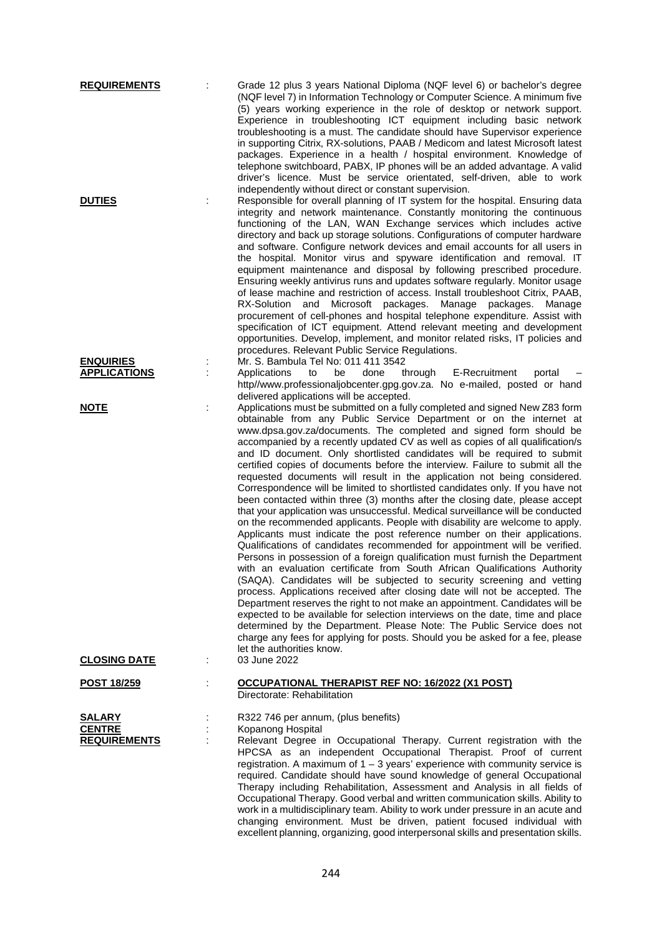| <b>REQUIREMENTS</b>                                   |        | Grade 12 plus 3 years National Diploma (NQF level 6) or bachelor's degree<br>(NQF level 7) in Information Technology or Computer Science. A minimum five<br>(5) years working experience in the role of desktop or network support.<br>Experience in troubleshooting ICT equipment including basic network<br>troubleshooting is a must. The candidate should have Supervisor experience<br>in supporting Citrix, RX-solutions, PAAB / Medicom and latest Microsoft latest<br>packages. Experience in a health / hospital environment. Knowledge of<br>telephone switchboard, PABX, IP phones will be an added advantage. A valid<br>driver's licence. Must be service orientated, self-driven, able to work                                                                                                                                                                                                                                                                                                                                                                                                                                                                                                                                                                                                                                                                                                                                                                                                                                                                                                                                                                                                                                                                                |
|-------------------------------------------------------|--------|---------------------------------------------------------------------------------------------------------------------------------------------------------------------------------------------------------------------------------------------------------------------------------------------------------------------------------------------------------------------------------------------------------------------------------------------------------------------------------------------------------------------------------------------------------------------------------------------------------------------------------------------------------------------------------------------------------------------------------------------------------------------------------------------------------------------------------------------------------------------------------------------------------------------------------------------------------------------------------------------------------------------------------------------------------------------------------------------------------------------------------------------------------------------------------------------------------------------------------------------------------------------------------------------------------------------------------------------------------------------------------------------------------------------------------------------------------------------------------------------------------------------------------------------------------------------------------------------------------------------------------------------------------------------------------------------------------------------------------------------------------------------------------------------|
| <b>DUTIES</b>                                         |        | independently without direct or constant supervision.<br>Responsible for overall planning of IT system for the hospital. Ensuring data<br>integrity and network maintenance. Constantly monitoring the continuous<br>functioning of the LAN, WAN Exchange services which includes active<br>directory and back up storage solutions. Configurations of computer hardware<br>and software. Configure network devices and email accounts for all users in<br>the hospital. Monitor virus and spyware identification and removal. IT<br>equipment maintenance and disposal by following prescribed procedure.<br>Ensuring weekly antivirus runs and updates software regularly. Monitor usage<br>of lease machine and restriction of access. Install troubleshoot Citrix, PAAB,<br>and Microsoft packages.<br>Manage packages. Manage<br>RX-Solution<br>procurement of cell-phones and hospital telephone expenditure. Assist with<br>specification of ICT equipment. Attend relevant meeting and development<br>opportunities. Develop, implement, and monitor related risks, IT policies and<br>procedures. Relevant Public Service Regulations.                                                                                                                                                                                                                                                                                                                                                                                                                                                                                                                                                                                                                                             |
| <b>ENQUIRIES</b><br><b>APPLICATIONS</b>               | ÷      | Mr. S. Bambula Tel No: 011 411 3542<br>through E-Recruitment<br>Applications<br>to<br>be<br>done<br>portal<br>http//www.professionaljobcenter.gpg.gov.za. No e-mailed, posted or hand                                                                                                                                                                                                                                                                                                                                                                                                                                                                                                                                                                                                                                                                                                                                                                                                                                                                                                                                                                                                                                                                                                                                                                                                                                                                                                                                                                                                                                                                                                                                                                                                       |
| <b>NOTE</b><br><b>CLOSING DATE</b>                    | t<br>÷ | delivered applications will be accepted.<br>Applications must be submitted on a fully completed and signed New Z83 form<br>obtainable from any Public Service Department or on the internet at<br>www.dpsa.gov.za/documents. The completed and signed form should be<br>accompanied by a recently updated CV as well as copies of all qualification/s<br>and ID document. Only shortlisted candidates will be required to submit<br>certified copies of documents before the interview. Failure to submit all the<br>requested documents will result in the application not being considered.<br>Correspondence will be limited to shortlisted candidates only. If you have not<br>been contacted within three (3) months after the closing date, please accept<br>that your application was unsuccessful. Medical surveillance will be conducted<br>on the recommended applicants. People with disability are welcome to apply.<br>Applicants must indicate the post reference number on their applications.<br>Qualifications of candidates recommended for appointment will be verified.<br>Persons in possession of a foreign qualification must furnish the Department<br>with an evaluation certificate from South African Qualifications Authority<br>(SAQA). Candidates will be subjected to security screening and vetting<br>process. Applications received after closing date will not be accepted. The<br>Department reserves the right to not make an appointment. Candidates will be<br>expected to be available for selection interviews on the date, time and place<br>determined by the Department. Please Note: The Public Service does not<br>charge any fees for applying for posts. Should you be asked for a fee, please<br>let the authorities know.<br>03 June 2022 |
| <u>POST 18/259</u>                                    | ÷      | OCCUPATIONAL THERAPIST REF NO: 16/2022 (X1 POST)                                                                                                                                                                                                                                                                                                                                                                                                                                                                                                                                                                                                                                                                                                                                                                                                                                                                                                                                                                                                                                                                                                                                                                                                                                                                                                                                                                                                                                                                                                                                                                                                                                                                                                                                            |
|                                                       |        | Directorate: Rehabilitation                                                                                                                                                                                                                                                                                                                                                                                                                                                                                                                                                                                                                                                                                                                                                                                                                                                                                                                                                                                                                                                                                                                                                                                                                                                                                                                                                                                                                                                                                                                                                                                                                                                                                                                                                                 |
| <b>SALARY</b><br><b>CENTRE</b><br><b>REQUIREMENTS</b> |        | R322 746 per annum, (plus benefits)<br>Kopanong Hospital<br>Relevant Degree in Occupational Therapy. Current registration with the<br>HPCSA as an independent Occupational Therapist. Proof of current<br>registration. A maximum of $1 - 3$ years' experience with community service is<br>required. Candidate should have sound knowledge of general Occupational<br>Therapy including Rehabilitation, Assessment and Analysis in all fields of<br>Occupational Therapy. Good verbal and written communication skills. Ability to<br>work in a multidisciplinary team. Ability to work under pressure in an acute and<br>changing environment. Must be driven, patient focused individual with<br>excellent planning, organizing, good interpersonal skills and presentation skills.                                                                                                                                                                                                                                                                                                                                                                                                                                                                                                                                                                                                                                                                                                                                                                                                                                                                                                                                                                                                      |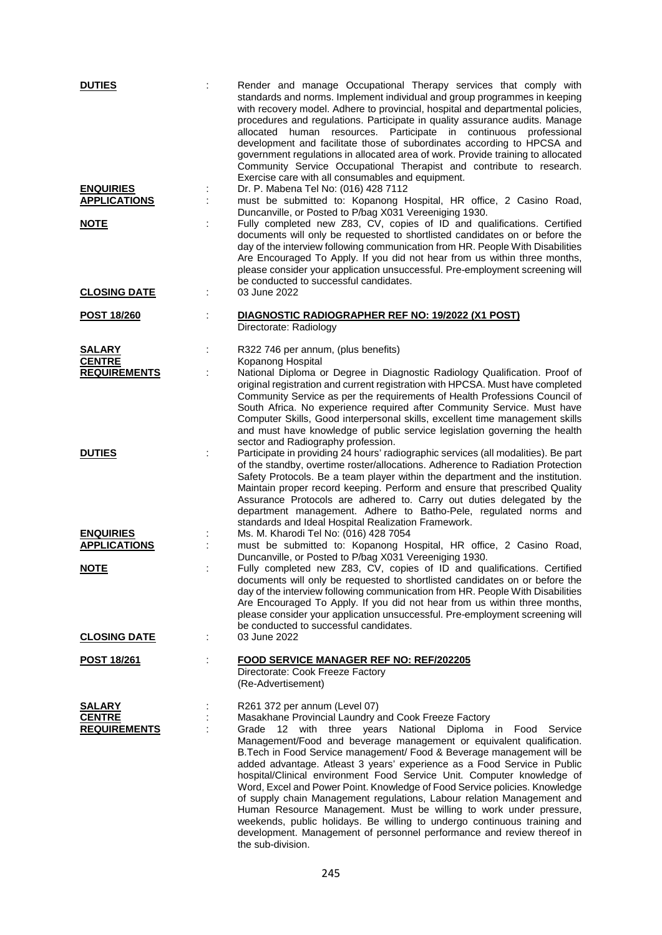| <b>DUTIES</b>                           |   | Render and manage Occupational Therapy services that comply with<br>standards and norms. Implement individual and group programmes in keeping<br>with recovery model. Adhere to provincial, hospital and departmental policies,<br>procedures and regulations. Participate in quality assurance audits. Manage<br>allocated human resources. Participate in continuous<br>professional<br>development and facilitate those of subordinates according to HPCSA and<br>government regulations in allocated area of work. Provide training to allocated<br>Community Service Occupational Therapist and contribute to research.<br>Exercise care with all consumables and equipment.                                                                                                                                                         |
|-----------------------------------------|---|-------------------------------------------------------------------------------------------------------------------------------------------------------------------------------------------------------------------------------------------------------------------------------------------------------------------------------------------------------------------------------------------------------------------------------------------------------------------------------------------------------------------------------------------------------------------------------------------------------------------------------------------------------------------------------------------------------------------------------------------------------------------------------------------------------------------------------------------|
| <b>ENQUIRIES</b><br><b>APPLICATIONS</b> | ÷ | Dr. P. Mabena Tel No: (016) 428 7112<br>must be submitted to: Kopanong Hospital, HR office, 2 Casino Road,<br>Duncanville, or Posted to P/bag X031 Vereeniging 1930.                                                                                                                                                                                                                                                                                                                                                                                                                                                                                                                                                                                                                                                                      |
| <b>NOTE</b>                             | ÷ | Fully completed new Z83, CV, copies of ID and qualifications. Certified<br>documents will only be requested to shortlisted candidates on or before the<br>day of the interview following communication from HR. People With Disabilities<br>Are Encouraged To Apply. If you did not hear from us within three months,<br>please consider your application unsuccessful. Pre-employment screening will<br>be conducted to successful candidates.                                                                                                                                                                                                                                                                                                                                                                                           |
| <b>CLOSING DATE</b>                     | ÷ | 03 June 2022                                                                                                                                                                                                                                                                                                                                                                                                                                                                                                                                                                                                                                                                                                                                                                                                                              |
| <b>POST 18/260</b>                      |   | DIAGNOSTIC RADIOGRAPHER REF NO: 19/2022 (X1 POST)<br>Directorate: Radiology                                                                                                                                                                                                                                                                                                                                                                                                                                                                                                                                                                                                                                                                                                                                                               |
| <b>SALARY</b>                           | ÷ | R322 746 per annum, (plus benefits)                                                                                                                                                                                                                                                                                                                                                                                                                                                                                                                                                                                                                                                                                                                                                                                                       |
| <b>CENTRE</b><br><b>REQUIREMENTS</b>    |   | Kopanong Hospital<br>National Diploma or Degree in Diagnostic Radiology Qualification. Proof of<br>original registration and current registration with HPCSA. Must have completed<br>Community Service as per the requirements of Health Professions Council of<br>South Africa. No experience required after Community Service. Must have<br>Computer Skills, Good interpersonal skills, excellent time management skills<br>and must have knowledge of public service legislation governing the health<br>sector and Radiography profession.                                                                                                                                                                                                                                                                                            |
| <b>DUTIES</b>                           |   | Participate in providing 24 hours' radiographic services (all modalities). Be part<br>of the standby, overtime roster/allocations. Adherence to Radiation Protection<br>Safety Protocols. Be a team player within the department and the institution.<br>Maintain proper record keeping. Perform and ensure that prescribed Quality<br>Assurance Protocols are adhered to. Carry out duties delegated by the<br>department management. Adhere to Batho-Pele, regulated norms and<br>standards and Ideal Hospital Realization Framework.                                                                                                                                                                                                                                                                                                   |
| <b>ENQUIRIES</b>                        |   | Ms. M. Kharodi Tel No: (016) 428 7054                                                                                                                                                                                                                                                                                                                                                                                                                                                                                                                                                                                                                                                                                                                                                                                                     |
| <b>APPLICATIONS</b>                     |   | must be submitted to: Kopanong Hospital, HR office, 2 Casino Road,<br>Duncanville, or Posted to P/bag X031 Vereeniging 1930.                                                                                                                                                                                                                                                                                                                                                                                                                                                                                                                                                                                                                                                                                                              |
| <b>NOTE</b>                             |   | Fully completed new Z83, CV, copies of ID and qualifications. Certified<br>documents will only be requested to shortlisted candidates on or before the<br>day of the interview following communication from HR. People With Disabilities<br>Are Encouraged To Apply. If you did not hear from us within three months,<br>please consider your application unsuccessful. Pre-employment screening will<br>be conducted to successful candidates.                                                                                                                                                                                                                                                                                                                                                                                           |
| <b>CLOSING DATE</b>                     | ÷ | 03 June 2022                                                                                                                                                                                                                                                                                                                                                                                                                                                                                                                                                                                                                                                                                                                                                                                                                              |
| <u>POST 18/261</u>                      |   | <b>FOOD SERVICE MANAGER REF NO: REF/202205</b><br>Directorate: Cook Freeze Factory<br>(Re-Advertisement)                                                                                                                                                                                                                                                                                                                                                                                                                                                                                                                                                                                                                                                                                                                                  |
| SALARY                                  |   | R261 372 per annum (Level 07)                                                                                                                                                                                                                                                                                                                                                                                                                                                                                                                                                                                                                                                                                                                                                                                                             |
| <b>CENTRE</b><br><b>REQUIREMENTS</b>    |   | Masakhane Provincial Laundry and Cook Freeze Factory<br>Grade<br>12 with three years National Diploma in Food<br>Service<br>Management/Food and beverage management or equivalent qualification.<br>B. Tech in Food Service management/ Food & Beverage management will be<br>added advantage. Atleast 3 years' experience as a Food Service in Public<br>hospital/Clinical environment Food Service Unit. Computer knowledge of<br>Word, Excel and Power Point. Knowledge of Food Service policies. Knowledge<br>of supply chain Management regulations, Labour relation Management and<br>Human Resource Management. Must be willing to work under pressure,<br>weekends, public holidays. Be willing to undergo continuous training and<br>development. Management of personnel performance and review thereof in<br>the sub-division. |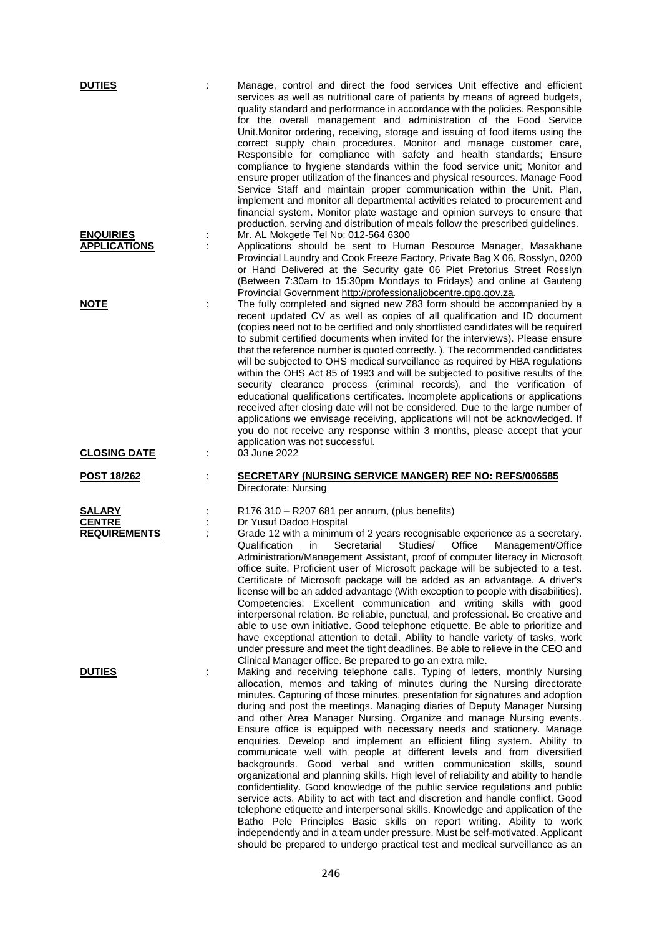| <b>DUTIES</b>                           |   | Manage, control and direct the food services Unit effective and efficient<br>services as well as nutritional care of patients by means of agreed budgets,<br>quality standard and performance in accordance with the policies. Responsible<br>for the overall management and administration of the Food Service<br>Unit. Monitor ordering, receiving, storage and issuing of food items using the<br>correct supply chain procedures. Monitor and manage customer care,<br>Responsible for compliance with safety and health standards; Ensure<br>compliance to hygiene standards within the food service unit; Monitor and<br>ensure proper utilization of the finances and physical resources. Manage Food<br>Service Staff and maintain proper communication within the Unit. Plan,<br>implement and monitor all departmental activities related to procurement and<br>financial system. Monitor plate wastage and opinion surveys to ensure that<br>production, serving and distribution of meals follow the prescribed guidelines.                    |
|-----------------------------------------|---|------------------------------------------------------------------------------------------------------------------------------------------------------------------------------------------------------------------------------------------------------------------------------------------------------------------------------------------------------------------------------------------------------------------------------------------------------------------------------------------------------------------------------------------------------------------------------------------------------------------------------------------------------------------------------------------------------------------------------------------------------------------------------------------------------------------------------------------------------------------------------------------------------------------------------------------------------------------------------------------------------------------------------------------------------------|
| <b>ENQUIRIES</b><br><b>APPLICATIONS</b> | ÷ | Mr. AL Mokgetle Tel No: 012-564 6300<br>Applications should be sent to Human Resource Manager, Masakhane<br>Provincial Laundry and Cook Freeze Factory, Private Bag X 06, Rosslyn, 0200<br>or Hand Delivered at the Security gate 06 Piet Pretorius Street Rosslyn<br>(Between 7:30am to 15:30pm Mondays to Fridays) and online at Gauteng<br>Provincial Government http://professionaljobcentre.gpg.gov.za.                                                                                                                                                                                                                                                                                                                                                                                                                                                                                                                                                                                                                                               |
| <b>NOTE</b>                             |   | The fully completed and signed new Z83 form should be accompanied by a<br>recent updated CV as well as copies of all qualification and ID document<br>(copies need not to be certified and only shortlisted candidates will be required<br>to submit certified documents when invited for the interviews). Please ensure<br>that the reference number is quoted correctly.). The recommended candidates<br>will be subjected to OHS medical surveillance as required by HBA regulations<br>within the OHS Act 85 of 1993 and will be subjected to positive results of the<br>security clearance process (criminal records), and the verification of<br>educational qualifications certificates. Incomplete applications or applications<br>received after closing date will not be considered. Due to the large number of<br>applications we envisage receiving, applications will not be acknowledged. If<br>you do not receive any response within 3 months, please accept that your<br>application was not successful.                                  |
| <b>CLOSING DATE</b>                     |   | 03 June 2022                                                                                                                                                                                                                                                                                                                                                                                                                                                                                                                                                                                                                                                                                                                                                                                                                                                                                                                                                                                                                                               |
| POST 18/262                             |   | <b>SECRETARY (NURSING SERVICE MANGER) REF NO: REFS/006585</b><br>Directorate: Nursing                                                                                                                                                                                                                                                                                                                                                                                                                                                                                                                                                                                                                                                                                                                                                                                                                                                                                                                                                                      |
| <u>SALARY</u><br><b>CENTRE</b>          |   | R176 310 - R207 681 per annum, (plus benefits)<br>Dr Yusuf Dadoo Hospital                                                                                                                                                                                                                                                                                                                                                                                                                                                                                                                                                                                                                                                                                                                                                                                                                                                                                                                                                                                  |
| <b>REQUIREMENTS</b><br><b>DUTIES</b>    |   | Grade 12 with a minimum of 2 years recognisable experience as a secretary.<br>Qualification<br>Secretarial<br>Studies/<br>Office<br>Management/Office<br>in<br>Administration/Management Assistant, proof of computer literacy in Microsoft<br>office suite. Proficient user of Microsoft package will be subjected to a test.<br>Certificate of Microsoft package will be added as an advantage. A driver's<br>license will be an added advantage (With exception to people with disabilities).<br>Competencies: Excellent communication and writing skills with good<br>interpersonal relation. Be reliable, punctual, and professional. Be creative and<br>able to use own initiative. Good telephone etiquette. Be able to prioritize and<br>have exceptional attention to detail. Ability to handle variety of tasks, work<br>under pressure and meet the tight deadlines. Be able to relieve in the CEO and<br>Clinical Manager office. Be prepared to go an extra mile.<br>Making and receiving telephone calls. Typing of letters, monthly Nursing |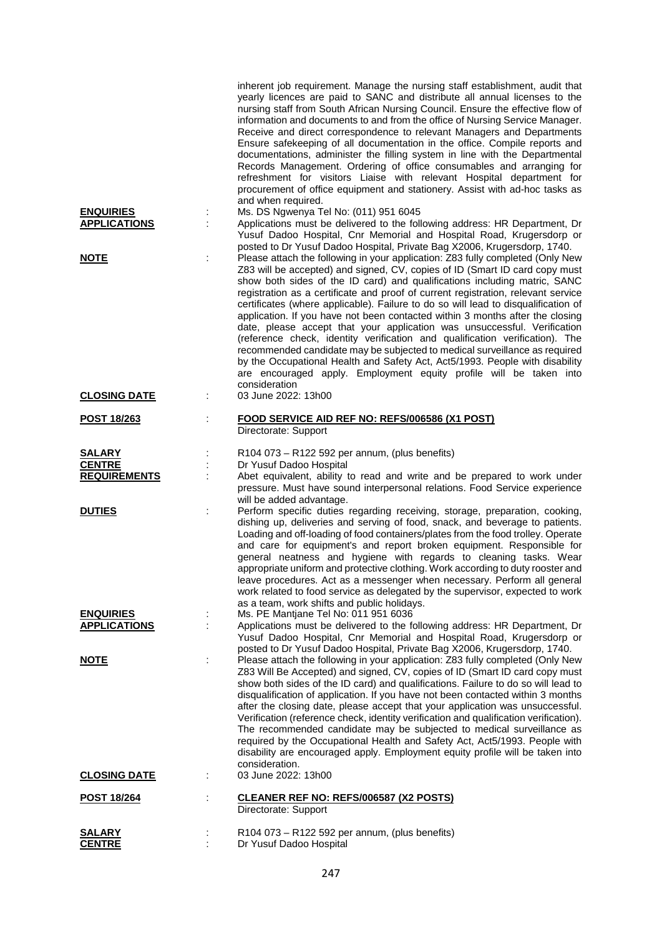| <b>ENQUIRIES</b><br><b>APPLICATIONS</b><br><b>NOTE</b> | inherent job requirement. Manage the nursing staff establishment, audit that<br>yearly licences are paid to SANC and distribute all annual licenses to the<br>nursing staff from South African Nursing Council. Ensure the effective flow of<br>information and documents to and from the office of Nursing Service Manager.<br>Receive and direct correspondence to relevant Managers and Departments<br>Ensure safekeeping of all documentation in the office. Compile reports and<br>documentations, administer the filling system in line with the Departmental<br>Records Management. Ordering of office consumables and arranging for<br>refreshment for visitors Liaise with relevant Hospital department for<br>procurement of office equipment and stationery. Assist with ad-hoc tasks as<br>and when required.<br>Ms. DS Ngwenya Tel No: (011) 951 6045<br>Applications must be delivered to the following address: HR Department, Dr<br>Yusuf Dadoo Hospital, Cnr Memorial and Hospital Road, Krugersdorp or<br>posted to Dr Yusuf Dadoo Hospital, Private Bag X2006, Krugersdorp, 1740.<br>Please attach the following in your application: Z83 fully completed (Only New<br>Z83 will be accepted) and signed, CV, copies of ID (Smart ID card copy must<br>show both sides of the ID card) and qualifications including matric, SANC<br>registration as a certificate and proof of current registration, relevant service<br>certificates (where applicable). Failure to do so will lead to disqualification of<br>application. If you have not been contacted within 3 months after the closing<br>date, please accept that your application was unsuccessful. Verification<br>(reference check, identity verification and qualification verification). The<br>recommended candidate may be subjected to medical surveillance as required<br>by the Occupational Health and Safety Act, Act5/1993. People with disability<br>are encouraged apply. Employment equity profile will be taken into |
|--------------------------------------------------------|----------------------------------------------------------------------------------------------------------------------------------------------------------------------------------------------------------------------------------------------------------------------------------------------------------------------------------------------------------------------------------------------------------------------------------------------------------------------------------------------------------------------------------------------------------------------------------------------------------------------------------------------------------------------------------------------------------------------------------------------------------------------------------------------------------------------------------------------------------------------------------------------------------------------------------------------------------------------------------------------------------------------------------------------------------------------------------------------------------------------------------------------------------------------------------------------------------------------------------------------------------------------------------------------------------------------------------------------------------------------------------------------------------------------------------------------------------------------------------------------------------------------------------------------------------------------------------------------------------------------------------------------------------------------------------------------------------------------------------------------------------------------------------------------------------------------------------------------------------------------------------------------------------------------------------------------------------------------------------------------------------------|
| <b>CLOSING DATE</b>                                    | consideration<br>03 June 2022: 13h00<br>t                                                                                                                                                                                                                                                                                                                                                                                                                                                                                                                                                                                                                                                                                                                                                                                                                                                                                                                                                                                                                                                                                                                                                                                                                                                                                                                                                                                                                                                                                                                                                                                                                                                                                                                                                                                                                                                                                                                                                                      |
| <b>POST 18/263</b>                                     | FOOD SERVICE AID REF NO: REFS/006586 (X1 POST)<br>Directorate: Support                                                                                                                                                                                                                                                                                                                                                                                                                                                                                                                                                                                                                                                                                                                                                                                                                                                                                                                                                                                                                                                                                                                                                                                                                                                                                                                                                                                                                                                                                                                                                                                                                                                                                                                                                                                                                                                                                                                                         |
| <b>SALARY</b><br><b>CENTRE</b><br><b>REQUIREMENTS</b>  | R104 073 - R122 592 per annum, (plus benefits)<br>Dr Yusuf Dadoo Hospital<br>Abet equivalent, ability to read and write and be prepared to work under<br>pressure. Must have sound interpersonal relations. Food Service experience<br>will be added advantage.                                                                                                                                                                                                                                                                                                                                                                                                                                                                                                                                                                                                                                                                                                                                                                                                                                                                                                                                                                                                                                                                                                                                                                                                                                                                                                                                                                                                                                                                                                                                                                                                                                                                                                                                                |
| <b>DUTIES</b>                                          | Perform specific duties regarding receiving, storage, preparation, cooking,<br>dishing up, deliveries and serving of food, snack, and beverage to patients.<br>Loading and off-loading of food containers/plates from the food trolley. Operate<br>and care for equipment's and report broken equipment. Responsible for<br>general neatness and hygiene with regards to cleaning tasks. Wear<br>appropriate uniform and protective clothing. Work according to duty rooster and<br>leave procedures. Act as a messenger when necessary. Perform all general<br>work related to food service as delegated by the supervisor, expected to work<br>as a team, work shifts and public holidays.                                                                                                                                                                                                                                                                                                                                                                                                                                                                                                                                                                                                                                                                                                                                                                                                                                                                                                                                                                                                                                                                                                                                                                                                                                                                                                                   |
| <b>ENQUIRIES</b><br><b>APPLICATIONS</b>                | Ms. PE Mantjane Tel No: 011 951 6036<br>Applications must be delivered to the following address: HR Department, Dr                                                                                                                                                                                                                                                                                                                                                                                                                                                                                                                                                                                                                                                                                                                                                                                                                                                                                                                                                                                                                                                                                                                                                                                                                                                                                                                                                                                                                                                                                                                                                                                                                                                                                                                                                                                                                                                                                             |
|                                                        | Yusuf Dadoo Hospital, Cnr Memorial and Hospital Road, Krugersdorp or<br>posted to Dr Yusuf Dadoo Hospital, Private Bag X2006, Krugersdorp, 1740.                                                                                                                                                                                                                                                                                                                                                                                                                                                                                                                                                                                                                                                                                                                                                                                                                                                                                                                                                                                                                                                                                                                                                                                                                                                                                                                                                                                                                                                                                                                                                                                                                                                                                                                                                                                                                                                               |
| <b>NOTE</b>                                            | Please attach the following in your application: Z83 fully completed (Only New<br>÷<br>Z83 Will Be Accepted) and signed, CV, copies of ID (Smart ID card copy must<br>show both sides of the ID card) and qualifications. Failure to do so will lead to<br>disqualification of application. If you have not been contacted within 3 months<br>after the closing date, please accept that your application was unsuccessful.<br>Verification (reference check, identity verification and qualification verification).<br>The recommended candidate may be subjected to medical surveillance as<br>required by the Occupational Health and Safety Act, Act5/1993. People with<br>disability are encouraged apply. Employment equity profile will be taken into<br>consideration.                                                                                                                                                                                                                                                                                                                                                                                                                                                                                                                                                                                                                                                                                                                                                                                                                                                                                                                                                                                                                                                                                                                                                                                                                                 |
| <b>CLOSING DATE</b>                                    | 03 June 2022: 13h00<br>÷                                                                                                                                                                                                                                                                                                                                                                                                                                                                                                                                                                                                                                                                                                                                                                                                                                                                                                                                                                                                                                                                                                                                                                                                                                                                                                                                                                                                                                                                                                                                                                                                                                                                                                                                                                                                                                                                                                                                                                                       |
| <u>POST 18/264</u>                                     | <b>CLEANER REF NO: REFS/006587 (X2 POSTS)</b><br>Directorate: Support                                                                                                                                                                                                                                                                                                                                                                                                                                                                                                                                                                                                                                                                                                                                                                                                                                                                                                                                                                                                                                                                                                                                                                                                                                                                                                                                                                                                                                                                                                                                                                                                                                                                                                                                                                                                                                                                                                                                          |
| <u>SALARY</u><br><b>CENTRE</b>                         | R104 073 - R122 592 per annum, (plus benefits)<br>Dr Yusuf Dadoo Hospital                                                                                                                                                                                                                                                                                                                                                                                                                                                                                                                                                                                                                                                                                                                                                                                                                                                                                                                                                                                                                                                                                                                                                                                                                                                                                                                                                                                                                                                                                                                                                                                                                                                                                                                                                                                                                                                                                                                                      |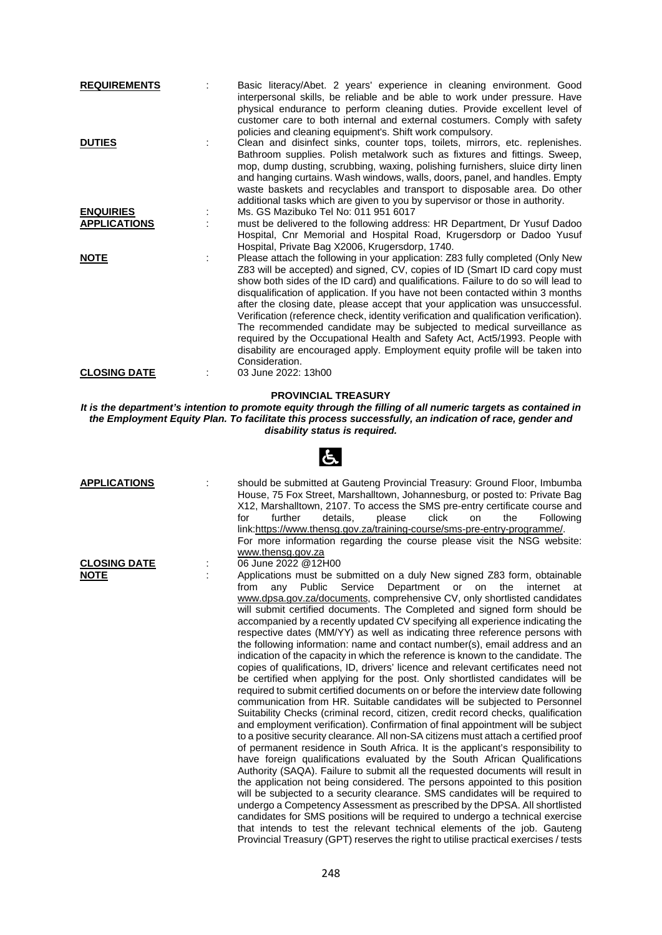| <b>REQUIREMENTS</b>                     | Basic literacy/Abet. 2 years' experience in cleaning environment. Good<br>interpersonal skills, be reliable and be able to work under pressure. Have<br>physical endurance to perform cleaning duties. Provide excellent level of<br>customer care to both internal and external costumers. Comply with safety<br>policies and cleaning equipment's. Shift work compulsory.                                                                                                                                                                                                                                                                                                                                                                                               |
|-----------------------------------------|---------------------------------------------------------------------------------------------------------------------------------------------------------------------------------------------------------------------------------------------------------------------------------------------------------------------------------------------------------------------------------------------------------------------------------------------------------------------------------------------------------------------------------------------------------------------------------------------------------------------------------------------------------------------------------------------------------------------------------------------------------------------------|
| <b>DUTIES</b>                           | Clean and disinfect sinks, counter tops, toilets, mirrors, etc. replenishes.<br>Bathroom supplies. Polish metalwork such as fixtures and fittings. Sweep,<br>mop, dump dusting, scrubbing, waxing, polishing furnishers, sluice dirty linen<br>and hanging curtains. Wash windows, walls, doors, panel, and handles. Empty<br>waste baskets and recyclables and transport to disposable area. Do other<br>additional tasks which are given to you by supervisor or those in authority.                                                                                                                                                                                                                                                                                    |
| <b>ENQUIRIES</b><br><b>APPLICATIONS</b> | Ms. GS Mazibuko Tel No: 011 951 6017<br>must be delivered to the following address: HR Department, Dr Yusuf Dadoo<br>Hospital, Cnr Memorial and Hospital Road, Krugersdorp or Dadoo Yusuf<br>Hospital, Private Bag X2006, Krugersdorp, 1740.                                                                                                                                                                                                                                                                                                                                                                                                                                                                                                                              |
| <b>NOTE</b>                             | Please attach the following in your application: Z83 fully completed (Only New<br>Z83 will be accepted) and signed, CV, copies of ID (Smart ID card copy must<br>show both sides of the ID card) and qualifications. Failure to do so will lead to<br>disqualification of application. If you have not been contacted within 3 months<br>after the closing date, please accept that your application was unsuccessful.<br>Verification (reference check, identity verification and qualification verification).<br>The recommended candidate may be subjected to medical surveillance as<br>required by the Occupational Health and Safety Act, Act5/1993. People with<br>disability are encouraged apply. Employment equity profile will be taken into<br>Consideration. |
| <b>CLOSING DATE</b>                     | 03 June 2022: 13h00                                                                                                                                                                                                                                                                                                                                                                                                                                                                                                                                                                                                                                                                                                                                                       |

## **PROVINCIAL TREASURY**

*It is the department's intention to promote equity through the filling of all numeric targets as contained in the Employment Equity Plan. To facilitate this process successfully, an indication of race, gender and disability status is required.*

 $\mathbf{F}$ 

|                                    | $\sim$                                                                                                                                                                                                                                                                                                                                                                                                                                                                                                                                                                                                                                                                                                                                                                                                                                                                                                                                                                                                                                                                                                                                                                                                                                                                                                                                                                                                                                                                                                                                                                                                                                                                                                                                                                                                                                                                                                                                   |
|------------------------------------|------------------------------------------------------------------------------------------------------------------------------------------------------------------------------------------------------------------------------------------------------------------------------------------------------------------------------------------------------------------------------------------------------------------------------------------------------------------------------------------------------------------------------------------------------------------------------------------------------------------------------------------------------------------------------------------------------------------------------------------------------------------------------------------------------------------------------------------------------------------------------------------------------------------------------------------------------------------------------------------------------------------------------------------------------------------------------------------------------------------------------------------------------------------------------------------------------------------------------------------------------------------------------------------------------------------------------------------------------------------------------------------------------------------------------------------------------------------------------------------------------------------------------------------------------------------------------------------------------------------------------------------------------------------------------------------------------------------------------------------------------------------------------------------------------------------------------------------------------------------------------------------------------------------------------------------|
| <b>APPLICATIONS</b>                | should be submitted at Gauteng Provincial Treasury: Ground Floor, Imbumba<br>House, 75 Fox Street, Marshalltown, Johannesburg, or posted to: Private Bag<br>X12, Marshalltown, 2107. To access the SMS pre-entry certificate course and<br>further<br>for<br>details,<br>click<br>the<br>Following<br>please<br>on<br>link:https://www.thensg.gov.za/training-course/sms-pre-entry-programme/.<br>For more information regarding the course please visit the NSG website:<br>www.thensg.gov.za                                                                                                                                                                                                                                                                                                                                                                                                                                                                                                                                                                                                                                                                                                                                                                                                                                                                                                                                                                                                                                                                                                                                                                                                                                                                                                                                                                                                                                           |
| <b>CLOSING DATE</b><br><b>NOTE</b> | 06 June 2022 @12H00<br>Applications must be submitted on a duly New signed Z83 form, obtainable                                                                                                                                                                                                                                                                                                                                                                                                                                                                                                                                                                                                                                                                                                                                                                                                                                                                                                                                                                                                                                                                                                                                                                                                                                                                                                                                                                                                                                                                                                                                                                                                                                                                                                                                                                                                                                          |
|                                    | from<br>Public<br>Service<br>Department<br>the<br>any<br>or<br>on<br>internet<br>at<br>www.dpsa.gov.za/documents, comprehensive CV, only shortlisted candidates<br>will submit certified documents. The Completed and signed form should be<br>accompanied by a recently updated CV specifying all experience indicating the<br>respective dates (MM/YY) as well as indicating three reference persons with<br>the following information: name and contact number(s), email address and an<br>indication of the capacity in which the reference is known to the candidate. The<br>copies of qualifications, ID, drivers' licence and relevant certificates need not<br>be certified when applying for the post. Only shortlisted candidates will be<br>required to submit certified documents on or before the interview date following<br>communication from HR. Suitable candidates will be subjected to Personnel<br>Suitability Checks (criminal record, citizen, credit record checks, qualification<br>and employment verification). Confirmation of final appointment will be subject<br>to a positive security clearance. All non-SA citizens must attach a certified proof<br>of permanent residence in South Africa. It is the applicant's responsibility to<br>have foreign qualifications evaluated by the South African Qualifications<br>Authority (SAQA). Failure to submit all the requested documents will result in<br>the application not being considered. The persons appointed to this position<br>will be subjected to a security clearance. SMS candidates will be required to<br>undergo a Competency Assessment as prescribed by the DPSA. All shortlisted<br>candidates for SMS positions will be required to undergo a technical exercise<br>that intends to test the relevant technical elements of the job. Gauteng<br>Provincial Treasury (GPT) reserves the right to utilise practical exercises / tests |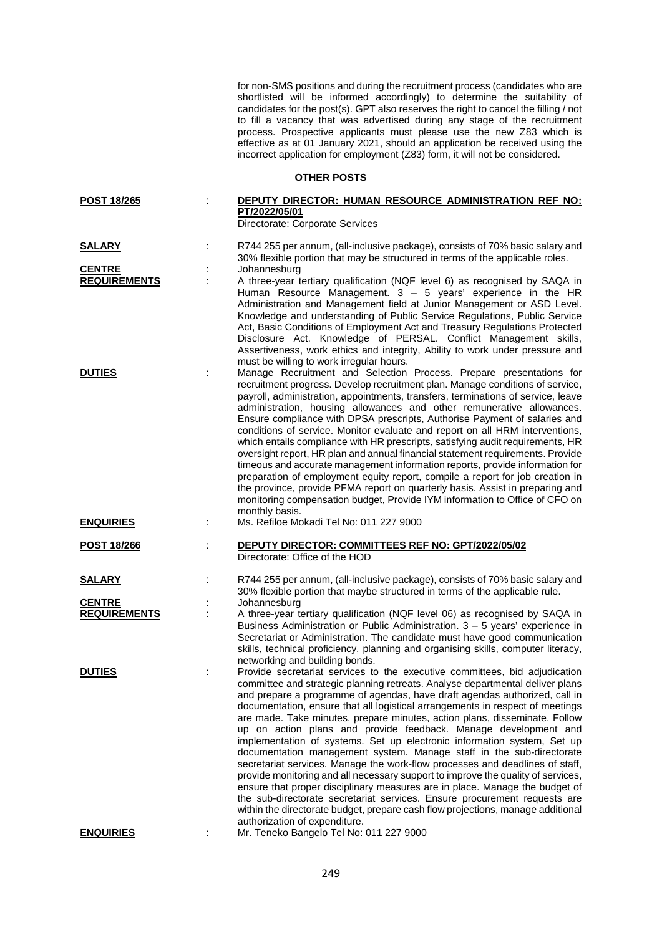for non-SMS positions and during the recruitment process (candidates who are shortlisted will be informed accordingly) to determine the suitability of candidates for the post(s). GPT also reserves the right to cancel the filling / not to fill a vacancy that was advertised during any stage of the recruitment process. Prospective applicants must please use the new Z83 which is effective as at 01 January 2021, should an application be received using the incorrect application for employment (Z83) form, it will not be considered.

**OTHER POSTS**

| POST 18/265                          | DEPUTY DIRECTOR: HUMAN RESOURCE ADMINISTRATION REF NO:<br>PT/2022/05/01<br>Directorate: Corporate Services                                                                                                                                                                                                                                                                                                                                                                                                                                                                                                                                                                                                                                                                                                                                                                                                                                                                                                                                                                         |
|--------------------------------------|------------------------------------------------------------------------------------------------------------------------------------------------------------------------------------------------------------------------------------------------------------------------------------------------------------------------------------------------------------------------------------------------------------------------------------------------------------------------------------------------------------------------------------------------------------------------------------------------------------------------------------------------------------------------------------------------------------------------------------------------------------------------------------------------------------------------------------------------------------------------------------------------------------------------------------------------------------------------------------------------------------------------------------------------------------------------------------|
| <u>SALARY</u>                        | R744 255 per annum, (all-inclusive package), consists of 70% basic salary and                                                                                                                                                                                                                                                                                                                                                                                                                                                                                                                                                                                                                                                                                                                                                                                                                                                                                                                                                                                                      |
| <b>CENTRE</b><br><b>REQUIREMENTS</b> | 30% flexible portion that may be structured in terms of the applicable roles.<br>Johannesburg<br>A three-year tertiary qualification (NQF level 6) as recognised by SAQA in<br>Human Resource Management. $3 - 5$ years' experience in the HR<br>Administration and Management field at Junior Management or ASD Level.<br>Knowledge and understanding of Public Service Regulations, Public Service<br>Act, Basic Conditions of Employment Act and Treasury Regulations Protected<br>Disclosure Act. Knowledge of PERSAL. Conflict Management skills,<br>Assertiveness, work ethics and integrity, Ability to work under pressure and                                                                                                                                                                                                                                                                                                                                                                                                                                             |
| <b>DUTIES</b>                        | must be willing to work irregular hours.<br>Manage Recruitment and Selection Process. Prepare presentations for<br>recruitment progress. Develop recruitment plan. Manage conditions of service,<br>payroll, administration, appointments, transfers, terminations of service, leave<br>administration, housing allowances and other remunerative allowances.<br>Ensure compliance with DPSA prescripts, Authorise Payment of salaries and<br>conditions of service. Monitor evaluate and report on all HRM interventions,<br>which entails compliance with HR prescripts, satisfying audit requirements, HR<br>oversight report, HR plan and annual financial statement requirements. Provide<br>timeous and accurate management information reports, provide information for<br>preparation of employment equity report, compile a report for job creation in<br>the province, provide PFMA report on quarterly basis. Assist in preparing and<br>monitoring compensation budget, Provide IYM information to Office of CFO on<br>monthly basis.                                  |
| <b>ENQUIRIES</b>                     | Ms. Refiloe Mokadi Tel No: 011 227 9000                                                                                                                                                                                                                                                                                                                                                                                                                                                                                                                                                                                                                                                                                                                                                                                                                                                                                                                                                                                                                                            |
| <u>POST 18/266</u>                   | DEPUTY DIRECTOR: COMMITTEES REF NO: GPT/2022/05/02<br>Directorate: Office of the HOD                                                                                                                                                                                                                                                                                                                                                                                                                                                                                                                                                                                                                                                                                                                                                                                                                                                                                                                                                                                               |
| <u>SALARY</u>                        | R744 255 per annum, (all-inclusive package), consists of 70% basic salary and<br>30% flexible portion that maybe structured in terms of the applicable rule.                                                                                                                                                                                                                                                                                                                                                                                                                                                                                                                                                                                                                                                                                                                                                                                                                                                                                                                       |
| <b>CENTRE</b><br><b>REQUIREMENTS</b> | Johannesburg<br>A three-year tertiary qualification (NQF level 06) as recognised by SAQA in<br>Business Administration or Public Administration. 3 - 5 years' experience in<br>Secretariat or Administration. The candidate must have good communication<br>skills, technical proficiency, planning and organising skills, computer literacy,<br>networking and building bonds.                                                                                                                                                                                                                                                                                                                                                                                                                                                                                                                                                                                                                                                                                                    |
| <b>DUTIES</b>                        | Provide secretariat services to the executive committees, bid adjudication<br>committee and strategic planning retreats. Analyse departmental deliver plans<br>and prepare a programme of agendas, have draft agendas authorized, call in<br>documentation, ensure that all logistical arrangements in respect of meetings<br>are made. Take minutes, prepare minutes, action plans, disseminate. Follow<br>up on action plans and provide feedback. Manage development and<br>implementation of systems. Set up electronic information system, Set up<br>documentation management system. Manage staff in the sub-directorate<br>secretariat services. Manage the work-flow processes and deadlines of staff,<br>provide monitoring and all necessary support to improve the quality of services,<br>ensure that proper disciplinary measures are in place. Manage the budget of<br>the sub-directorate secretariat services. Ensure procurement requests are<br>within the directorate budget, prepare cash flow projections, manage additional<br>authorization of expenditure. |
| <b>ENQUIRIES</b>                     | Mr. Teneko Bangelo Tel No: 011 227 9000                                                                                                                                                                                                                                                                                                                                                                                                                                                                                                                                                                                                                                                                                                                                                                                                                                                                                                                                                                                                                                            |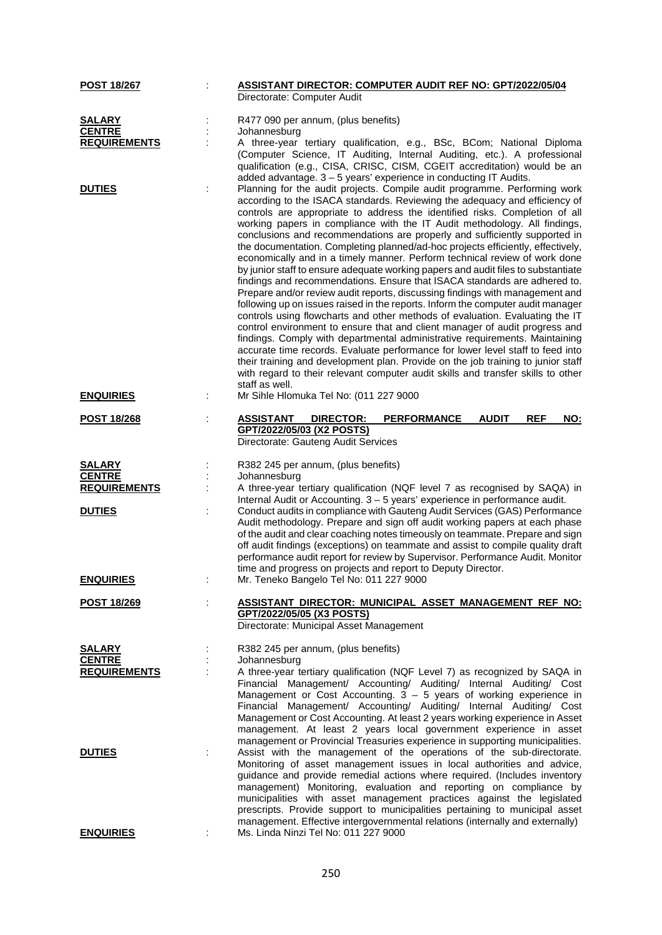| <b>POST 18/267</b>                                                     | <b>ASSISTANT DIRECTOR: COMPUTER AUDIT REF NO: GPT/2022/05/04</b><br>Directorate: Computer Audit                                                                                                                                                                                                                                                                                                                                                                                                                                                                                                                                                                                                                                                                                                                                                                                                                                                                                                                                                                                                                                                                                                                                                                                                                                                                                                                                   |
|------------------------------------------------------------------------|-----------------------------------------------------------------------------------------------------------------------------------------------------------------------------------------------------------------------------------------------------------------------------------------------------------------------------------------------------------------------------------------------------------------------------------------------------------------------------------------------------------------------------------------------------------------------------------------------------------------------------------------------------------------------------------------------------------------------------------------------------------------------------------------------------------------------------------------------------------------------------------------------------------------------------------------------------------------------------------------------------------------------------------------------------------------------------------------------------------------------------------------------------------------------------------------------------------------------------------------------------------------------------------------------------------------------------------------------------------------------------------------------------------------------------------|
| <b>SALARY</b><br><b>CENTRE</b><br><b>REQUIREMENTS</b>                  | R477 090 per annum, (plus benefits)<br>Johannesburg<br>A three-year tertiary qualification, e.g., BSc, BCom; National Diploma<br>(Computer Science, IT Auditing, Internal Auditing, etc.). A professional<br>qualification (e.g., CISA, CRISC, CISM, CGEIT accreditation) would be an<br>added advantage. 3 - 5 years' experience in conducting IT Audits.                                                                                                                                                                                                                                                                                                                                                                                                                                                                                                                                                                                                                                                                                                                                                                                                                                                                                                                                                                                                                                                                        |
| <b>DUTIES</b>                                                          | Planning for the audit projects. Compile audit programme. Performing work<br>according to the ISACA standards. Reviewing the adequacy and efficiency of<br>controls are appropriate to address the identified risks. Completion of all<br>working papers in compliance with the IT Audit methodology. All findings,<br>conclusions and recommendations are properly and sufficiently supported in<br>the documentation. Completing planned/ad-hoc projects efficiently, effectively,<br>economically and in a timely manner. Perform technical review of work done<br>by junior staff to ensure adequate working papers and audit files to substantiate<br>findings and recommendations. Ensure that ISACA standards are adhered to.<br>Prepare and/or review audit reports, discussing findings with management and<br>following up on issues raised in the reports. Inform the computer audit manager<br>controls using flowcharts and other methods of evaluation. Evaluating the IT<br>control environment to ensure that and client manager of audit progress and<br>findings. Comply with departmental administrative requirements. Maintaining<br>accurate time records. Evaluate performance for lower level staff to feed into<br>their training and development plan. Provide on the job training to junior staff<br>with regard to their relevant computer audit skills and transfer skills to other<br>staff as well. |
| <b>ENQUIRIES</b>                                                       | Mr Sihle Hlomuka Tel No: (011 227 9000                                                                                                                                                                                                                                                                                                                                                                                                                                                                                                                                                                                                                                                                                                                                                                                                                                                                                                                                                                                                                                                                                                                                                                                                                                                                                                                                                                                            |
| <b>POST 18/268</b>                                                     | <b>AUDIT</b><br><b>ASSISTANT</b><br><b>DIRECTOR:</b><br><b>PERFORMANCE</b><br><b>REF</b><br>NO:<br>GPT/2022/05/03 (X2 POSTS)<br>Directorate: Gauteng Audit Services                                                                                                                                                                                                                                                                                                                                                                                                                                                                                                                                                                                                                                                                                                                                                                                                                                                                                                                                                                                                                                                                                                                                                                                                                                                               |
| <b>SALARY</b><br><b>CENTRE</b><br><b>REQUIREMENTS</b><br><b>DUTIES</b> | R382 245 per annum, (plus benefits)<br>Johannesburg<br>A three-year tertiary qualification (NQF level 7 as recognised by SAQA) in<br>Internal Audit or Accounting. 3 - 5 years' experience in performance audit.<br>Conduct audits in compliance with Gauteng Audit Services (GAS) Performance<br>Audit methodology. Prepare and sign off audit working papers at each phase<br>of the audit and clear coaching notes timeously on teammate. Prepare and sign<br>off audit findings (exceptions) on teammate and assist to compile quality draft<br>performance audit report for review by Supervisor. Performance Audit. Monitor                                                                                                                                                                                                                                                                                                                                                                                                                                                                                                                                                                                                                                                                                                                                                                                                 |
| <b>ENQUIRIES</b>                                                       | time and progress on projects and report to Deputy Director.<br>Mr. Teneko Bangelo Tel No: 011 227 9000                                                                                                                                                                                                                                                                                                                                                                                                                                                                                                                                                                                                                                                                                                                                                                                                                                                                                                                                                                                                                                                                                                                                                                                                                                                                                                                           |
| <b>POST 18/269</b>                                                     | ASSISTANT DIRECTOR: MUNICIPAL ASSET MANAGEMENT REF NO:<br>GPT/2022/05/05 (X3 POSTS)<br>Directorate: Municipal Asset Management                                                                                                                                                                                                                                                                                                                                                                                                                                                                                                                                                                                                                                                                                                                                                                                                                                                                                                                                                                                                                                                                                                                                                                                                                                                                                                    |
| <b>SALARY</b><br><b>CENTRE</b><br><b>REQUIREMENTS</b>                  | R382 245 per annum, (plus benefits)<br>Johannesburg<br>A three-year tertiary qualification (NQF Level 7) as recognized by SAQA in<br>Financial Management/ Accounting/ Auditing/ Internal Auditing/ Cost<br>Management or Cost Accounting. $3 - 5$ years of working experience in<br>Financial Management/ Accounting/ Auditing/ Internal Auditing/ Cost<br>Management or Cost Accounting. At least 2 years working experience in Asset<br>management. At least 2 years local government experience in asset<br>management or Provincial Treasuries experience in supporting municipalities.                                                                                                                                                                                                                                                                                                                                                                                                                                                                                                                                                                                                                                                                                                                                                                                                                                      |
| <b>DUTIES</b>                                                          | Assist with the management of the operations of the sub-directorate.<br>Monitoring of asset management issues in local authorities and advice,<br>guidance and provide remedial actions where required. (Includes inventory<br>management) Monitoring, evaluation and reporting on compliance by<br>municipalities with asset management practices against the legislated<br>prescripts. Provide support to municipalities pertaining to municipal asset                                                                                                                                                                                                                                                                                                                                                                                                                                                                                                                                                                                                                                                                                                                                                                                                                                                                                                                                                                          |
| <b>ENQUIRIES</b>                                                       | management. Effective intergovernmental relations (internally and externally)<br>Ms. Linda Ninzi Tel No: 011 227 9000                                                                                                                                                                                                                                                                                                                                                                                                                                                                                                                                                                                                                                                                                                                                                                                                                                                                                                                                                                                                                                                                                                                                                                                                                                                                                                             |